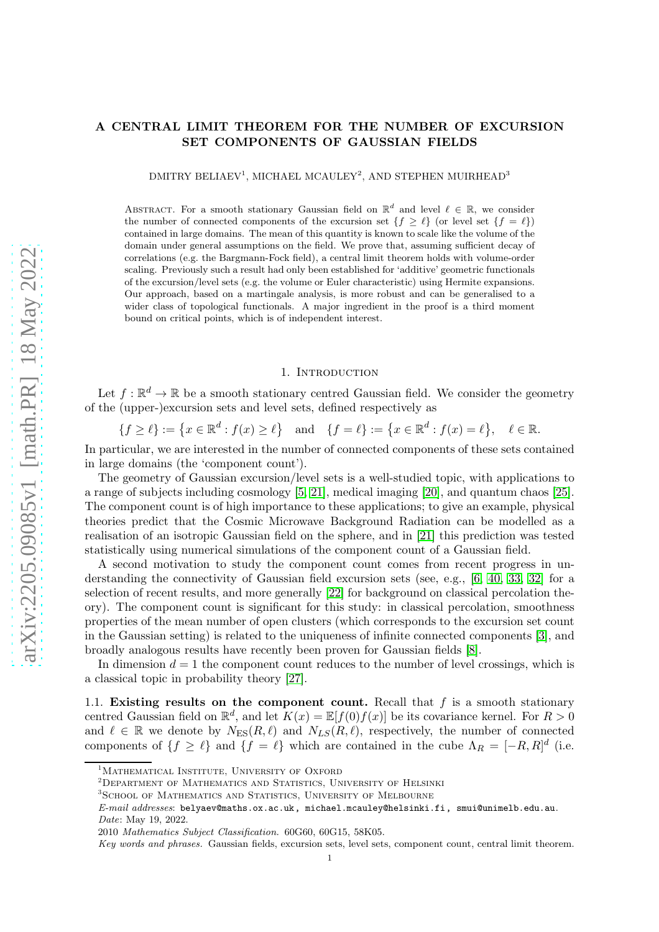# A CENTRAL LIMIT THEOREM FOR THE NUMBER OF EXCURSION SET COMPONENTS OF GAUSSIAN FIELDS

 $\rm{DMITRY}$ BELIAEV<sup>1</sup>, MICHAEL MCAULEY<sup>2</sup>, AND STEPHEN MUIRHEAD<sup>3</sup>

ABSTRACT. For a smooth stationary Gaussian field on  $\mathbb{R}^d$  and level  $\ell \in \mathbb{R}$ , we consider the number of connected components of the excursion set  $\{f \geq \ell\}$  (or level set  $\{f = \ell\}$ ) contained in large domains. The mean of this quantity is known to scale like the volume of the domain under general assumptions on the field. We prove that, assuming sufficient decay of correlations (e.g. the Bargmann-Fock field), a central limit theorem holds with volume-order scaling. Previously such a result had only been established for 'additive' geometric functionals of the excursion/level sets (e.g. the volume or Euler characteristic) using Hermite expansions. Our approach, based on a martingale analysis, is more robust and can be generalised to a wider class of topological functionals. A major ingredient in the proof is a third moment bound on critical points, which is of independent interest.

# 1. INTRODUCTION

Let  $f : \mathbb{R}^d \to \mathbb{R}$  be a smooth stationary centred Gaussian field. We consider the geometry of the (upper-)excursion sets and level sets, defined respectively as

$$
\{f \ge \ell\} := \left\{x \in \mathbb{R}^d : f(x) \ge \ell\right\} \quad \text{and} \quad \{f = \ell\} := \left\{x \in \mathbb{R}^d : f(x) = \ell\right\}, \quad \ell \in \mathbb{R}.
$$

In particular, we are interested in the number of connected components of these sets contained in large domains (the 'component count').

The geometry of Gaussian excursion/level sets is a well-studied topic, with applications to a range of subjects including cosmology [\[5,](#page-31-0) [21\]](#page-32-0), medical imaging [\[20\]](#page-32-1), and quantum chaos [\[25\]](#page-32-2). The component count is of high importance to these applications; to give an example, physical theories predict that the Cosmic Microwave Background Radiation can be modelled as a realisation of an isotropic Gaussian field on the sphere, and in [\[21\]](#page-32-0) this prediction was tested statistically using numerical simulations of the component count of a Gaussian field.

A second motivation to study the component count comes from recent progress in un-derstanding the connectivity of Gaussian field excursion sets (see, e.g., [\[6,](#page-31-1) [40,](#page-32-3) [33,](#page-32-4) [32\]](#page-32-5) for a selection of recent results, and more generally [\[22\]](#page-32-6) for background on classical percolation theory). The component count is significant for this study: in classical percolation, smoothness properties of the mean number of open clusters (which corresponds to the excursion set count in the Gaussian setting) is related to the uniqueness of infinite connected components [\[3\]](#page-31-2), and broadly analogous results have recently been proven for Gaussian fields [\[8\]](#page-31-3).

In dimension  $d = 1$  the component count reduces to the number of level crossings, which is a classical topic in probability theory [\[27\]](#page-32-7).

1.1. Existing results on the component count. Recall that  $f$  is a smooth stationary centred Gaussian field on  $\mathbb{R}^d$ , and let  $K(x) = \mathbb{E}[f(0)f(x)]$  be its covariance kernel. For  $R > 0$ and  $\ell \in \mathbb{R}$  we denote by  $N_{ES}(R,\ell)$  and  $N_{LS}(R,\ell)$ , respectively, the number of connected components of  $\{f \geq \ell\}$  and  $\{f = \ell\}$  which are contained in the cube  $\Lambda_R = [-R, R]^d$  (i.e.

<sup>&</sup>lt;sup>1</sup>Mathematical Institute, University of Oxford

<sup>2</sup>Department of Mathematics and Statistics, University of Helsinki

<sup>&</sup>lt;sup>3</sup>SCHOOL OF MATHEMATICS AND STATISTICS, UNIVERSITY OF MELBOURNE

E-mail addresses: belyaev@maths.ox.ac.uk, michael.mcauley@helsinki.fi, smui@unimelb.edu.au. Date: May 19, 2022.

<sup>2010</sup> Mathematics Subject Classification. 60G60, 60G15, 58K05.

Key words and phrases. Gaussian fields, excursion sets, level sets, component count, central limit theorem.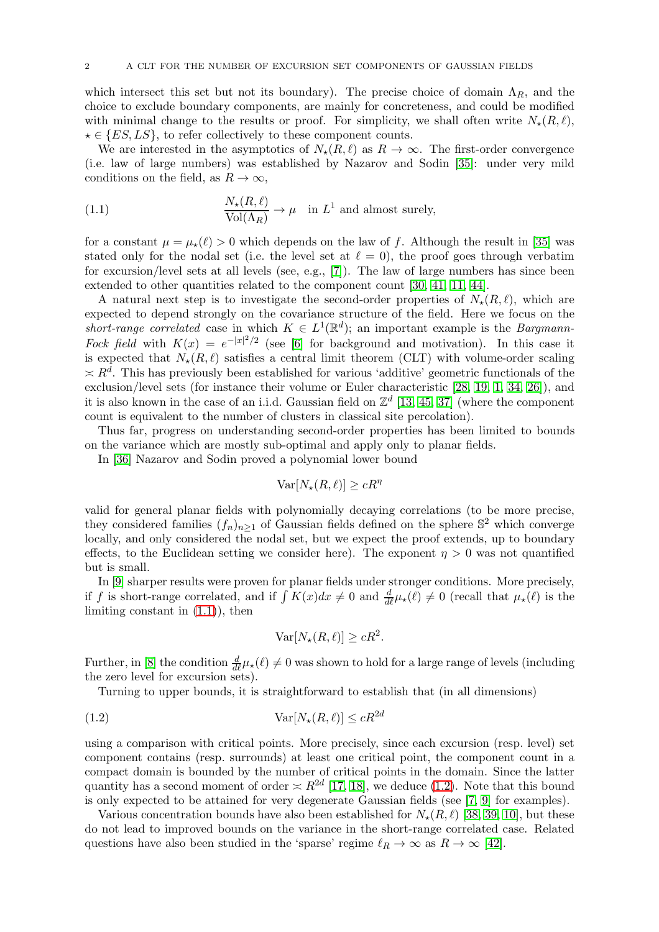which intersect this set but not its boundary). The precise choice of domain  $\Lambda_R$ , and the choice to exclude boundary components, are mainly for concreteness, and could be modified with minimal change to the results or proof. For simplicity, we shall often write  $N_{\star}(R,\ell)$ ,  $\star \in \{ES, LS\}$ , to refer collectively to these component counts.

We are interested in the asymptotics of  $N_{\star}(R,\ell)$  as  $R \to \infty$ . The first-order convergence (i.e. law of large numbers) was established by Nazarov and Sodin [\[35\]](#page-32-8): under very mild conditions on the field, as  $R \to \infty$ ,

<span id="page-1-0"></span>(1.1) 
$$
\frac{N_{\star}(R,\ell)}{\text{Vol}(\Lambda_R)} \to \mu \quad \text{in } L^1 \text{ and almost surely,}
$$

for a constant  $\mu = \mu_{\star}(\ell) > 0$  which depends on the law of f. Although the result in [\[35\]](#page-32-8) was stated only for the nodal set (i.e. the level set at  $\ell = 0$ ), the proof goes through verbatim for excursion/level sets at all levels (see, e.g., [\[7\]](#page-31-4)). The law of large numbers has since been extended to other quantities related to the component count [\[30,](#page-32-9) [41,](#page-32-10) [11,](#page-31-5) [44\]](#page-32-11).

A natural next step is to investigate the second-order properties of  $N_{\star}(R,\ell)$ , which are expected to depend strongly on the covariance structure of the field. Here we focus on the short-range correlated case in which  $K \in L^1(\mathbb{R}^d)$ ; an important example is the Bargmann-Fock field with  $K(x) = e^{-|x|^2/2}$  (see [\[6\]](#page-31-1) for background and motivation). In this case it is expected that  $N_{\star}(R,\ell)$  satisfies a central limit theorem (CLT) with volume-order scaling  $\leq R^d$ . This has previously been established for various 'additive' geometric functionals of the exclusion/level sets (for instance their volume or Euler characteristic [\[28,](#page-32-12) [19,](#page-32-13) [1,](#page-31-6) [34,](#page-32-14) [26\]](#page-32-15)), and it is also known in the case of an i.i.d. Gaussian field on  $\mathbb{Z}^d$  [\[13,](#page-31-7) [45,](#page-32-16) [37\]](#page-32-17) (where the component count is equivalent to the number of clusters in classical site percolation).

Thus far, progress on understanding second-order properties has been limited to bounds on the variance which are mostly sub-optimal and apply only to planar fields.

In [\[36\]](#page-32-18) Nazarov and Sodin proved a polynomial lower bound

$$
\text{Var}[N_{\star}(R,\ell)] \ge cR^{\eta}
$$

valid for general planar fields with polynomially decaying correlations (to be more precise, they considered families  $(f_n)_{n\geq 1}$  of Gaussian fields defined on the sphere  $\mathbb{S}^2$  which converge locally, and only considered the nodal set, but we expect the proof extends, up to boundary effects, to the Euclidean setting we consider here). The exponent  $\eta > 0$  was not quantified but is small.

In [\[9\]](#page-31-8) sharper results were proven for planar fields under stronger conditions. More precisely, if f is short-range correlated, and if  $\int K(x)dx \neq 0$  and  $\frac{d}{d\ell}\mu_{\star}(\ell) \neq 0$  (recall that  $\mu_{\star}(\ell)$  is the limiting constant in  $(1.1)$ , then

<span id="page-1-1"></span>
$$
\text{Var}[N_{\star}(R,\ell)] \ge cR^2.
$$

Further, in [\[8\]](#page-31-3) the condition  $\frac{d}{d\ell}\mu_{\star}(\ell)\neq 0$  was shown to hold for a large range of levels (including the zero level for excursion sets).

Turning to upper bounds, it is straightforward to establish that (in all dimensions)

(1.2) Var[N⋆(R, ℓ)] <sup>≤</sup> cR2<sup>d</sup>

using a comparison with critical points. More precisely, since each excursion (resp. level) set component contains (resp. surrounds) at least one critical point, the component count in a compact domain is bounded by the number of critical points in the domain. Since the latter quantity has a second moment of order  $\asymp R^{2d}$  [\[17,](#page-32-19) [18\]](#page-32-20), we deduce [\(1.2\)](#page-1-1). Note that this bound is only expected to be attained for very degenerate Gaussian fields (see [\[7,](#page-31-4) [9\]](#page-31-8) for examples).

Various concentration bounds have also been established for  $N_{\star}(R,\ell)$  [\[38,](#page-32-21) [39,](#page-32-22) [10\]](#page-31-9), but these do not lead to improved bounds on the variance in the short-range correlated case. Related questions have also been studied in the 'sparse' regime  $\ell_R \to \infty$  as  $R \to \infty$  [\[42\]](#page-32-23).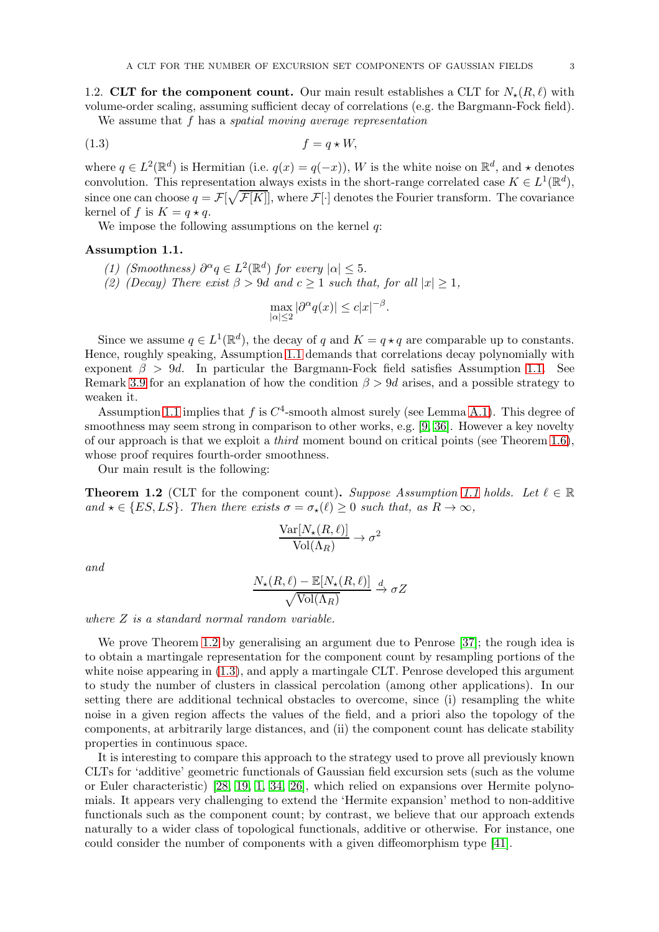1.2. CLT for the component count. Our main result establishes a CLT for  $N_{\star}(R,\ell)$  with volume-order scaling, assuming sufficient decay of correlations (e.g. the Bargmann-Fock field).

We assume that f has a *spatial moving average representation* 

$$
(1.3) \t\t f = q \star W,
$$

where  $q \in L^2(\mathbb{R}^d)$  is Hermitian (i.e.  $q(x) = q(-x)$ ), W is the white noise on  $\mathbb{R}^d$ , and  $\star$  denotes convolution. This representation always exists in the short-range correlated case  $K \in L^1(\mathbb{R}^d)$ , since one can choose  $q = \mathcal{F}[\sqrt{\mathcal{F}[K]}],$  where  $\mathcal{F}[\cdot]$  denotes the Fourier transform. The covariance kernel of f is  $K = q \star q$ .

We impose the following assumptions on the kernel  $q$ :

### <span id="page-2-0"></span>Assumption 1.1.

- (1) (Smoothness)  $\partial^{\alpha}q \in L^2(\mathbb{R}^d)$  for every  $|\alpha| \leq 5$ .
- (2) (Decay) There exist  $\beta > 9d$  and  $c \ge 1$  such that, for all  $|x| \ge 1$ ,

<span id="page-2-2"></span>
$$
\max_{|\alpha| \le 2} |\partial^{\alpha} q(x)| \le c |x|^{-\beta}.
$$

Since we assume  $q \in L^1(\mathbb{R}^d)$ , the decay of q and  $K = q \star q$  are comparable up to constants. Hence, roughly speaking, Assumption [1.1](#page-2-0) demands that correlations decay polynomially with exponent  $\beta > 9d$ . In particular the Bargmann-Fock field satisfies Assumption [1.1.](#page-2-0) See Remark [3.9](#page-16-0) for an explanation of how the condition  $\beta > 9d$  arises, and a possible strategy to weaken it.

Assumption [1.1](#page-2-0) implies that f is  $C^4$ -smooth almost surely (see Lemma [A.1\)](#page-29-0). This degree of smoothness may seem strong in comparison to other works, e.g. [\[9,](#page-31-8) [36\]](#page-32-18). However a key novelty of our approach is that we exploit a third moment bound on critical points (see Theorem [1.6\)](#page-3-0), whose proof requires fourth-order smoothness.

Our main result is the following:

<span id="page-2-1"></span>**Theorem 1.2** (CLT for the component count). Suppose Assumption [1.1](#page-2-0) holds. Let  $\ell \in \mathbb{R}$ and  $\star \in \{ES, LS\}$ . Then there exists  $\sigma = \sigma_{\star}(\ell) \geq 0$  such that, as  $R \to \infty$ ,

$$
\frac{\text{Var}[N_{\star}(R,\ell)]}{\text{Vol}(\Lambda_R)} \to \sigma^2
$$

and

$$
\frac{N_{\star}(R,\ell) - \mathbb{E}[N_{\star}(R,\ell)]}{\sqrt{\text{Vol}(\Lambda_R)}} \xrightarrow{d} \sigma Z
$$

where  $Z$  is a standard normal random variable.

We prove Theorem [1.2](#page-2-1) by generalising an argument due to Penrose [\[37\]](#page-32-17); the rough idea is to obtain a martingale representation for the component count by resampling portions of the white noise appearing in [\(1.3\)](#page-2-2), and apply a martingale CLT. Penrose developed this argument to study the number of clusters in classical percolation (among other applications). In our setting there are additional technical obstacles to overcome, since (i) resampling the white noise in a given region affects the values of the field, and a priori also the topology of the components, at arbitrarily large distances, and (ii) the component count has delicate stability properties in continuous space.

It is interesting to compare this approach to the strategy used to prove all previously known CLTs for 'additive' geometric functionals of Gaussian field excursion sets (such as the volume or Euler characteristic) [\[28,](#page-32-12) [19,](#page-32-13) [1,](#page-31-6) [34,](#page-32-14) [26\]](#page-32-15), which relied on expansions over Hermite polynomials. It appears very challenging to extend the 'Hermite expansion' method to non-additive functionals such as the component count; by contrast, we believe that our approach extends naturally to a wider class of topological functionals, additive or otherwise. For instance, one could consider the number of components with a given diffeomorphism type [\[41\]](#page-32-10).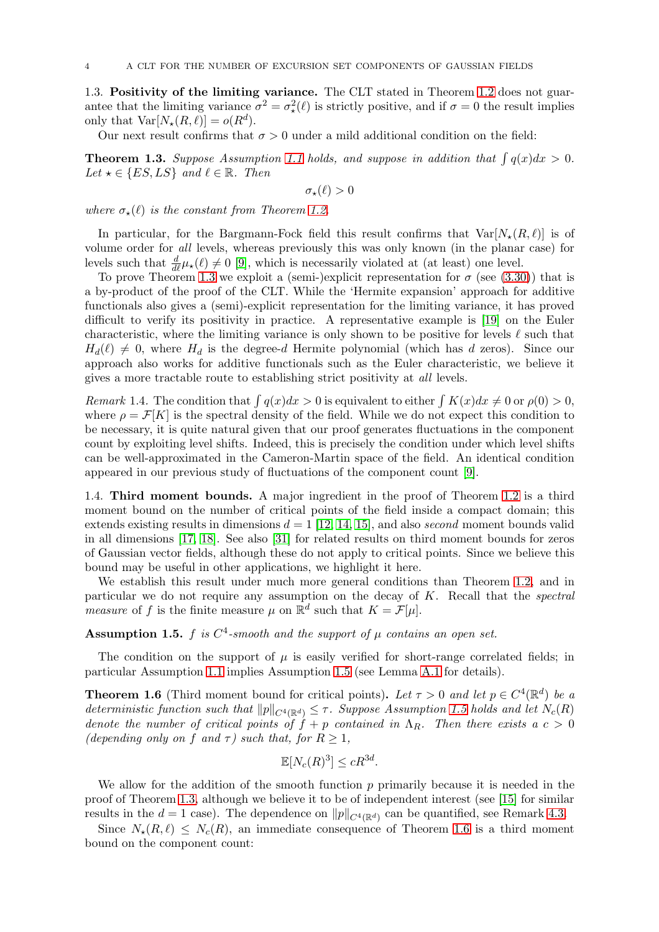1.3. Positivity of the limiting variance. The CLT stated in Theorem [1.2](#page-2-1) does not guarantee that the limiting variance  $\sigma^2 = \sigma^2_{\star}(\ell)$  is strictly positive, and if  $\sigma = 0$  the result implies only that  $Var[N_{\star}(R,\ell)] = o(R^d)$ .

Our next result confirms that  $\sigma > 0$  under a mild additional condition on the field:

<span id="page-3-1"></span>**Theorem 1.3.** Suppose Assumption [1.1](#page-2-0) holds, and suppose in addition that  $\int q(x)dx > 0$ . Let  $\star \in \{ES, LS\}$  and  $\ell \in \mathbb{R}$ . Then

$$
\sigma_{\star}(\ell) > 0
$$

where  $\sigma_{\star}(\ell)$  is the constant from Theorem [1.2.](#page-2-1)

In particular, for the Bargmann-Fock field this result confirms that  $Var[N_{\star}(R,\ell)]$  is of volume order for all levels, whereas previously this was only known (in the planar case) for levels such that  $\frac{d}{d\ell}\mu_{\star}(\ell) \neq 0$  [\[9\]](#page-31-8), which is necessarily violated at (at least) one level.

To prove Theorem [1.3](#page-3-1) we exploit a (semi-)explicit representation for  $\sigma$  (see [\(3.30\)](#page-16-1)) that is a by-product of the proof of the CLT. While the 'Hermite expansion' approach for additive functionals also gives a (semi)-explicit representation for the limiting variance, it has proved difficult to verify its positivity in practice. A representative example is [\[19\]](#page-32-13) on the Euler characteristic, where the limiting variance is only shown to be positive for levels  $\ell$  such that  $H_d(\ell) \neq 0$ , where  $H_d$  is the degree-d Hermite polynomial (which has d zeros). Since our approach also works for additive functionals such as the Euler characteristic, we believe it gives a more tractable route to establishing strict positivity at all levels.

Remark 1.4. The condition that  $\int q(x)dx > 0$  is equivalent to either  $\int K(x)dx \neq 0$  or  $\rho(0) > 0$ , where  $\rho = \mathcal{F}[K]$  is the spectral density of the field. While we do not expect this condition to be necessary, it is quite natural given that our proof generates fluctuations in the component count by exploiting level shifts. Indeed, this is precisely the condition under which level shifts can be well-approximated in the Cameron-Martin space of the field. An identical condition appeared in our previous study of fluctuations of the component count [\[9\]](#page-31-8).

1.4. Third moment bounds. A major ingredient in the proof of Theorem [1.2](#page-2-1) is a third moment bound on the number of critical points of the field inside a compact domain; this extends existing results in dimensions  $d = 1$  [\[12,](#page-31-10) [14,](#page-31-11) [15\]](#page-31-12), and also *second* moment bounds valid in all dimensions [\[17,](#page-32-19) [18\]](#page-32-20). See also [\[31\]](#page-32-24) for related results on third moment bounds for zeros of Gaussian vector fields, although these do not apply to critical points. Since we believe this bound may be useful in other applications, we highlight it here.

We establish this result under much more general conditions than Theorem [1.2,](#page-2-1) and in particular we do not require any assumption on the decay of  $K$ . Recall that the spectral measure of f is the finite measure  $\mu$  on  $\mathbb{R}^d$  such that  $K = \mathcal{F}[\mu]$ .

<span id="page-3-2"></span>**Assumption 1.5.** f is  $C^4$ -smooth and the support of  $\mu$  contains an open set.

The condition on the support of  $\mu$  is easily verified for short-range correlated fields; in particular Assumption [1.1](#page-2-0) implies Assumption [1.5](#page-3-2) (see Lemma [A.1](#page-29-0) for details).

<span id="page-3-0"></span>**Theorem 1.6** (Third moment bound for critical points). Let  $\tau > 0$  and let  $p \in C^4(\mathbb{R}^d)$  be a deterministic function such that  $||p||_{C^{4}(\mathbb{R}^{d})} \leq \tau$ . Suppose Assumption [1.5](#page-3-2) holds and let  $N_c(R)$ denote the number of critical points of  $\hat{f} + p$  contained in  $\Lambda_R$ . Then there exists a  $c > 0$ (depending only on f and  $\tau$ ) such that, for  $R \geq 1$ ,

$$
\mathbb{E}[N_c(R)^3] \le cR^{3d}.
$$

We allow for the addition of the smooth function  $p$  primarily because it is needed in the proof of Theorem [1.3,](#page-3-1) although we believe it to be of independent interest (see [\[15\]](#page-31-12) for similar results in the  $d = 1$  case). The dependence on  $||p||_{C^4(\mathbb{R}^d)}$  can be quantified, see Remark [4.3.](#page-22-0)

Since  $N_{\star}(R,\ell) \leq N_c(R)$ , an immediate consequence of Theorem [1.6](#page-3-0) is a third moment bound on the component count: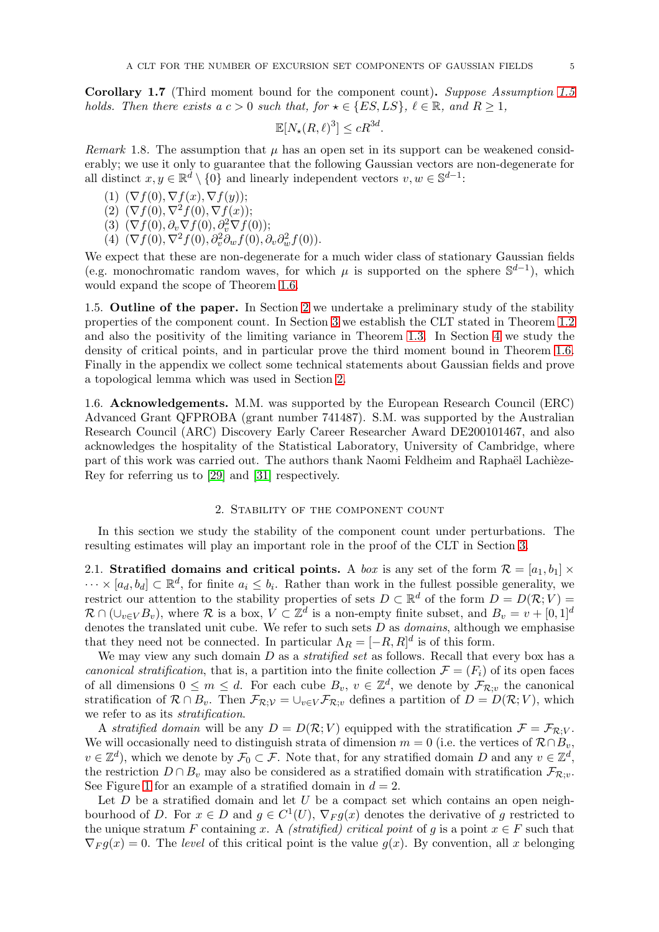Corollary 1.7 (Third moment bound for the component count). Suppose Assumption [1.5](#page-3-2) holds. Then there exists a  $c > 0$  such that, for  $\star \in \{ES, LS\}, \ell \in \mathbb{R}$ , and  $R \ge 1$ ,

$$
\mathbb{E}[N_{\star}(R,\ell)^3] \le cR^{3d}.
$$

<span id="page-4-1"></span>*Remark* 1.8. The assumption that  $\mu$  has an open set in its support can be weakened considerably; we use it only to guarantee that the following Gaussian vectors are non-degenerate for all distinct  $x, y \in \mathbb{R}^d \setminus \{0\}$  and linearly independent vectors  $v, w \in \mathbb{S}^{d-1}$ :

- (1)  $(\nabla f(0), \nabla f(x), \nabla f(y));$
- (2)  $(\nabla f(0), \nabla^2 f(0), \nabla f(x));$
- (3)  $(\nabla f(0), \partial_v \nabla f(0), \partial_v^2 \nabla f(0));$
- (4)  $(\nabla f(0), \nabla^2 f(0), \partial_v^2 \partial_w f(0), \partial_v \partial_w^2 f(0)).$

We expect that these are non-degenerate for a much wider class of stationary Gaussian fields (e.g. monochromatic random waves, for which  $\mu$  is supported on the sphere  $\mathbb{S}^{d-1}$ ), which would expand the scope of Theorem [1.6.](#page-3-0)

1.5. Outline of the paper. In Section [2](#page-4-0) we undertake a preliminary study of the stability properties of the component count. In Section [3](#page-7-0) we establish the CLT stated in Theorem [1.2](#page-2-1) and also the positivity of the limiting variance in Theorem [1.3.](#page-3-1) In Section [4](#page-20-0) we study the density of critical points, and in particular prove the third moment bound in Theorem [1.6.](#page-3-0) Finally in the appendix we collect some technical statements about Gaussian fields and prove a topological lemma which was used in Section [2.](#page-4-0)

1.6. Acknowledgements. M.M. was supported by the European Research Council (ERC) Advanced Grant QFPROBA (grant number 741487). S.M. was supported by the Australian Research Council (ARC) Discovery Early Career Researcher Award DE200101467, and also acknowledges the hospitality of the Statistical Laboratory, University of Cambridge, where part of this work was carried out. The authors thank Naomi Feldheim and Raphaël Lachièze-Rey for referring us to [\[29\]](#page-32-25) and [\[31\]](#page-32-24) respectively.

## 2. Stability of the component count

<span id="page-4-0"></span>In this section we study the stability of the component count under perturbations. The resulting estimates will play an important role in the proof of the CLT in Section [3.](#page-7-0)

2.1. Stratified domains and critical points. A box is any set of the form  $\mathcal{R} = [a_1, b_1] \times$  $\cdots \times [a_d, b_d] \subset \mathbb{R}^d$ , for finite  $a_i \leq b_i$ . Rather than work in the fullest possible generality, we restrict our attention to the stability properties of sets  $D \subset \mathbb{R}^d$  of the form  $D = D(\mathcal{R}; V) =$  $\mathcal{R} \cap (\cup_{v \in V} B_v)$ , where  $\mathcal{R}$  is a box,  $V \subset \mathbb{Z}^d$  is a non-empty finite subset, and  $B_v = v + [0, 1]^d$ denotes the translated unit cube. We refer to such sets  $D$  as *domains*, although we emphasise that they need not be connected. In particular  $\Lambda_R = [-R, R]^d$  is of this form.

We may view any such domain  $D$  as a *stratified set* as follows. Recall that every box has a canonical stratification, that is, a partition into the finite collection  $\mathcal{F} = (F_i)$  of its open faces of all dimensions  $0 \leq m \leq d$ . For each cube  $B_v$ ,  $v \in \mathbb{Z}^d$ , we denote by  $\mathcal{F}_{\mathcal{R},v}$  the canonical stratification of  $\mathcal{R} \cap B_v$ . Then  $\mathcal{F}_{\mathcal{R};\mathcal{V}} = \bigcup_{v \in V} \mathcal{F}_{\mathcal{R};v}$  defines a partition of  $D = D(\mathcal{R}; V)$ , which we refer to as its stratification.

A stratified domain will be any  $D = D(\mathcal{R}; V)$  equipped with the stratification  $\mathcal{F} = \mathcal{F}_{\mathcal{R}:V}$ . We will occasionally need to distinguish strata of dimension  $m = 0$  (i.e. the vertices of  $\mathcal{R} \cap B_v$ ,  $v \in \mathbb{Z}^d$ , which we denote by  $\mathcal{F}_0 \subset \mathcal{F}$ . Note that, for any stratified domain D and any  $v \in \mathbb{Z}^d$ , the restriction  $D \cap B_v$  may also be considered as a stratified domain with stratification  $\mathcal{F}_{\mathcal{R}:v}$ . See Figure [1](#page-5-0) for an example of a stratified domain in  $d = 2$ .

Let  $D$  be a stratified domain and let  $U$  be a compact set which contains an open neighbourhood of D. For  $x \in D$  and  $g \in C^1(U)$ ,  $\nabla_F g(x)$  denotes the derivative of g restricted to the unique stratum F containing x. A (stratified) critical point of g is a point  $x \in F$  such that  $\nabla_F g(x) = 0$ . The level of this critical point is the value  $g(x)$ . By convention, all x belonging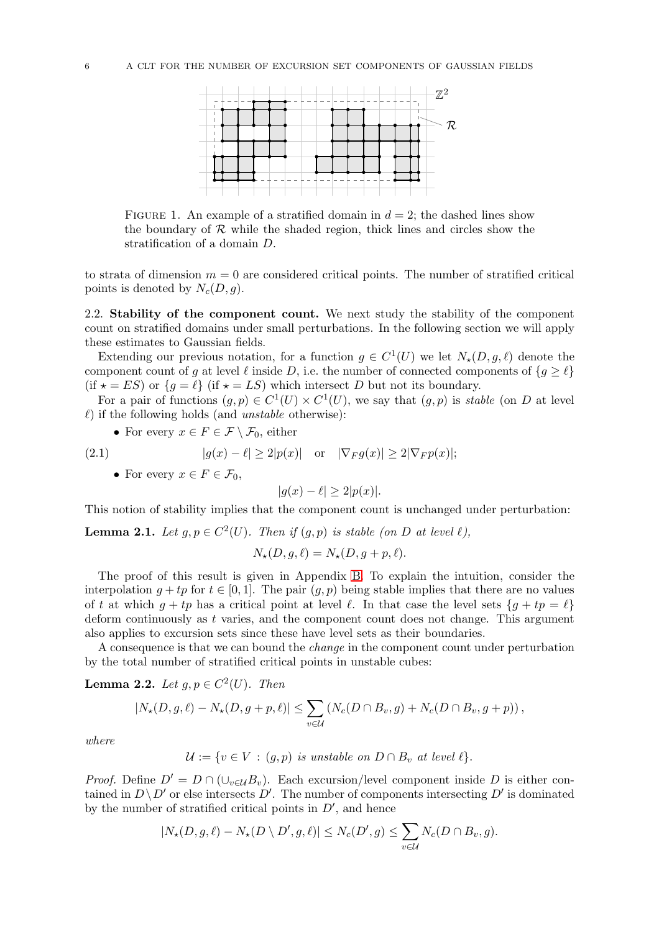

<span id="page-5-0"></span>FIGURE 1. An example of a stratified domain in  $d = 2$ ; the dashed lines show the boundary of  $R$  while the shaded region, thick lines and circles show the stratification of a domain D.

to strata of dimension  $m = 0$  are considered critical points. The number of stratified critical points is denoted by  $N_c(D, g)$ .

2.2. Stability of the component count. We next study the stability of the component count on stratified domains under small perturbations. In the following section we will apply these estimates to Gaussian fields.

Extending our previous notation, for a function  $g \in C^1(U)$  we let  $N_\star(D, g, \ell)$  denote the component count of g at level  $\ell$  inside D, i.e. the number of connected components of  $\{g \geq \ell\}$ (if  $\star = ES$ ) or  $\{g = \ell\}$  (if  $\star = LS$ ) which intersect D but not its boundary.

For a pair of functions  $(g, p) \in C^1(U) \times C^1(U)$ , we say that  $(g, p)$  is *stable* (on D at level  $\ell$ ) if the following holds (and unstable otherwise):

• For every  $x \in F \in \mathcal{F} \setminus \mathcal{F}_0$ , either

(2.1) 
$$
|g(x) - \ell| \ge 2|p(x)| \text{ or } |\nabla_F g(x)| \ge 2|\nabla_F p(x)|;
$$

• For every  $x \in F \in \mathcal{F}_0$ ,

$$
|g(x) - \ell| \ge 2|p(x)|.
$$

This notion of stability implies that the component count is unchanged under perturbation:

<span id="page-5-1"></span>**Lemma 2.1.** Let  $g, p \in C^2(U)$ . Then if  $(g, p)$  is stable (on D at level  $\ell$ ),

$$
N_{\star}(D, g, \ell) = N_{\star}(D, g + p, \ell).
$$

The proof of this result is given in Appendix [B.](#page-30-0) To explain the intuition, consider the interpolation  $g + tp$  for  $t \in [0, 1]$ . The pair  $(g, p)$  being stable implies that there are no values of t at which  $g + tp$  has a critical point at level  $\ell$ . In that case the level sets  $\{g + tp = \ell\}$ deform continuously as t varies, and the component count does not change. This argument also applies to excursion sets since these have level sets as their boundaries.

A consequence is that we can bound the change in the component count under perturbation by the total number of stratified critical points in unstable cubes:

<span id="page-5-2"></span>**Lemma 2.2.** Let  $g, p \in C^2(U)$ . Then

$$
|N_{\star}(D,g,\ell)-N_{\star}(D,g+p,\ell)|\leq \sum_{v\in\mathcal{U}}\left(N_c(D\cap B_v,g)+N_c(D\cap B_v,g+p)\right),
$$

where

 $\mathcal{U} := \{v \in V : (g, p) \text{ is unstable on } D \cap B_v \text{ at level } \ell \}.$ 

*Proof.* Define  $D' = D \cap (\cup_{v \in \mathcal{U}} B_v)$ . Each excursion/level component inside D is either contained in  $D \backslash D'$  or else intersects D'. The number of components intersecting D' is dominated by the number of stratified critical points in  $D'$ , and hence

$$
|N_{\star}(D,g,\ell)-N_{\star}(D\setminus D',g,\ell)|\leq N_c(D',g)\leq \sum_{v\in\mathcal{U}}N_c(D\cap B_v,g).
$$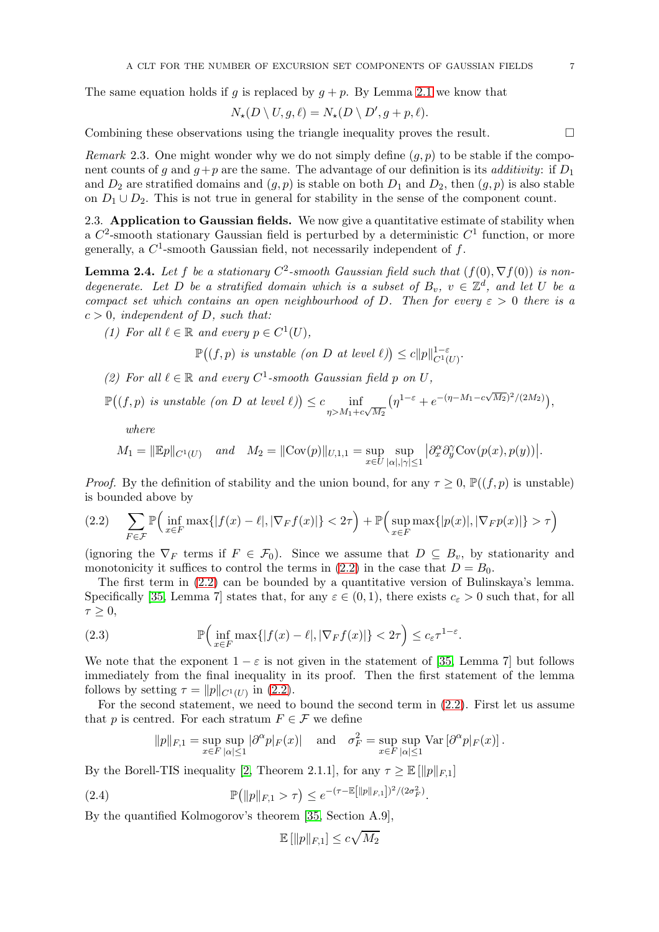The same equation holds if g is replaced by  $g + p$ . By Lemma [2.1](#page-5-1) we know that

$$
N_{\star}(D \setminus U, g, \ell) = N_{\star}(D \setminus D', g + p, \ell).
$$

Combining these observations using the triangle inequality proves the result.  $\Box$ 

Remark 2.3. One might wonder why we do not simply define  $(g, p)$  to be stable if the component counts of q and  $q+p$  are the same. The advantage of our definition is its *additivity*: if  $D_1$ and  $D_2$  are stratified domains and  $(g, p)$  is stable on both  $D_1$  and  $D_2$ , then  $(g, p)$  is also stable on  $D_1 \cup D_2$ . This is not true in general for stability in the sense of the component count.

2.3. Application to Gaussian fields. We now give a quantitative estimate of stability when a  $C^2$ -smooth stationary Gaussian field is perturbed by a deterministic  $C^1$  function, or more generally, a  $C^1$ -smooth Gaussian field, not necessarily independent of f.

<span id="page-6-3"></span>**Lemma 2.4.** Let f be a stationary  $C^2$ -smooth Gaussian field such that  $(f(0), \nabla f(0))$  is nondegenerate. Let D be a stratified domain which is a subset of  $B_v$ ,  $v \in \mathbb{Z}^d$ , and let U be a compact set which contains an open neighbourhood of D. Then for every  $\varepsilon > 0$  there is a  $c > 0$ , independent of D, such that:

(1) For all  $\ell \in \mathbb{R}$  and every  $p \in C^1(U)$ ,

 $\mathbb{P}((f,p) \text{ is unstable (on } D \text{ at level } \ell)) \leq c ||p||_{C^{1}(U)}^{1-\varepsilon}.$ 

(2) For all  $\ell \in \mathbb{R}$  and every  $C^1$ -smooth Gaussian field p on U,

$$
\mathbb{P}\big((f,p)\text{ is unstable (on }D\text{ at level }l)\big)\leq c\inf_{\eta>M_1+c\sqrt{M_2}}\big(\eta^{1-\varepsilon}+e^{-(\eta-M_1-c\sqrt{M_2})^2/(2M_2)}\big),
$$

where

$$
M_1 = \|\mathbb{E}p\|_{C^1(U)} \quad \text{and} \quad M_2 = \|\text{Cov}(p)\|_{U,1,1} = \sup_{x \in U} \sup_{|\alpha|, |\gamma| \le 1} |\partial_x^{\alpha} \partial_y^{\gamma} \text{Cov}(p(x), p(y))|.
$$

*Proof.* By the definition of stability and the union bound, for any  $\tau \geq 0$ ,  $\mathbb{P}((f, p)$  is unstable) is bounded above by

<span id="page-6-0"></span>
$$
(2.2) \quad \sum_{F \in \mathcal{F}} \mathbb{P}\Big(\inf_{x \in F} \max\{|f(x) - \ell|, |\nabla_F f(x)|\} < 2\tau\Big) + \mathbb{P}\Big(\sup_{x \in F} \max\{|p(x)|, |\nabla_F p(x)|\} > \tau\Big)
$$

(ignoring the  $\nabla_F$  terms if  $F \in \mathcal{F}_0$ ). Since we assume that  $D \subseteq B_v$ , by stationarity and monotonicity it suffices to control the terms in [\(2.2\)](#page-6-0) in the case that  $D = B_0$ .

The first term in [\(2.2\)](#page-6-0) can be bounded by a quantitative version of Bulinskaya's lemma. Specifically [\[35,](#page-32-8) Lemma 7] states that, for any  $\varepsilon \in (0,1)$ , there exists  $c_{\varepsilon} > 0$  such that, for all  $\tau \geq 0$ ,

<span id="page-6-1"></span>(2.3) 
$$
\mathbb{P}\Big(\inf_{x\in F} \max\{|f(x)-\ell|,|\nabla_F f(x)|\} < 2\tau\Big) \leq c_{\varepsilon} \tau^{1-\varepsilon}.
$$

We note that the exponent  $1 - \varepsilon$  is not given in the statement of [\[35,](#page-32-8) Lemma 7] but follows immediately from the final inequality in its proof. Then the first statement of the lemma follows by setting  $\tau = ||p||_{C^1(U)}$  in [\(2.2\)](#page-6-0).

For the second statement, we need to bound the second term in [\(2.2\)](#page-6-0). First let us assume that p is centred. For each stratum  $F \in \mathcal{F}$  we define

$$
||p||_{F,1} = \sup_{x \in F} \sup_{|\alpha| \le 1} |\partial^{\alpha} p|_F(x)| \quad \text{and} \quad \sigma_F^2 = \sup_{x \in F} \sup_{|\alpha| \le 1} \text{Var}[\partial^{\alpha} p|_F(x)].
$$

By the Borell-TIS inequality [\[2,](#page-31-13) Theorem 2.1.1], for any  $\tau \geq \mathbb{E} \left[ \Vert p \Vert_{F,1} \right]$ 

(2.4) 
$$
\mathbb{P}(|p||_{F,1} > \tau) \leq e^{-(\tau - \mathbb{E}[||p||_{F,1}])^2/(2\sigma_F^2)}
$$

By the quantified Kolmogorov's theorem [\[35,](#page-32-8) Section A.9],

<span id="page-6-2"></span>
$$
\mathbb{E}\left[\|p\|_{F,1}\right] \le c\sqrt{M_2}
$$

.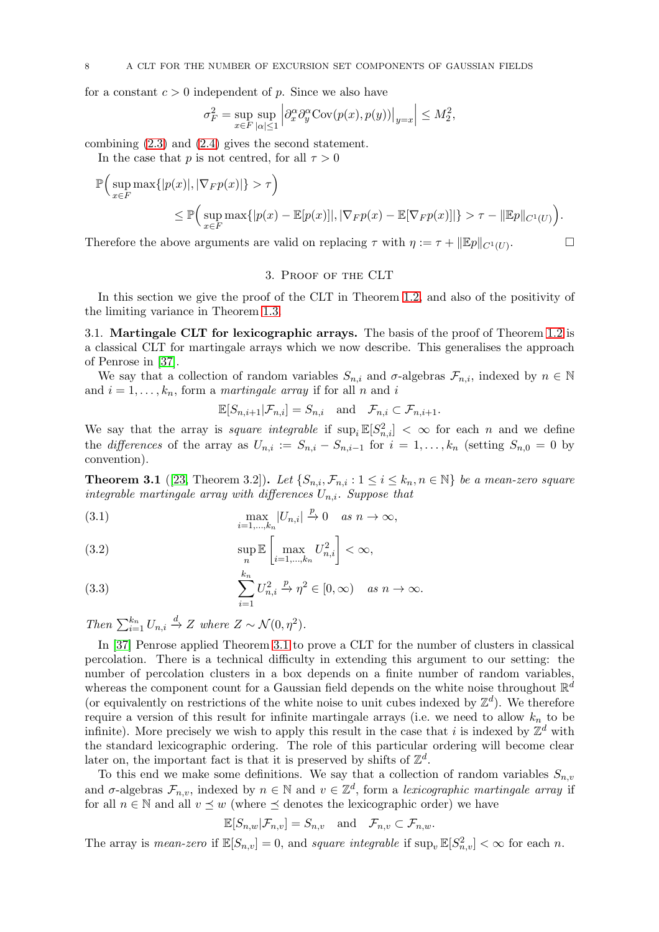for a constant  $c > 0$  independent of p. Since we also have

$$
\sigma_F^2 = \sup_{x\in F}\sup_{|\alpha|\leq 1}\Big|\partial_x^\alpha \partial_y^\alpha \text{Cov}(p(x),p(y))\big|_{y=x}\Big| \leq M_2^2,
$$

combining [\(2.3\)](#page-6-1) and [\(2.4\)](#page-6-2) gives the second statement.

In the case that p is not centred, for all  $\tau > 0$ 

$$
\mathbb{P}\Big(\sup_{x\in F} \max\{|p(x)|, |\nabla_F p(x)|\} > \tau\Big)
$$
  
\$\leq \mathbb{P}\Big(\sup\_{x\in F} \max\{|p(x) - \mathbb{E}[p(x)]|, |\nabla\_F p(x) - \mathbb{E}[\nabla\_F p(x)]|\} > \tau - \|\mathbb{E}p\|\_{C^1(U)}\Big)\$.

<span id="page-7-0"></span>Therefore the above arguments are valid on replacing  $\tau$  with  $\eta := \tau + ||\mathbb{E}p||_{C^1(U)}$ .

# $\Box$

## 3. Proof of the CLT

In this section we give the proof of the CLT in Theorem [1.2,](#page-2-1) and also of the positivity of the limiting variance in Theorem [1.3.](#page-3-1)

3.1. Martingale CLT for lexicographic arrays. The basis of the proof of Theorem [1.2](#page-2-1) is a classical CLT for martingale arrays which we now describe. This generalises the approach of Penrose in [\[37\]](#page-32-17).

We say that a collection of random variables  $S_{n,i}$  and  $\sigma$ -algebras  $\mathcal{F}_{n,i}$ , indexed by  $n \in \mathbb{N}$ and  $i = 1, ..., k_n$ , form a martingale array if for all n and i

$$
\mathbb{E}[S_{n,i+1}|\mathcal{F}_{n,i}] = S_{n,i} \text{ and } \mathcal{F}_{n,i} \subset \mathcal{F}_{n,i+1}.
$$

We say that the array is *square integrable* if  $\sup_i \mathbb{E}[S_n^2] < \infty$  for each *n* and we define the differences of the array as  $U_{n,i} := S_{n,i} - S_{n,i-1}$  for  $i = 1, ..., k_n$  (setting  $S_{n,0} = 0$  by convention).

<span id="page-7-1"></span>**Theorem 3.1** ([\[23,](#page-32-26) Theorem 3.2]). Let  $\{S_{n,i}, \mathcal{F}_{n,i} : 1 \leq i \leq k_n, n \in \mathbb{N}\}\$  be a mean-zero square integrable martingale array with differences  $U_{n,i}$ . Suppose that

(3.1) 
$$
\max_{i=1,\dots,k_n} |U_{n,i}| \xrightarrow{p} 0 \quad as \quad n \to \infty,
$$

(3.2) 
$$
\sup_{n} \mathbb{E}\left[\max_{i=1,\dots,k_n} U_{n,i}^2\right] < \infty,
$$

<span id="page-7-2"></span>(3.3) 
$$
\sum_{i=1}^{k_n} U_{n,i}^2 \overset{p}{\to} \eta^2 \in [0,\infty) \quad \text{as } n \to \infty.
$$

Then  $\sum_{i=1}^{k_n} U_{n,i} \stackrel{d}{\rightarrow} Z$  where  $Z \sim \mathcal{N}(0, \eta^2)$ .

In [\[37\]](#page-32-17) Penrose applied Theorem [3.1](#page-7-1) to prove a CLT for the number of clusters in classical percolation. There is a technical difficulty in extending this argument to our setting: the number of percolation clusters in a box depends on a finite number of random variables, whereas the component count for a Gaussian field depends on the white noise throughout  $\mathbb{R}^d$ (or equivalently on restrictions of the white noise to unit cubes indexed by  $\mathbb{Z}^d$ ). We therefore require a version of this result for infinite martingale arrays (i.e. we need to allow  $k_n$  to be infinite). More precisely we wish to apply this result in the case that i is indexed by  $\mathbb{Z}^d$  with the standard lexicographic ordering. The role of this particular ordering will become clear later on, the important fact is that it is preserved by shifts of  $\mathbb{Z}^d$ .

To this end we make some definitions. We say that a collection of random variables  $S_{n,v}$ and  $\sigma$ -algebras  $\mathcal{F}_{n,v}$ , indexed by  $n \in \mathbb{N}$  and  $v \in \mathbb{Z}^d$ , form a lexicographic martingale array if for all  $n \in \mathbb{N}$  and all  $v \preceq w$  (where  $\preceq$  denotes the lexicographic order) we have

$$
\mathbb{E}[S_{n,w}|\mathcal{F}_{n,v}] = S_{n,v} \text{ and } \mathcal{F}_{n,v} \subset \mathcal{F}_{n,w}.
$$

The array is mean-zero if  $\mathbb{E}[S_{n,v}] = 0$ , and square integrable if  $\sup_v \mathbb{E}[S_{n,v}^2] < \infty$  for each n.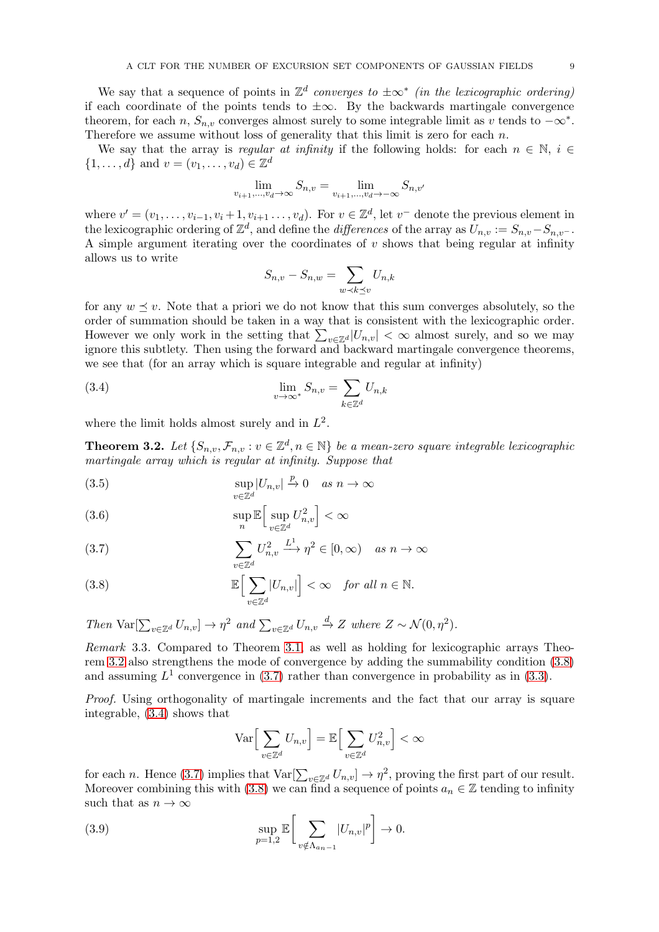We say that a sequence of points in  $\mathbb{Z}^d$  converges to  $\pm \infty^*$  (in the lexicographic ordering) if each coordinate of the points tends to  $\pm \infty$ . By the backwards martingale convergence theorem, for each n,  $S_{n,v}$  converges almost surely to some integrable limit as v tends to  $-\infty^*$ . Therefore we assume without loss of generality that this limit is zero for each  $n$ .

We say that the array is regular at infinity if the following holds: for each  $n \in \mathbb{N}$ ,  $i \in$  $\{1, ..., d\}$  and  $v = (v_1, ..., v_d) \in \mathbb{Z}^d$ 

$$
\lim_{v_{i+1},...,v_d \to \infty} S_{n,v} = \lim_{v_{i+1},...,v_d \to -\infty} S_{n,v'}
$$

where  $v' = (v_1, \ldots, v_{i-1}, v_i + 1, v_{i+1}, \ldots, v_d)$ . For  $v \in \mathbb{Z}^d$ , let  $v^-$  denote the previous element in the lexicographic ordering of  $\mathbb{Z}^d$ , and define the *differences* of the array as  $U_{n,v} := S_{n,v} - S_{n,v}$ . A simple argument iterating over the coordinates of  $v$  shows that being regular at infinity allows us to write

<span id="page-8-3"></span>
$$
S_{n,v} - S_{n,w} = \sum_{w \prec k \preceq v} U_{n,k}
$$

for any  $w \preceq v$ . Note that a priori we do not know that this sum converges absolutely, so the order of summation should be taken in a way that is consistent with the lexicographic order. However we only work in the setting that  $\sum_{v \in \mathbb{Z}^d} |U_{n,v}| < \infty$  almost surely, and so we may ignore this subtlety. Then using the forward and backward martingale convergence theorems, we see that (for an array which is square integrable and regular at infinity)

(3.4) 
$$
\lim_{v \to \infty^*} S_{n,v} = \sum_{k \in \mathbb{Z}^d} U_{n,k}
$$

where the limit holds almost surely and in  $L^2$ .

<span id="page-8-0"></span>**Theorem 3.2.** Let  $\{S_{n,v}, \mathcal{F}_{n,v} : v \in \mathbb{Z}^d, n \in \mathbb{N}\}$  be a mean-zero square integrable lexicographic martingale array which is regular at infinity. Suppose that

<span id="page-8-4"></span>(3.5) 
$$
\sup_{v \in \mathbb{Z}^d} |U_{n,v}| \xrightarrow{p} 0 \quad as \quad n \to \infty
$$

<span id="page-8-6"></span>(3.6) 
$$
\sup_{n} \mathbb{E} \Big[ \sup_{v \in \mathbb{Z}^d} U_{n,v}^2 \Big] < \infty
$$

<span id="page-8-2"></span>(3.7) 
$$
\sum_{v \in \mathbb{Z}^d} U_{n,v}^2 \xrightarrow{L^1} \eta^2 \in [0,\infty) \quad \text{as } n \to \infty
$$

<span id="page-8-1"></span>(3.8) 
$$
\mathbb{E}\Big[\sum_{v\in\mathbb{Z}^d} |U_{n,v}|\Big] < \infty \quad \text{for all } n \in \mathbb{N}.
$$

Then  $\text{Var}[\sum_{v \in \mathbb{Z}^d} U_{n,v}] \to \eta^2$  and  $\sum_{v \in \mathbb{Z}^d} U_{n,v} \xrightarrow{d} Z$  where  $Z \sim \mathcal{N}(0, \eta^2)$ .

Remark 3.3. Compared to Theorem [3.1,](#page-7-1) as well as holding for lexicographic arrays Theorem [3.2](#page-8-0) also strengthens the mode of convergence by adding the summability condition [\(3.8\)](#page-8-1) and assuming  $L^1$  convergence in [\(3.7\)](#page-8-2) rather than convergence in probability as in [\(3.3\)](#page-7-2).

Proof. Using orthogonality of martingale increments and the fact that our array is square integrable, [\(3.4\)](#page-8-3) shows that

<span id="page-8-5"></span>
$$
\operatorname{Var}\Big[\sum_{v\in\mathbb{Z}^d}U_{n,v}\Big]=\mathbb{E}\Big[\sum_{v\in\mathbb{Z}^d}U_{n,v}^2\Big]<\infty
$$

for each n. Hence [\(3.7\)](#page-8-2) implies that  $\text{Var}[\sum_{v \in \mathbb{Z}^d} U_{n,v}] \to \eta^2$ , proving the first part of our result. Moreover combining this with [\(3.8\)](#page-8-1) we can find a sequence of points  $a_n \in \mathbb{Z}$  tending to infinity such that as  $n \to \infty$ 

(3.9) 
$$
\sup_{p=1,2} \mathbb{E}\bigg[\sum_{v \notin \Lambda_{a_n-1}} |U_{n,v}|^p\bigg] \to 0.
$$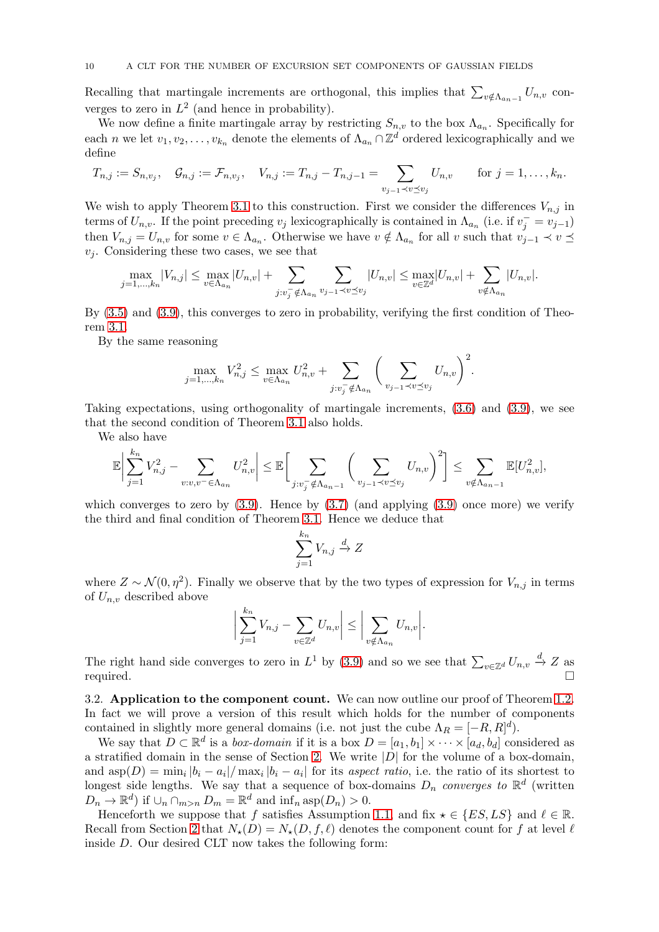Recalling that martingale increments are orthogonal, this implies that  $\sum_{v \notin \Lambda_{a_n-1}} U_{n,v}$  converges to zero in  $L^2$  (and hence in probability).

We now define a finite martingale array by restricting  $S_{n,v}$  to the box  $\Lambda_{a_n}$ . Specifically for each n we let  $v_1, v_2, \ldots, v_{k_n}$  denote the elements of  $\Lambda_{a_n} \cap \mathbb{Z}^d$  ordered lexicographically and we define

$$
T_{n,j} := S_{n,v_j}, \quad G_{n,j} := \mathcal{F}_{n,v_j}, \quad V_{n,j} := T_{n,j} - T_{n,j-1} = \sum_{v_{j-1} \prec v \preceq v_j} U_{n,v} \quad \text{for } j = 1, \ldots, k_n.
$$

We wish to apply Theorem [3.1](#page-7-1) to this construction. First we consider the differences  $V_{n,j}$  in terms of  $U_{n,v}$ . If the point preceding  $v_j$  lexicographically is contained in  $\Lambda_{a_n}$  (i.e. if  $v_j^- = v_{j-1}$ ) then  $V_{n,j} = U_{n,v}$  for some  $v \in \Lambda_{a_n}$ . Otherwise we have  $v \notin \Lambda_{a_n}$  for all v such that  $v_{j-1} \prec v \preceq$  $v_i$ . Considering these two cases, we see that

$$
\max_{j=1,...,k_n} |V_{n,j}| \le \max_{v \in \Lambda_{a_n}} |U_{n,v}| + \sum_{j:v_j^- \notin \Lambda_{a_n}} \sum_{v_{j-1} \prec v \preceq v_j} |U_{n,v}| \le \max_{v \in \mathbb{Z}^d} |U_{n,v}| + \sum_{v \notin \Lambda_{a_n}} |U_{n,v}|.
$$

By [\(3.5\)](#page-8-4) and [\(3.9\)](#page-8-5), this converges to zero in probability, verifying the first condition of Theorem [3.1.](#page-7-1)

By the same reasoning

$$
\max_{j=1,\dots,k_n} V_{n,j}^2 \le \max_{v \in \Lambda_{a_n}} U_{n,v}^2 + \sum_{j:v_j^- \notin \Lambda_{a_n}} \left( \sum_{v_{j-1} \prec v \preceq v_j} U_{n,v} \right)^2.
$$

Taking expectations, using orthogonality of martingale increments, [\(3.6\)](#page-8-6) and [\(3.9\)](#page-8-5), we see that the second condition of Theorem [3.1](#page-7-1) also holds.

We also have

$$
\mathbb{E}\bigg|\sum_{j=1}^{k_n}V_{n,j}^2-\sum_{v:v,v^-\in\Lambda_{a_n}}U_{n,v}^2\bigg|\leq \mathbb{E}\bigg[\sum_{j:v_j^-\notin\Lambda_{a_n-1}}\bigg(\sum_{v_{j-1}\prec v\preceq v_j}U_{n,v}\bigg)^2\bigg]\leq \sum_{v\notin\Lambda_{a_n-1}}\mathbb{E}[U_{n,v}^2],
$$

which converges to zero by  $(3.9)$ . Hence by  $(3.7)$  (and applying  $(3.9)$  once more) we verify the third and final condition of Theorem [3.1.](#page-7-1) Hence we deduce that

$$
\sum_{j=1}^{k_n} V_{n,j} \xrightarrow{d} Z
$$

where  $Z \sim \mathcal{N}(0, \eta^2)$ . Finally we observe that by the two types of expression for  $V_{n,j}$  in terms of  $U_{n,v}$  described above

$$
\left|\sum_{j=1}^{k_n} V_{n,j} - \sum_{v \in \mathbb{Z}^d} U_{n,v}\right| \le \left|\sum_{v \notin \Lambda_{a_n}} U_{n,v}\right|.
$$

The right hand side converges to zero in  $L^1$  by [\(3.9\)](#page-8-5) and so we see that  $\sum_{v \in \mathbb{Z}^d} U_{n,v} \stackrel{d}{\to} Z$  as required.  $\Box$ 

3.2. Application to the component count. We can now outline our proof of Theorem [1.2.](#page-2-1) In fact we will prove a version of this result which holds for the number of components contained in slightly more general domains (i.e. not just the cube  $\Lambda_R = [-R, R]^d$ ).

We say that  $D \subset \mathbb{R}^d$  is a *box-domain* if it is a box  $D = [a_1, b_1] \times \cdots \times [a_d, b_d]$  considered as a stratified domain in the sense of Section [2.](#page-4-0) We write  $|D|$  for the volume of a box-domain, and  $\text{asp}(D) = \min_i |b_i - a_i| / \max_i |b_i - a_i|$  for its aspect ratio, i.e. the ratio of its shortest to longest side lengths. We say that a sequence of box-domains  $D_n$  converges to  $\mathbb{R}^d$  (written  $D_n \to \mathbb{R}^d$  if  $\cup_n \cap_{m>n} D_m = \mathbb{R}^d$  and  $\inf_n \text{asp}(D_n) > 0$ .

Henceforth we suppose that f satisfies Assumption [1.1,](#page-2-0) and fix  $\star \in \{ES, LS\}$  and  $\ell \in \mathbb{R}$ . Recall from Section [2](#page-4-0) that  $N_*(D) = N_*(D, f, \ell)$  denotes the component count for f at level  $\ell$ inside D. Our desired CLT now takes the following form: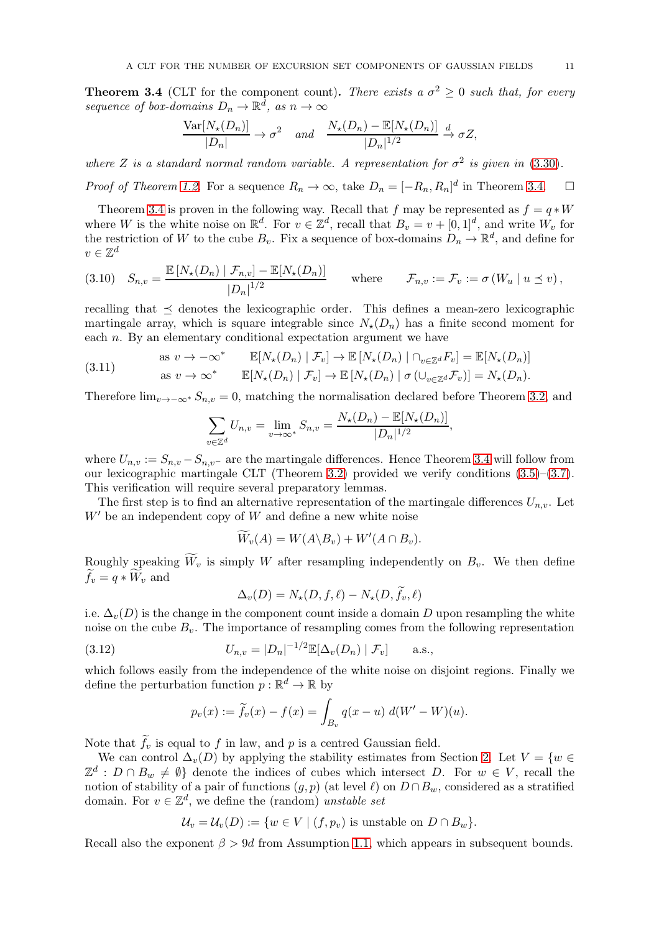<span id="page-10-0"></span>**Theorem 3.4** (CLT for the component count). There exists a  $\sigma^2 \geq 0$  such that, for every sequence of box-domains  $D_n \to \mathbb{R}^d$ , as  $n \to \infty$ 

$$
\frac{\text{Var}[N_{\star}(D_n)]}{|D_n|} \to \sigma^2 \quad and \quad \frac{N_{\star}(D_n) - \mathbb{E}[N_{\star}(D_n)]}{|D_n|^{1/2}} \to \sigma Z,
$$

where Z is a standard normal random variable. A representation for  $\sigma^2$  is given in [\(3.30\)](#page-16-1).

*Proof of Theorem [1.2.](#page-2-1)* For a sequence  $R_n \to \infty$ , take  $D_n = [-R_n, R_n]^d$  in Theorem [3.4.](#page-10-0)  $\Box$ 

Theorem [3.4](#page-10-0) is proven in the following way. Recall that f may be represented as  $f = q * W$ where W is the white noise on  $\mathbb{R}^d$ . For  $v \in \mathbb{Z}^d$ , recall that  $B_v = v + [0, 1]^d$ , and write  $W_v$  for the restriction of W to the cube  $B_v$ . Fix a sequence of box-domains  $D_n \to \mathbb{R}^d$ , and define for  $v \in \mathbb{Z}^d$ 

<span id="page-10-1"></span>
$$
(3.10) \quad S_{n,v} = \frac{\mathbb{E}\left[N_{\star}(D_n) \mid \mathcal{F}_{n,v}\right] - \mathbb{E}[N_{\star}(D_n)]}{|D_n|^{1/2}} \qquad \text{where} \qquad \mathcal{F}_{n,v} := \mathcal{F}_v := \sigma\left(W_u \mid u \le v\right),
$$

recalling that  $\preceq$  denotes the lexicographic order. This defines a mean-zero lexicographic martingale array, which is square integrable since  $N_{\star}(D_n)$  has a finite second moment for each n. By an elementary conditional expectation argument we have

(3.11) 
$$
\text{as } v \to -\infty^* \qquad \mathbb{E}[N_{\star}(D_n) \mid \mathcal{F}_v] \to \mathbb{E}[N_{\star}(D_n) \mid \bigcap_{v \in \mathbb{Z}^d} F_v] = \mathbb{E}[N_{\star}(D_n)] \n\text{as } v \to \infty^* \qquad \mathbb{E}[N_{\star}(D_n) \mid \mathcal{F}_v] \to \mathbb{E}[N_{\star}(D_n) \mid \sigma(\bigcup_{v \in \mathbb{Z}^d} \mathcal{F}_v)] = N_{\star}(D_n).
$$

Therefore  $\lim_{v\to-\infty^*} S_{n,v} = 0$ , matching the normalisation declared before Theorem [3.2,](#page-8-0) and

<span id="page-10-2"></span>
$$
\sum_{v \in \mathbb{Z}^d} U_{n,v} = \lim_{v \to \infty^*} S_{n,v} = \frac{N_{\star}(D_n) - \mathbb{E}[N_{\star}(D_n)]}{|D_n|^{1/2}},
$$

where  $U_{n,v} := S_{n,v} - S_{n,v}$  are the martingale differences. Hence Theorem [3.4](#page-10-0) will follow from our lexicographic martingale CLT (Theorem [3.2\)](#page-8-0) provided we verify conditions [\(3.5\)](#page-8-4)–[\(3.7\)](#page-8-2). This verification will require several preparatory lemmas.

The first step is to find an alternative representation of the martingale differences  $U_{n,v}$ . Let  $W'$  be an independent copy of W and define a new white noise

$$
W_v(A) = W(A \backslash B_v) + W'(A \cap B_v).
$$

Roughly speaking  $\widetilde{W}_v$  is simply W after resampling independently on  $B_v$ . We then define  $f_v = q * W_v$  and

$$
\Delta_v(D) = N_\star(D, f, \ell) - N_\star(D, \widetilde{f}_v, \ell)
$$

i.e.  $\Delta_v(D)$  is the change in the component count inside a domain D upon resampling the white noise on the cube  $B_v$ . The importance of resampling comes from the following representation

(3.12) 
$$
U_{n,v} = |D_n|^{-1/2} \mathbb{E}[\Delta_v(D_n) | \mathcal{F}_v] \quad \text{a.s.},
$$

which follows easily from the independence of the white noise on disjoint regions. Finally we define the perturbation function  $p : \mathbb{R}^d \to \mathbb{R}$  by

$$
p_v(x) := \widetilde{f}_v(x) - f(x) = \int_{B_v} q(x - u) \, d(W' - W)(u).
$$

Note that  $f_v$  is equal to f in law, and p is a centred Gaussian field.

We can control  $\Delta_v(D)$  by applying the stability estimates from Section [2.](#page-4-0) Let  $V = \{w \in$  $\mathbb{Z}^d$  :  $D \cap B_w \neq \emptyset$  denote the indices of cubes which intersect D. For  $w \in V$ , recall the notion of stability of a pair of functions  $(g, p)$  (at level  $\ell$ ) on  $D \cap B_w$ , considered as a stratified domain. For  $v \in \mathbb{Z}^d$ , we define the (random) unstable set

$$
\mathcal{U}_v = \mathcal{U}_v(D) := \{ w \in V \mid (f, p_v) \text{ is unstable on } D \cap B_w \}.
$$

Recall also the exponent  $\beta > 9d$  from Assumption [1.1,](#page-2-0) which appears in subsequent bounds.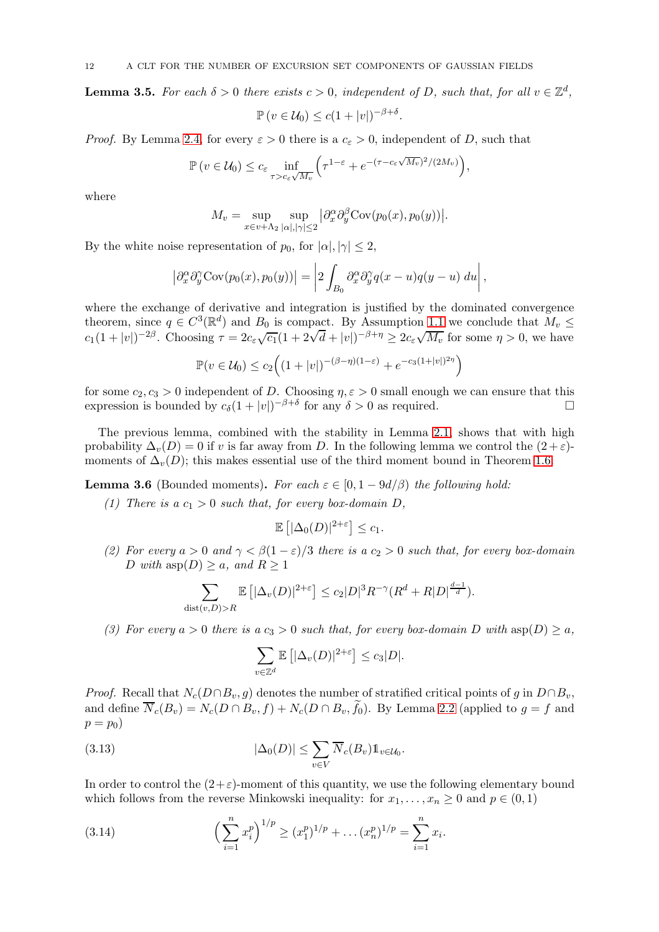<span id="page-11-1"></span>**Lemma 3.5.** For each  $\delta > 0$  there exists  $c > 0$ , independent of D, such that, for all  $v \in \mathbb{Z}^d$ ,

$$
\mathbb{P}\left(v\in\mathcal{U}_0\right)\leq c(1+|v|)^{-\beta+\delta}.
$$

*Proof.* By Lemma [2.4,](#page-6-3) for every  $\varepsilon > 0$  there is a  $c_{\varepsilon} > 0$ , independent of D, such that

$$
\mathbb{P}\left(v \in \mathcal{U}_0\right) \le c_{\varepsilon} \inf_{\tau > c_{\varepsilon} \sqrt{M_v}} \left(\tau^{1-\varepsilon} + e^{-(\tau - c_{\varepsilon} \sqrt{M_v})^2/(2M_v)}\right),
$$

where

$$
M_v = \sup_{x \in v + \Lambda_2} \sup_{|\alpha|, |\gamma| \le 2} |\partial_x^{\alpha} \partial_y^{\beta} \text{Cov}(p_0(x), p_0(y))|.
$$

By the white noise representation of  $p_0$ , for  $|\alpha|, |\gamma| \leq 2$ ,

$$
\left|\partial_x^{\alpha}\partial_y^{\gamma}Cov(p_0(x),p_0(y))\right| = \left|2\int_{B_0}\partial_x^{\alpha}\partial_y^{\gamma}q(x-u)q(y-u) du\right|,
$$

where the exchange of derivative and integration is justified by the dominated convergence theorem, since  $q \in C^3(\mathbb{R}^d)$  and  $B_0$  is compact. By Assumption [1.1](#page-2-0) we conclude that  $M_v \leq$  $c_1(1+|v|)^{-2\beta}$ . Choosing  $\tau = 2c_{\varepsilon}\sqrt{c_1}(1+2\sqrt{d}+|v|)^{-\beta+\eta} \geq 2c_{\varepsilon}\sqrt{M_v}$  for some  $\eta > 0$ , we have

$$
\mathbb{P}(v \in \mathcal{U}_0) \le c_2 \Big( (1+|v|)^{-(\beta-\eta)(1-\varepsilon)} + e^{-c_3(1+|v|)^{2\eta}} \Big)
$$

for some  $c_2, c_3 > 0$  independent of D. Choosing  $\eta, \varepsilon > 0$  small enough we can ensure that this expression is bounded by  $c_{\delta}(1+|v|)^{-\beta+\delta}$  for any  $\delta > 0$  as required.

The previous lemma, combined with the stability in Lemma [2.1,](#page-5-1) shows that with high probability  $\Delta_v(D) = 0$  if v is far away from D. In the following lemma we control the  $(2 + \varepsilon)$ moments of  $\Delta_v(D)$ ; this makes essential use of the third moment bound in Theorem [1.6.](#page-3-0)

<span id="page-11-2"></span>**Lemma 3.6** (Bounded moments). For each  $\varepsilon \in [0, 1 - 9d/\beta)$  the following hold:

(1) There is a  $c_1 > 0$  such that, for every box-domain D,

$$
\mathbb{E}\left[|\Delta_0(D)|^{2+\varepsilon}\right] \leq c_1.
$$

(2) For every  $a > 0$  and  $\gamma < \beta(1-\varepsilon)/3$  there is  $a c_2 > 0$  such that, for every box-domain D with  $\text{asp}(D) \geq a$ , and  $R \geq 1$ 

$$
\sum_{\text{dist}(v,D) > R} \mathbb{E}\left[|\Delta_v(D)|^{2+\varepsilon}\right] \le c_2 |D|^3 R^{-\gamma} (R^d + R|D|^{\frac{d-1}{d}}).
$$

(3) For every  $a > 0$  there is  $a c_3 > 0$  such that, for every box-domain D with  $a \text{sp}(D) \geq a$ ,

<span id="page-11-0"></span>
$$
\sum_{v \in \mathbb{Z}^d} \mathbb{E} \left[ |\Delta_v(D)|^{2+\varepsilon} \right] \le c_3 |D|.
$$

*Proof.* Recall that  $N_c(D \cap B_v, g)$  denotes the number of stratified critical points of g in  $D \cap B_v$ , and define  $N_c(B_v) = N_c(D \cap B_v, f) + N_c(D \cap B_v, f_0)$ . By Lemma [2.2](#page-5-2) (applied to  $g = f$  and  $p = p_0$ 

(3.13) 
$$
|\Delta_0(D)| \leq \sum_{v \in V} \overline{N}_c(B_v) \mathbb{1}_{v \in \mathcal{U}_0}.
$$

In order to control the  $(2+\varepsilon)$ -moment of this quantity, we use the following elementary bound which follows from the reverse Minkowski inequality: for  $x_1, \ldots, x_n \geq 0$  and  $p \in (0, 1)$ 

(3.14) 
$$
\left(\sum_{i=1}^{n} x_i^p\right)^{1/p} \ge (x_1^p)^{1/p} + \dots (x_n^p)^{1/p} = \sum_{i=1}^{n} x_i.
$$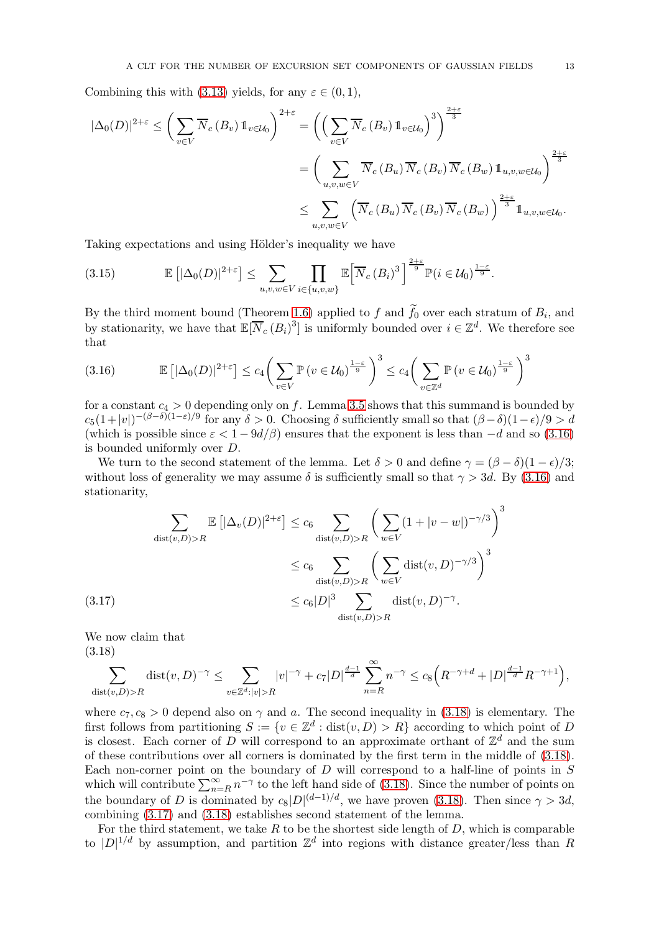Combining this with [\(3.13\)](#page-11-0) yields, for any  $\varepsilon \in (0,1)$ ,

$$
\begin{split} |\Delta_{0}(D)|^{2+\varepsilon} &\leq \bigg(\sum_{v\in V} \overline{N}_{c}(B_{v}) \, \mathbb{1}_{v\in\mathcal{U}_{0}}\bigg)^{2+\varepsilon} = \bigg(\Big(\sum_{v\in V} \overline{N}_{c}(B_{v}) \, \mathbb{1}_{v\in\mathcal{U}_{0}}\Big)^{3}\bigg)^{\frac{2+\varepsilon}{3}} \\ &= \bigg(\sum_{u,v,w\in V} \overline{N}_{c}(B_{u}) \, \overline{N}_{c}(B_{v}) \, \overline{N}_{c}(B_{w}) \, \mathbb{1}_{u,v,w\in\mathcal{U}_{0}}\bigg)^{\frac{2+\varepsilon}{3}} \\ &\leq \sum_{u,v,w\in V} \Big(\overline{N}_{c}(B_{u}) \, \overline{N}_{c}(B_{v}) \, \overline{N}_{c}(B_{w})\Big)^{\frac{2+\varepsilon}{3}} \mathbb{1}_{u,v,w\in\mathcal{U}_{0}}. \end{split}
$$

Taking expectations and using Hölder's inequality we have

<span id="page-12-3"></span>
$$
(3.15) \qquad \mathbb{E}\left[|\Delta_0(D)|^{2+\varepsilon}\right] \leq \sum_{u,v,w \in V} \prod_{i \in \{u,v,w\}} \mathbb{E}\left[\overline{N}_c(B_i)^3\right]^{\frac{2+\varepsilon}{9}} \mathbb{P}(i \in \mathcal{U}_0)^{\frac{1-\varepsilon}{9}}.
$$

By the third moment bound (Theorem [1.6\)](#page-3-0) applied to f and  $f_0$  over each stratum of  $B_i$ , and by stationarity, we have that  $\mathbb{E}[\overline{N}_c(B_i)^3]$  is uniformly bounded over  $i \in \mathbb{Z}^d$ . We therefore see that

<span id="page-12-0"></span>
$$
(3.16) \qquad \mathbb{E}\left[|\Delta_0(D)|^{2+\varepsilon}\right] \le c_4 \bigg(\sum_{v \in V} \mathbb{P}\left(v \in \mathcal{U}_0\right)^{\frac{1-\varepsilon}{9}}\bigg)^3 \le c_4 \bigg(\sum_{v \in \mathbb{Z}^d} \mathbb{P}\left(v \in \mathcal{U}_0\right)^{\frac{1-\varepsilon}{9}}\bigg)^3
$$

for a constant  $c_4 > 0$  depending only on f. Lemma [3.5](#page-11-1) shows that this summand is bounded by  $c_5(1+|v|)^{-(\beta-\delta)(1-\varepsilon)/9}$  for any  $\delta > 0$ . Choosing  $\delta$  sufficiently small so that  $(\beta-\delta)(1-\epsilon)/9 > d$ (which is possible since  $\varepsilon < 1 - 9d/\beta$ ) ensures that the exponent is less than  $-d$  and so [\(3.16\)](#page-12-0) is bounded uniformly over D.

We turn to the second statement of the lemma. Let  $\delta > 0$  and define  $\gamma = (\beta - \delta)(1 - \epsilon)/3$ ; without loss of generality we may assume  $\delta$  is sufficiently small so that  $\gamma > 3d$ . By [\(3.16\)](#page-12-0) and stationarity,

$$
\sum_{\text{dist}(v,D) > R} \mathbb{E}\left[|\Delta_v(D)|^{2+\varepsilon}\right] \leq c_6 \sum_{\text{dist}(v,D) > R} \left(\sum_{w \in V} (1+|v-w|)^{-\gamma/3}\right)^3
$$
\n
$$
\leq c_6 \sum_{\text{dist}(v,D) > R} \left(\sum_{w \in V} \text{dist}(v,D)^{-\gamma/3}\right)^3
$$
\n
$$
\leq c_6 |D|^3 \sum_{\text{dist}(v,D) > R} \text{dist}(v,D)^{-\gamma}.
$$

<span id="page-12-2"></span>We now claim that (3.18)

<span id="page-12-1"></span>
$$
\sum_{\text{dist}(v,D) > R} \text{dist}(v,D)^{-\gamma} \le \sum_{v \in \mathbb{Z}^d : |v| > R} |v|^{-\gamma} + c_7 |D|^{\frac{d-1}{d}} \sum_{n=R}^{\infty} n^{-\gamma} \le c_8 \Big( R^{-\gamma+d} + |D|^{\frac{d-1}{d}} R^{-\gamma+1} \Big),
$$

where  $c_7, c_8 > 0$  depend also on  $\gamma$  and a. The second inequality in [\(3.18\)](#page-12-1) is elementary. The first follows from partitioning  $S := \{v \in \mathbb{Z}^d : \text{dist}(v, D) > R\}$  according to which point of D is closest. Each corner of D will correspond to an approximate orthant of  $\mathbb{Z}^d$  and the sum of these contributions over all corners is dominated by the first term in the middle of [\(3.18\)](#page-12-1). Each non-corner point on the boundary of  $D$  will correspond to a half-line of points in  $S$ which will contribute  $\sum_{n=R}^{\infty} n^{-\gamma}$  to the left hand side of [\(3.18\)](#page-12-1). Since the number of points on the boundary of D is dominated by  $c_8|D|^{(d-1)/d}$ , we have proven [\(3.18\)](#page-12-1). Then since  $\gamma > 3d$ , combining [\(3.17\)](#page-12-2) and [\(3.18\)](#page-12-1) establishes second statement of the lemma.

For the third statement, we take R to be the shortest side length of  $D$ , which is comparable to  $|D|^{1/d}$  by assumption, and partition  $\mathbb{Z}^d$  into regions with distance greater/less than R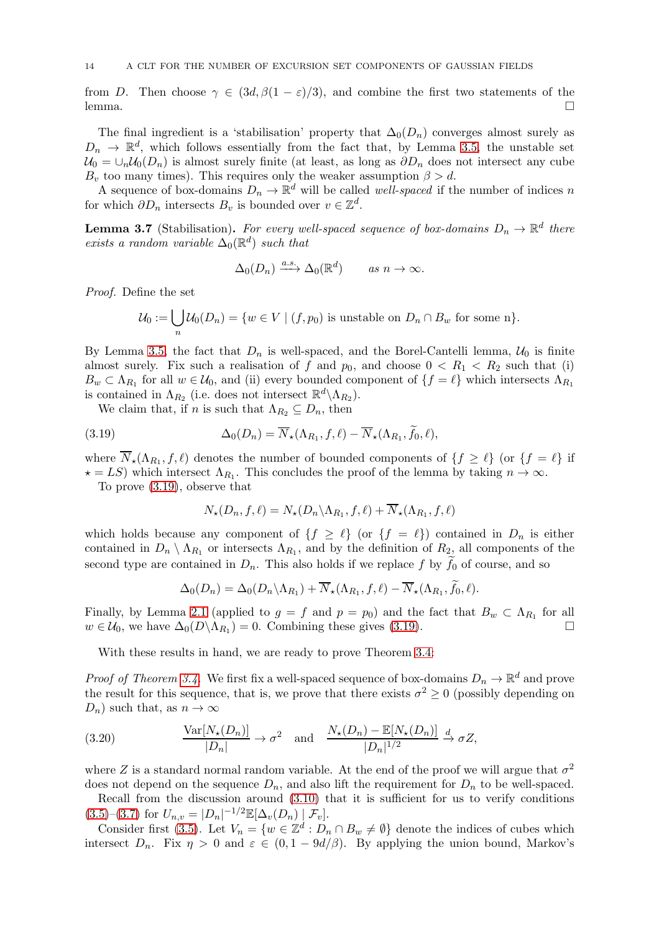from D. Then choose  $\gamma \in (3d, \beta(1 - \varepsilon)/3)$ , and combine the first two statements of the lemma.  $l$ emma.

The final ingredient is a 'stabilisation' property that  $\Delta_0(D_n)$  converges almost surely as  $D_n \to \mathbb{R}^d$ , which follows essentially from the fact that, by Lemma [3.5,](#page-11-1) the unstable set  $U_0 = \bigcup_n U_0(D_n)$  is almost surely finite (at least, as long as  $\partial D_n$  does not intersect any cube  $B_v$  too many times). This requires only the weaker assumption  $\beta > d$ .

A sequence of box-domains  $D_n \to \mathbb{R}^d$  will be called *well-spaced* if the number of indices n for which  $\partial D_n$  intersects  $B_v$  is bounded over  $v \in \mathbb{Z}^d$ .

<span id="page-13-1"></span>**Lemma 3.7** (Stabilisation). For every well-spaced sequence of box-domains  $D_n \to \mathbb{R}^d$  there exists a random variable  $\Delta_0(\mathbb{R}^d)$  such that

$$
\Delta_0(D_n) \xrightarrow{a.s.} \Delta_0(\mathbb{R}^d) \qquad as \; n \to \infty.
$$

Proof. Define the set

$$
\mathcal{U}_0 := \bigcup_n \mathcal{U}_0(D_n) = \{ w \in V \mid (f, p_0) \text{ is unstable on } D_n \cap B_w \text{ for some n} \}.
$$

By Lemma [3.5,](#page-11-1) the fact that  $D_n$  is well-spaced, and the Borel-Cantelli lemma,  $\mathcal{U}_0$  is finite almost surely. Fix such a realisation of f and  $p_0$ , and choose  $0 < R_1 < R_2$  such that (i)  $B_w \subset \Lambda_{R_1}$  for all  $w \in \mathcal{U}_0$ , and (ii) every bounded component of  $\{f = \ell\}$  which intersects  $\Lambda_{R_1}$ is contained in  $\Lambda_{R_2}$  (i.e. does not intersect  $\mathbb{R}^d \setminus \Lambda_{R_2}$ ).

We claim that, if n is such that  $\Lambda_{R_2} \subseteq D_n$ , then

(3.19) 
$$
\Delta_0(D_n) = \overline{N}_\star(\Lambda_{R_1}, f, \ell) - \overline{N}_\star(\Lambda_{R_1}, \tilde{f}_0, \ell),
$$

where  $N_{\star}(\Lambda_{R_1}, f, \ell)$  denotes the number of bounded components of  $\{f \geq \ell\}$  (or  $\{f = \ell\}$ ) if  $\star = LS$ ) which intersect  $\Lambda_{R_1}$ . This concludes the proof of the lemma by taking  $n \to \infty$ .

To prove [\(3.19\)](#page-13-0), observe that

<span id="page-13-0"></span>
$$
N_{\star}(D_n, f, \ell) = N_{\star}(D_n \backslash \Lambda_{R_1}, f, \ell) + \overline{N}_{\star}(\Lambda_{R_1}, f, \ell)
$$

which holds because any component of  $\{f \geq \ell\}$  (or  $\{f = \ell\}$ ) contained in  $D_n$  is either contained in  $D_n \setminus \Lambda_{R_1}$  or intersects  $\Lambda_{R_1}$ , and by the definition of  $R_{2}$ , all components of the second type are contained in  $D_n$ . This also holds if we replace f by  $f_0$  of course, and so

$$
\Delta_0(D_n) = \Delta_0(D_n \setminus \Lambda_{R_1}) + \overline{N}_{\star}(\Lambda_{R_1}, f, \ell) - \overline{N}_{\star}(\Lambda_{R_1}, \widetilde{f}_0, \ell).
$$

Finally, by Lemma [2.1](#page-5-1) (applied to  $g = f$  and  $p = p_0$ ) and the fact that  $B_w \subset \Lambda_{R_1}$  for all  $w \in \mathcal{U}_0$ , we have  $\Delta_0(D \setminus \Lambda_{R_1}) = 0$ . Combining these gives [\(3.19\)](#page-13-0).

With these results in hand, we are ready to prove Theorem [3.4:](#page-10-0)

*Proof of Theorem [3.4.](#page-10-0)* We first fix a well-spaced sequence of box-domains  $D_n \to \mathbb{R}^d$  and prove the result for this sequence, that is, we prove that there exists  $\sigma^2 \ge 0$  (possibly depending on  $D_n$ ) such that, as  $n \to \infty$ 

<span id="page-13-2"></span>(3.20) 
$$
\frac{\text{Var}[N_{\star}(D_n)]}{|D_n|} \to \sigma^2 \text{ and } \frac{N_{\star}(D_n) - \mathbb{E}[N_{\star}(D_n)]}{|D_n|^{1/2}} \to \sigma Z,
$$

where Z is a standard normal random variable. At the end of the proof we will argue that  $\sigma^2$ does not depend on the sequence  $D_n$ , and also lift the requirement for  $D_n$  to be well-spaced.

Recall from the discussion around [\(3.10\)](#page-10-1) that it is sufficient for us to verify conditions  $(3.5)-(3.7)$  $(3.5)-(3.7)$  $(3.5)-(3.7)$  for  $U_{n,v} = |D_n|^{-1/2} \mathbb{E}[\Delta_v(D_n) | \mathcal{F}_v].$ 

Consider first [\(3.5\)](#page-8-4). Let  $V_n = \{w \in \mathbb{Z}^d : D_n \cap B_w \neq \emptyset\}$  denote the indices of cubes which intersect  $D_n$ . Fix  $\eta > 0$  and  $\varepsilon \in (0, 1 - 9d/\beta)$ . By applying the union bound, Markov's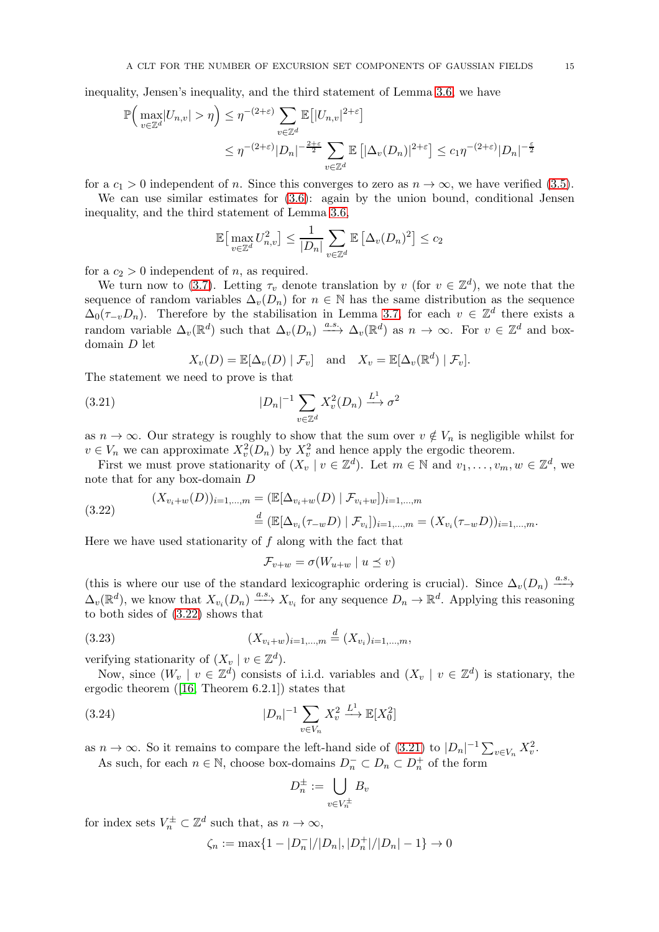inequality, Jensen's inequality, and the third statement of Lemma [3.6,](#page-11-2) we have

$$
\mathbb{P}\Big(\max_{v\in\mathbb{Z}^d} |U_{n,v}| > \eta\Big) \leq \eta^{-(2+\varepsilon)} \sum_{v\in\mathbb{Z}^d} \mathbb{E}\big[|U_{n,v}|^{2+\varepsilon}\big]
$$
  

$$
\leq \eta^{-(2+\varepsilon)} |D_n|^{-\frac{2+\varepsilon}{2}} \sum_{v\in\mathbb{Z}^d} \mathbb{E}\big[|\Delta_v(D_n)|^{2+\varepsilon}\big] \leq c_1 \eta^{-(2+\varepsilon)} |D_n|^{-\frac{\varepsilon}{2}}
$$

for a  $c_1 > 0$  independent of n. Since this converges to zero as  $n \to \infty$ , we have verified [\(3.5\)](#page-8-4).

We can use similar estimates for  $(3.6)$ : again by the union bound, conditional Jensen inequality, and the third statement of Lemma [3.6,](#page-11-2)

$$
\mathbb{E}\big[\max_{v\in\mathbb{Z}^d} U_{n,v}^2\big] \le \frac{1}{|D_n|} \sum_{v\in\mathbb{Z}^d} \mathbb{E}\left[\Delta_v (D_n)^2\right] \le c_2
$$

for a  $c_2 > 0$  independent of n, as required.

We turn now to [\(3.7\)](#page-8-2). Letting  $\tau_v$  denote translation by v (for  $v \in \mathbb{Z}^d$ ), we note that the sequence of random variables  $\Delta_v(D_n)$  for  $n \in \mathbb{N}$  has the same distribution as the sequence  $\Delta_0(\tau_{-v}D_n)$ . Therefore by the stabilisation in Lemma [3.7,](#page-13-1) for each  $v \in \mathbb{Z}^d$  there exists a random variable  $\Delta_v(\mathbb{R}^d)$  such that  $\Delta_v(D_n) \stackrel{a.s.}{\longrightarrow} \Delta_v(\mathbb{R}^d)$  as  $n \to \infty$ . For  $v \in \mathbb{Z}^d$  and boxdomain D let

<span id="page-14-1"></span>
$$
X_v(D) = \mathbb{E}[\Delta_v(D) | \mathcal{F}_v]
$$
 and  $X_v = \mathbb{E}[\Delta_v(\mathbb{R}^d) | \mathcal{F}_v].$ 

The statement we need to prove is that

(3.21) 
$$
|D_n|^{-1} \sum_{v \in \mathbb{Z}^d} X_v^2(D_n) \xrightarrow{L^1} \sigma^2
$$

as  $n \to \infty$ . Our strategy is roughly to show that the sum over  $v \notin V_n$  is negligible whilst for  $v \in V_n$  we can approximate  $X_v^2(D_n)$  by  $X_v^2$  and hence apply the ergodic theorem.

First we must prove stationarity of  $(X_v | v \in \mathbb{Z}^d)$ . Let  $m \in \mathbb{N}$  and  $v_1, \ldots, v_m, w \in \mathbb{Z}^d$ , we note that for any box-domain D

<span id="page-14-0"></span>(3.22) 
$$
(X_{v_i+w}(D))_{i=1,...,m} = (\mathbb{E}[\Delta_{v_i+w}(D) | \mathcal{F}_{v_i+w}])_{i=1,...,m}
$$

$$
\stackrel{d}{=} (\mathbb{E}[\Delta_{v_i}(\tau_{-w}D) | \mathcal{F}_{v_i}])_{i=1,...,m} = (X_{v_i}(\tau_{-w}D))_{i=1,...,m}.
$$

Here we have used stationarity of  $f$  along with the fact that

<span id="page-14-3"></span>
$$
\mathcal{F}_{v+w} = \sigma(W_{u+w} \mid u \preceq v)
$$

(this is where our use of the standard lexicographic ordering is crucial). Since  $\Delta_v(D_n) \xrightarrow{a.s.}$  $\Delta_v(\mathbb{R}^d)$ , we know that  $X_{v_i}(D_n) \xrightarrow{a.s.} X_{v_i}$  for any sequence  $D_n \to \mathbb{R}^d$ . Applying this reasoning to both sides of [\(3.22\)](#page-14-0) shows that

(3.23) 
$$
(X_{v_i+w})_{i=1,\dots,m} \stackrel{d}{=} (X_{v_i})_{i=1,\dots,m},
$$

verifying stationarity of  $(X_y | v \in \mathbb{Z}^d)$ .

Now, since  $(W_v \mid v \in \mathbb{Z}^d)$  consists of i.i.d. variables and  $(X_v \mid v \in \mathbb{Z}^d)$  is stationary, the ergodic theorem ([\[16,](#page-32-27) Theorem 6.2.1]) states that

(3.24) 
$$
|D_n|^{-1} \sum_{v \in V_n} X_v^2 \xrightarrow{L^1} \mathbb{E}[X_0^2]
$$

as  $n \to \infty$ . So it remains to compare the left-hand side of  $(3.21)$  to  $|D_n|^{-1} \sum_{v \in V_n} X_v^2$ .

As such, for each  $n \in \mathbb{N}$ , choose box-domains  $D_n^- \subset D_n \subset D_n^+$  of the form

<span id="page-14-2"></span>
$$
D_n^{\pm} := \bigcup_{v \in V_n^{\pm}} B_v
$$

for index sets  $V_n^{\pm} \subset \mathbb{Z}^d$  such that, as  $n \to \infty$ ,

$$
\zeta_n := \max\{1 - |D_n|/|D_n|, |D_n^+|/|D_n| - 1\} \to 0
$$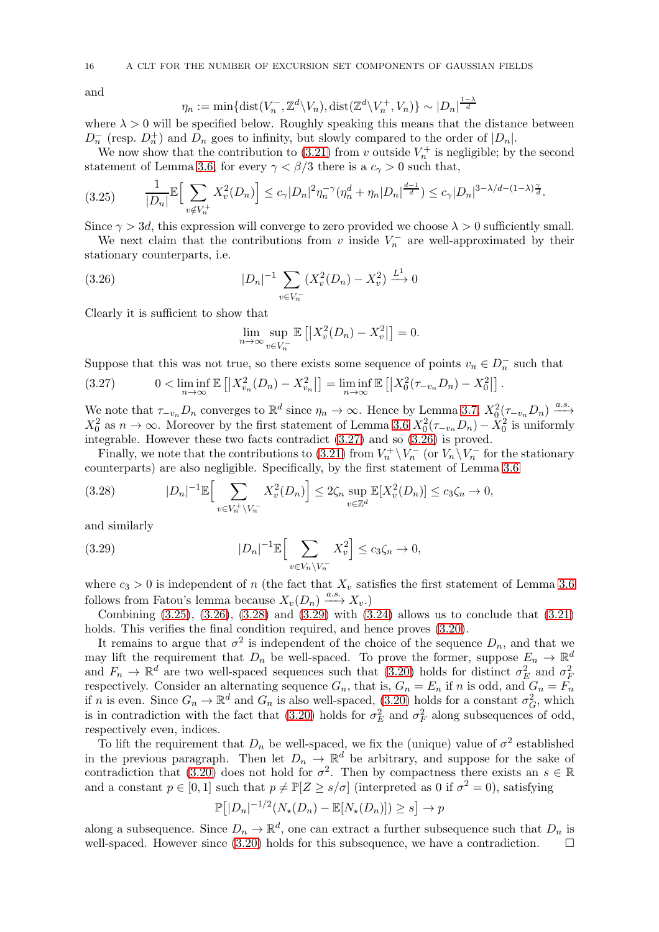16 A CLT FOR THE NUMBER OF EXCURSION SET COMPONENTS OF GAUSSIAN FIELDS

and

$$
\eta_n := \min\{\text{dist}(V_n^-, \mathbb{Z}^d \setminus V_n), \text{dist}(\mathbb{Z}^d \setminus V_n^+, V_n)\} \sim |D_n|^{\frac{1-\lambda}{d}}
$$

where  $\lambda > 0$  will be specified below. Roughly speaking this means that the distance between  $D_n^-$  (resp.  $D_n^+$ ) and  $D_n$  goes to infinity, but slowly compared to the order of  $|D_n|$ .

We now show that the contribution to [\(3.21\)](#page-14-1) from v outside  $V_n^+$  is negligible; by the second statement of Lemma [3.6,](#page-11-2) for every  $\gamma < \beta/3$  there is a  $c_{\gamma} > 0$  such that,

<span id="page-15-2"></span>
$$
(3.25) \qquad \frac{1}{|D_n|} \mathbb{E} \Big[ \sum_{v \notin V_n^+} X_v^2(D_n) \Big] \le c_\gamma |D_n|^2 \eta_n^{-\gamma} (\eta_n^d + \eta_n |D_n|^{\frac{d-1}{d}}) \le c_\gamma |D_n|^{3-\lambda/d - (1-\lambda)\frac{\gamma}{d}}.
$$

Since  $\gamma > 3d$ , this expression will converge to zero provided we choose  $\lambda > 0$  sufficiently small.

We next claim that the contributions from v inside  $V_n^-$  are well-approximated by their stationary counterparts, i.e.

(3.26) 
$$
|D_n|^{-1} \sum_{v \in V_n^-} (X_v^2(D_n) - X_v^2) \xrightarrow{L^1} 0
$$

Clearly it is sufficient to show that

<span id="page-15-1"></span>
$$
\lim_{n \to \infty} \sup_{v \in V_n^-} \mathbb{E}\left[ \left| X_v^2(D_n) - X_v^2 \right| \right] = 0.
$$

Suppose that this was not true, so there exists some sequence of points  $v_n \in D_n^-$  such that

<span id="page-15-0"></span>(3.27) 
$$
0 < \liminf_{n \to \infty} \mathbb{E} [X_{v_n}^2(D_n) - X_{v_n}^2] = \liminf_{n \to \infty} \mathbb{E} [X_0^2(\tau_{-v_n}D_n) - X_0^2].
$$

We note that  $\tau_{-v_n}D_n$  converges to  $\mathbb{R}^d$  since  $\eta_n \to \infty$ . Hence by Lemma [3.7,](#page-13-1)  $X_0^2(\tau_{-v_n}D_n) \xrightarrow{a.s.}$  $X_0^2$  as  $n \to \infty$ . Moreover by the first statement of Lemma [3.6](#page-11-2)  $X_0^2(\tau_{-v_n}D_n) - X_0^2$  is uniformly integrable. However these two facts contradict [\(3.27\)](#page-15-0) and so [\(3.26\)](#page-15-1) is proved.

Finally, we note that the contributions to [\(3.21\)](#page-14-1) from  $V_n^+ \setminus V_n^-$  (or  $V_n \setminus V_n^-$  for the stationary counterparts) are also negligible. Specifically, by the first statement of Lemma [3.6](#page-11-2)

<span id="page-15-3"></span>
$$
(3.28) \qquad |D_n|^{-1} \mathbb{E}\Big[\sum_{v \in V_n^+ \backslash V_n^-} X_v^2(D_n)\Big] \le 2\zeta_n \sup_{v \in \mathbb{Z}^d} \mathbb{E}[X_v^2(D_n)] \le c_3\zeta_n \to 0,
$$

and similarly

<span id="page-15-4"></span>(3.29) 
$$
|D_n|^{-1} \mathbb{E} \Big[ \sum_{v \in V_n \setminus V_n^-} X_v^2 \Big] \leq c_3 \zeta_n \to 0,
$$

where  $c_3 > 0$  is independent of n (the fact that  $X_v$  satisfies the first statement of Lemma [3.6](#page-11-2) follows from Fatou's lemma because  $X_v(D_n) \xrightarrow{a.s.} X_v$ .

Combining  $(3.25)$ ,  $(3.26)$ ,  $(3.28)$  and  $(3.29)$  with  $(3.24)$  allows us to conclude that  $(3.21)$ holds. This verifies the final condition required, and hence proves  $(3.20)$ .

It remains to argue that  $\sigma^2$  is independent of the choice of the sequence  $D_n$ , and that we may lift the requirement that  $D_n$  be well-spaced. To prove the former, suppose  $E_n \to \mathbb{R}^d$ and  $F_n \to \mathbb{R}^d$  are two well-spaced sequences such that [\(3.20\)](#page-13-2) holds for distinct  $\sigma_E^2$  and  $\sigma_F^2$ respectively. Consider an alternating sequence  $G_n$ , that is,  $G_n = E_n$  if n is odd, and  $G_n = F_n$ if n is even. Since  $G_n \to \mathbb{R}^d$  and  $G_n$  is also well-spaced, [\(3.20\)](#page-13-2) holds for a constant  $\sigma_G^2$ , which is in contradiction with the fact that [\(3.20\)](#page-13-2) holds for  $\sigma_E^2$  and  $\sigma_F^2$  along subsequences of odd, respectively even, indices.

To lift the requirement that  $D_n$  be well-spaced, we fix the (unique) value of  $\sigma^2$  established in the previous paragraph. Then let  $D_n \to \mathbb{R}^d$  be arbitrary, and suppose for the sake of contradiction that [\(3.20\)](#page-13-2) does not hold for  $\sigma^2$ . Then by compactness there exists an  $s \in \mathbb{R}$ and a constant  $p \in [0, 1]$  such that  $p \neq \mathbb{P}[Z \geq s/\sigma]$  (interpreted as 0 if  $\sigma^2 = 0$ ), satisfying

$$
\mathbb{P}\big[|D_n|^{-1/2}(N_{\star}(D_n) - \mathbb{E}[N_{\star}(D_n)]) \geq s\big] \to p
$$

along a subsequence. Since  $D_n \to \mathbb{R}^d$ , one can extract a further subsequence such that  $D_n$  is well-spaced. However since [\(3.20\)](#page-13-2) holds for this subsequence, we have a contradiction.  $\square$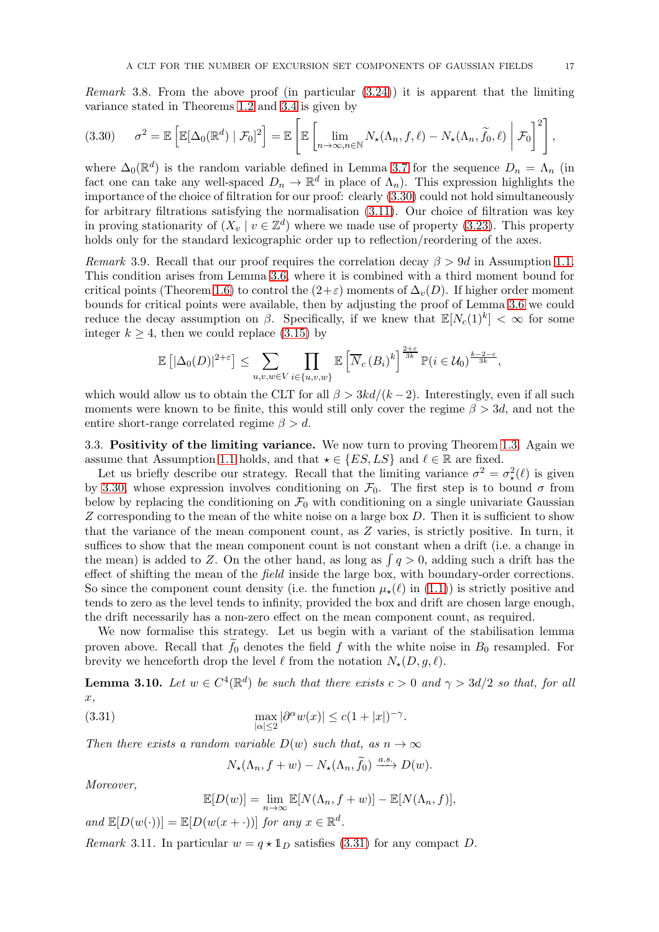*Remark* 3.8. From the above proof (in particular  $(3.24)$ ) it is apparent that the limiting variance stated in Theorems [1.2](#page-2-1) and [3.4](#page-10-0) is given by

<span id="page-16-1"></span>
$$
(3.30) \qquad \sigma^2 = \mathbb{E}\left[\mathbb{E}[\Delta_0(\mathbb{R}^d) \mid \mathcal{F}_0]^2\right] = \mathbb{E}\left[\mathbb{E}\left[\lim_{n\to\infty, n\in\mathbb{N}} N_\star(\Lambda_n, f, \ell) - N_\star(\Lambda_n, \widetilde{f}_0, \ell) \middle| \mathcal{F}_0\right]^2\right],
$$

where  $\Delta_0(\mathbb{R}^d)$  is the random variable defined in Lemma [3.7](#page-13-1) for the sequence  $D_n = \Lambda_n$  (in fact one can take any well-spaced  $D_n \to \mathbb{R}^d$  in place of  $\Lambda_n$ ). This expression highlights the importance of the choice of filtration for our proof: clearly [\(3.30\)](#page-16-1) could not hold simultaneously for arbitrary filtrations satisfying the normalisation [\(3.11\)](#page-10-2). Our choice of filtration was key in proving stationarity of  $(X_v | v \in \mathbb{Z}^d)$  where we made use of property [\(3.23\)](#page-14-3). This property holds only for the standard lexicographic order up to reflection/reordering of the axes.

<span id="page-16-0"></span>Remark 3.9. Recall that our proof requires the correlation decay  $\beta > 9d$  in Assumption [1.1.](#page-2-0) This condition arises from Lemma [3.6,](#page-11-2) where it is combined with a third moment bound for critical points (Theorem [1.6\)](#page-3-0) to control the  $(2+\varepsilon)$  moments of  $\Delta_v(D)$ . If higher order moment bounds for critical points were available, then by adjusting the proof of Lemma [3.6](#page-11-2) we could reduce the decay assumption on  $\beta$ . Specifically, if we knew that  $\mathbb{E}[N_c(1)^k] < \infty$  for some integer  $k \geq 4$ , then we could replace [\(3.15\)](#page-12-3) by

$$
\mathbb{E}\left[|\Delta_0(D)|^{2+\varepsilon}\right] \leq \sum_{u,v,w \in V} \prod_{i \in \{u,v,w\}} \mathbb{E}\left[\overline{N}_c(B_i)^k\right]^{\frac{2+\varepsilon}{3k}} \mathbb{P}(i \in \mathcal{U}_0)^{\frac{k-2-\varepsilon}{3k}},
$$

which would allow us to obtain the CLT for all  $\beta > 3kd/(k-2)$ . Interestingly, even if all such moments were known to be finite, this would still only cover the regime  $\beta > 3d$ , and not the entire short-range correlated regime  $\beta > d$ .

3.3. Positivity of the limiting variance. We now turn to proving Theorem [1.3.](#page-3-1) Again we assume that Assumption [1.1](#page-2-0) holds, and that  $\star \in \{ES, LS\}$  and  $\ell \in \mathbb{R}$  are fixed.

Let us briefly describe our strategy. Recall that the limiting variance  $\sigma^2 = \sigma^2_*(\ell)$  is given by [3.30,](#page-16-1) whose expression involves conditioning on  $\mathcal{F}_0$ . The first step is to bound  $\sigma$  from below by replacing the conditioning on  $\mathcal{F}_0$  with conditioning on a single univariate Gaussian Z corresponding to the mean of the white noise on a large box  $D$ . Then it is sufficient to show that the variance of the mean component count, as Z varies, is strictly positive. In turn, it suffices to show that the mean component count is not constant when a drift (i.e. a change in the mean) is added to Z. On the other hand, as long as  $\int q > 0$ , adding such a drift has the effect of shifting the mean of the *field* inside the large box, with boundary-order corrections. So since the component count density (i.e. the function  $\mu_{\star}(\ell)$  in [\(1.1\)](#page-1-0)) is strictly positive and tends to zero as the level tends to infinity, provided the box and drift are chosen large enough, the drift necessarily has a non-zero effect on the mean component count, as required.

We now formalise this strategy. Let us begin with a variant of the stabilisation lemma proven above. Recall that  $f_0$  denotes the field  $f$  with the white noise in  $B_0$  resampled. For brevity we henceforth drop the level  $\ell$  from the notation  $N_*(D, q, \ell)$ .

<span id="page-16-3"></span>**Lemma 3.10.** Let  $w \in C^4(\mathbb{R}^d)$  be such that there exists  $c > 0$  and  $\gamma > 3d/2$  so that, for all x,

(3.31) 
$$
\max_{|\alpha| \le 2} |\partial^{\alpha} w(x)| \le c(1+|x|)^{-\gamma}.
$$

Then there exists a random variable  $D(w)$  such that, as  $n \to \infty$ 

<span id="page-16-2"></span>
$$
N_{\star}(\Lambda_n, f+w) - N_{\star}(\Lambda_n, \widetilde{f}_0) \xrightarrow{a.s.} D(w).
$$

Moreover,

$$
\mathbb{E}[D(w)] = \lim_{n \to \infty} \mathbb{E}[N(\Lambda_n, f+w)] - \mathbb{E}[N(\Lambda_n, f)],
$$

and  $\mathbb{E}[D(w(\cdot))] = \mathbb{E}[D(w(x + \cdot))]$  for any  $x \in \mathbb{R}^d$ .

Remark 3.11. In particular  $w = q \star \mathbb{1}_D$  satisfies [\(3.31\)](#page-16-2) for any compact D.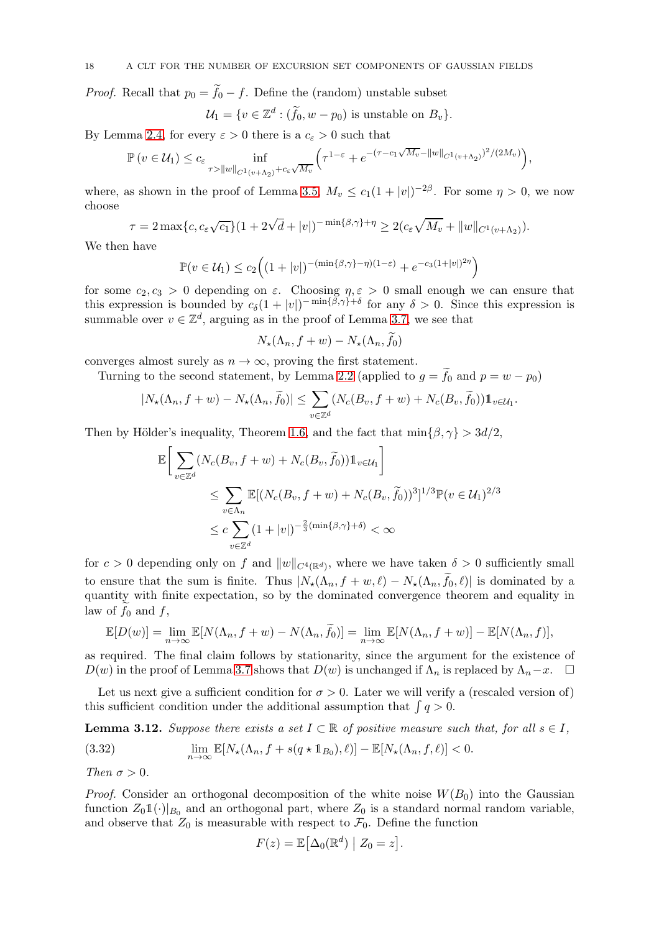*Proof.* Recall that  $p_0 = f_0 - f$ . Define the (random) unstable subset

$$
\mathcal{U}_1 = \{ v \in \mathbb{Z}^d : (\widetilde{f}_0, w - p_0) \text{ is unstable on } B_v \}.
$$

By Lemma [2.4,](#page-6-3) for every  $\varepsilon > 0$  there is a  $c_{\varepsilon} > 0$  such that

$$
\mathbb{P}\left(v \in \mathcal{U}_1\right) \le c_{\varepsilon} \inf_{\tau > \|w\|_{C^1(v+\Lambda_2)} + c_{\varepsilon}\sqrt{M_v}} \left(\tau^{1-\varepsilon} + e^{-(\tau-c_1\sqrt{M_v}-\|w\|_{C^1(v+\Lambda_2)})^2/(2M_v)}\right),
$$

where, as shown in the proof of Lemma [3.5,](#page-11-1)  $M_v \le c_1(1+|v|)^{-2\beta}$ . For some  $\eta > 0$ , we now choose

$$
\tau = 2 \max\{c, c_{\varepsilon} \sqrt{c_1}\} (1 + 2\sqrt{d} + |v|)^{-\min\{\beta, \gamma\} + \eta} \ge 2(c_{\varepsilon} \sqrt{M_v} + ||w||_{C^1(v + \Lambda_2)}).
$$

We then have

$$
\mathbb{P}(v \in \mathcal{U}_1) \le c_2 \Big( (1+|v|)^{-(\min\{\beta,\gamma\}-\eta)(1-\varepsilon)} + e^{-c_3(1+|v|)^{2\eta}} \Big)
$$

for some  $c_2, c_3 > 0$  depending on  $\varepsilon$ . Choosing  $\eta, \varepsilon > 0$  small enough we can ensure that this expression is bounded by  $c_{\delta}(1+|v|)^{-\min{\{\beta,\gamma\}}+\delta}$  for any  $\delta > 0$ . Since this expression is summable over  $v \in \mathbb{Z}^d$ , arguing as in the proof of Lemma [3.7,](#page-13-1) we see that

$$
N_{\star}(\Lambda_n, f+w) - N_{\star}(\Lambda_n, f_0)
$$

converges almost surely as  $n \to \infty$ , proving the first statement.

Turning to the second statement, by Lemma [2.2](#page-5-2) (applied to  $g = f_0$  and  $p = w - p_0$ )

$$
|N_{\star}(\Lambda_n, f+w) - N_{\star}(\Lambda_n, \widetilde{f}_0)| \leq \sum_{v \in \mathbb{Z}^d} (N_c(B_v, f+w) + N_c(B_v, \widetilde{f}_0)) \mathbb{1}_{v \in \mathcal{U}_1}.
$$

Then by Hölder's inequality, Theorem [1.6,](#page-3-0) and the fact that  $\min\{\beta, \gamma\} > 3d/2$ ,

$$
\mathbb{E}\Big[\sum_{v\in\mathbb{Z}^d} (N_c(B_v, f+w) + N_c(B_v, \tilde{f}_0))\mathbb{1}_{v\in\mathcal{U}_1}\Big]
$$
\n
$$
\leq \sum_{v\in\Lambda_n} \mathbb{E}[(N_c(B_v, f+w) + N_c(B_v, \tilde{f}_0))^3]^{1/3} \mathbb{P}(v \in \mathcal{U}_1)^{2/3}
$$
\n
$$
\leq c \sum_{v\in\mathbb{Z}^d} (1+|v|)^{-\frac{2}{3}(\min\{\beta,\gamma\}+\delta)} < \infty
$$

for  $c > 0$  depending only on f and  $||w||_{C^4(\mathbb{R}^d)}$ , where we have taken  $\delta > 0$  sufficiently small to ensure that the sum is finite. Thus  $|N_{\star}(\Lambda_n, f+w, \ell) - N_{\star}(\Lambda_n, f_0, \ell)|$  is dominated by a quantity with finite expectation, so by the dominated convergence theorem and equality in law of  $f_0$  and  $f$ ,

$$
\mathbb{E}[D(w)] = \lim_{n \to \infty} \mathbb{E}[N(\Lambda_n, f + w) - N(\Lambda_n, \widetilde{f}_0)] = \lim_{n \to \infty} \mathbb{E}[N(\Lambda_n, f + w)] - \mathbb{E}[N(\Lambda_n, f)],
$$

as required. The final claim follows by stationarity, since the argument for the existence of  $D(w)$  in the proof of Lemma [3.7](#page-13-1) shows that  $D(w)$  is unchanged if  $\Lambda_n$  is replaced by  $\Lambda_n-x$ .  $\Box$ 

Let us next give a sufficient condition for  $\sigma > 0$ . Later we will verify a (rescaled version of) this sufficient condition under the additional assumption that  $\int q > 0$ .

<span id="page-17-1"></span>**Lemma 3.12.** Suppose there exists a set  $I \subset \mathbb{R}$  of positive measure such that, for all  $s \in I$ ,

<span id="page-17-0"></span>(3.32) 
$$
\lim_{n \to \infty} \mathbb{E}[N_{\star}(\Lambda_n, f + s(q \star \mathbb{1}_{B_0}), \ell)] - \mathbb{E}[N_{\star}(\Lambda_n, f, \ell)] < 0.
$$

Then  $\sigma > 0$ .

*Proof.* Consider an orthogonal decomposition of the white noise  $W(B_0)$  into the Gaussian function  $Z_0 \mathbb{1}(\cdot)|_{B_0}$  and an orthogonal part, where  $Z_0$  is a standard normal random variable, and observe that  $Z_0$  is measurable with respect to  $\mathcal{F}_0$ . Define the function

$$
F(z) = \mathbb{E} \big[ \Delta_0(\mathbb{R}^d) \big| Z_0 = z \big].
$$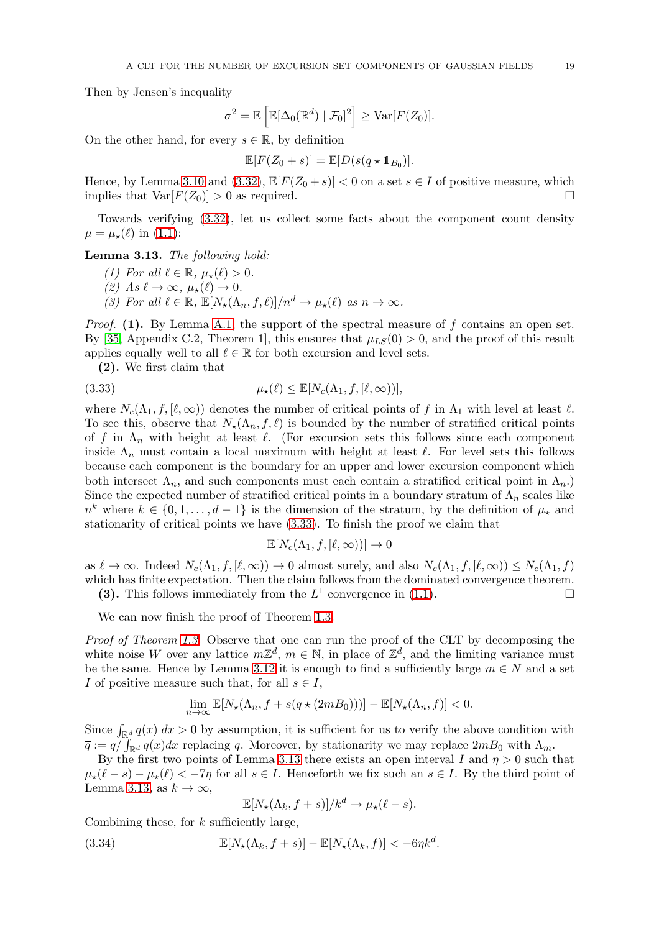Then by Jensen's inequality

$$
\sigma^2 = \mathbb{E}\left[\mathbb{E}[\Delta_0(\mathbb{R}^d) | \mathcal{F}_0]^2\right] \geq \text{Var}[F(Z_0)].
$$

On the other hand, for every  $s \in \mathbb{R}$ , by definition

$$
\mathbb{E}[F(Z_0+s)] = \mathbb{E}[D(s(q \star \mathbb{1}_{B_0})].
$$

Hence, by Lemma [3.10](#page-16-3) and [\(3.32\)](#page-17-0),  $\mathbb{E}[F(Z_0 + s)] < 0$  on a set  $s \in I$  of positive measure, which implies that  $\text{Var}[F(Z_0)] > 0$  as required. implies that  $Var[F(Z_0)] > 0$  as required.

Towards verifying [\(3.32\)](#page-17-0), let us collect some facts about the component count density  $\mu = \mu_{\star}(\ell)$  in [\(1.1\)](#page-1-0):

<span id="page-18-1"></span>Lemma 3.13. The following hold:

- (1) For all  $\ell \in \mathbb{R}$ ,  $\mu_{\star}(\ell) > 0$ .
- (2) As  $\ell \to \infty$ ,  $\mu_{\star}(\ell) \to 0$ .
- (3) For all  $\ell \in \mathbb{R}$ ,  $\mathbb{E}[N_{\star}(\Lambda_n, f, \ell)]/n^d \to \mu_{\star}(\ell)$  as  $n \to \infty$ .

*Proof.* (1). By Lemma [A.1,](#page-29-0) the support of the spectral measure of f contains an open set. By [\[35,](#page-32-8) Appendix C.2, Theorem 1], this ensures that  $\mu_{LS}(0) > 0$ , and the proof of this result applies equally well to all  $\ell \in \mathbb{R}$  for both excursion and level sets.

(2). We first claim that

(3.33) 
$$
\mu_{\star}(\ell) \leq \mathbb{E}[N_c(\Lambda_1, f, [\ell, \infty))],
$$

where  $N_c(\Lambda_1, f, [\ell, \infty))$  denotes the number of critical points of f in  $\Lambda_1$  with level at least  $\ell$ . To see this, observe that  $N_{\star}(\Lambda_n, f, \ell)$  is bounded by the number of stratified critical points of f in  $\Lambda_n$  with height at least  $\ell$ . (For excursion sets this follows since each component inside  $\Lambda_n$  must contain a local maximum with height at least  $\ell$ . For level sets this follows because each component is the boundary for an upper and lower excursion component which both intersect  $\Lambda_n$ , and such components must each contain a stratified critical point in  $\Lambda_n$ .) Since the expected number of stratified critical points in a boundary stratum of  $\Lambda_n$  scales like  $n^k$  where  $k \in \{0, 1, \ldots, d-1\}$  is the dimension of the stratum, by the definition of  $\mu_{\star}$  and stationarity of critical points we have [\(3.33\)](#page-18-0). To finish the proof we claim that

<span id="page-18-0"></span>
$$
\mathbb{E}[N_c(\Lambda_1, f, [\ell, \infty))] \to 0
$$

as  $\ell \to \infty$ . Indeed  $N_c(\Lambda_1, f, [\ell, \infty)) \to 0$  almost surely, and also  $N_c(\Lambda_1, f, [\ell, \infty)) \leq N_c(\Lambda_1, f)$ which has finite expectation. Then the claim follows from the dominated convergence theorem. (3). This follows immediately from the  $L^1$  convergence in [\(1.1\)](#page-1-0).

We can now finish the proof of Theorem [1.3:](#page-3-1)

Proof of Theorem [1.3.](#page-3-1) Observe that one can run the proof of the CLT by decomposing the white noise W over any lattice  $m\mathbb{Z}^d$ ,  $m \in \mathbb{N}$ , in place of  $\mathbb{Z}^d$ , and the limiting variance must be the same. Hence by Lemma [3.12](#page-17-1) it is enough to find a sufficiently large  $m \in N$  and a set I of positive measure such that, for all  $s \in I$ ,

$$
\lim_{n\to\infty}\mathbb{E}[N_{\star}(\Lambda_n,f+s(q\star(2mB_0)))]-\mathbb{E}[N_{\star}(\Lambda_n,f)]<0.
$$

Since  $\int_{\mathbb{R}^d} q(x) dx > 0$  by assumption, it is sufficient for us to verify the above condition with  $\overline{q} := q \int_{\mathbb{R}^d} q(x) dx$  replacing q. Moreover, by stationarity we may replace  $2mB_0$  with  $\Lambda_m$ .

By the first two points of Lemma [3.13](#page-18-1) there exists an open interval I and  $\eta > 0$  such that  $\mu_{\star}(\ell - s) - \mu_{\star}(\ell) < -7\eta$  for all  $s \in I$ . Henceforth we fix such an  $s \in I$ . By the third point of Lemma [3.13,](#page-18-1) as  $k \to \infty$ ,

<span id="page-18-2"></span>
$$
\mathbb{E}[N_{\star}(\Lambda_k, f+s)]/k^d \to \mu_{\star}(\ell-s).
$$

Combining these, for  $k$  sufficiently large,

(3.34) 
$$
\mathbb{E}[N_{\star}(\Lambda_k, f+s)] - \mathbb{E}[N_{\star}(\Lambda_k, f)] < -6\eta k^d.
$$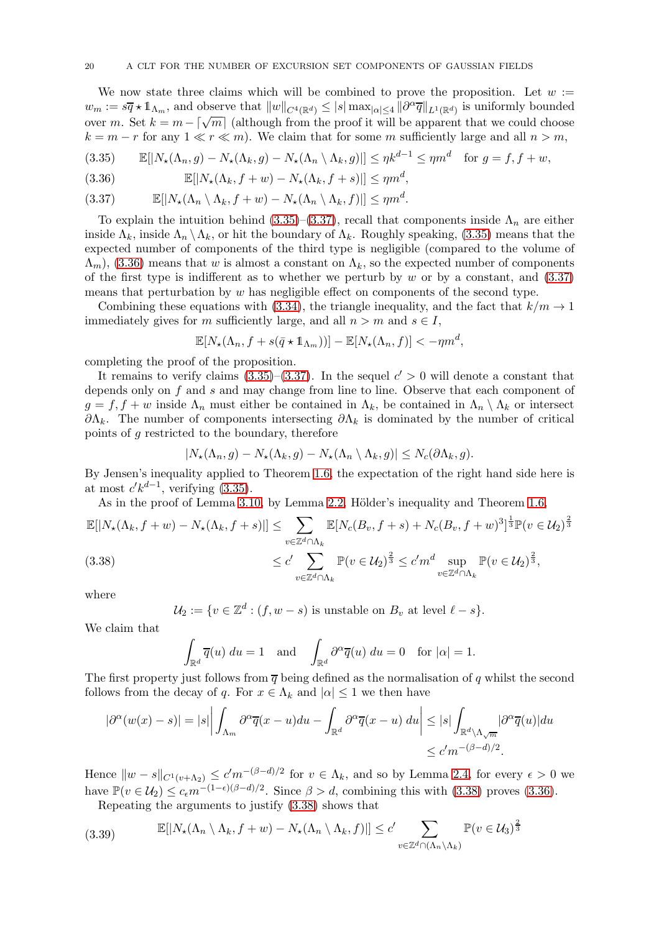We now state three claims which will be combined to prove the proposition. Let  $w :=$  $w_m := s\overline{q} \star 1\!\!1_{\Lambda_m}$ , and observe that  $||w||_{C^4(\mathbb{R}^d)} \leq |s| \max_{|\alpha| \leq 4} |\partial^\alpha \overline{q}| |_{L^1(\mathbb{R}^d)}$  is uniformly bounded over m. Set  $k = m - \lceil \sqrt{m} \rceil$  (although from the proof it will be apparent that we could choose  $k = m - r$  for any  $1 \ll r \ll m$ ). We claim that for some m sufficiently large and all  $n > m$ ,

<span id="page-19-0"></span>
$$
(3.35) \qquad \mathbb{E}[|N_{\star}(\Lambda_n, g) - N_{\star}(\Lambda_k, g) - N_{\star}(\Lambda_n \setminus \Lambda_k, g)|] \le \eta k^{d-1} \le \eta m^d \quad \text{for } g = f, f + w,
$$

<span id="page-19-2"></span>(3.36) 
$$
\mathbb{E}[|N_{\star}(\Lambda_k, f+w) - N_{\star}(\Lambda_k, f+s)|] \leq \eta m^d,
$$

<span id="page-19-1"></span>
$$
(3.37) \t\t \mathbb{E}[|N_{\star}(\Lambda_n \setminus \Lambda_k, f+w) - N_{\star}(\Lambda_n \setminus \Lambda_k, f)|] \le \eta m^d.
$$

To explain the intuition behind [\(3.35\)](#page-19-0)–[\(3.37\)](#page-19-1), recall that components inside  $\Lambda_n$  are either inside  $\Lambda_k$ , inside  $\Lambda_n \setminus \Lambda_k$ , or hit the boundary of  $\Lambda_k$ . Roughly speaking, [\(3.35\)](#page-19-0) means that the expected number of components of the third type is negligible (compared to the volume of  $(\Lambda_m)$ , [\(3.36\)](#page-19-2) means that w is almost a constant on  $\Lambda_k$ , so the expected number of components of the first type is indifferent as to whether we perturb by  $w$  or by a constant, and  $(3.37)$ means that perturbation by w has negligible effect on components of the second type.

Combining these equations with [\(3.34\)](#page-18-2), the triangle inequality, and the fact that  $k/m \to 1$ immediately gives for m sufficiently large, and all  $n > m$  and  $s \in I$ ,

$$
\mathbb{E}[N_{\star}(\Lambda_n, f + s(\bar{q} \star \mathbb{1}_{\Lambda_m}))] - \mathbb{E}[N_{\star}(\Lambda_n, f)] < -\eta m^d,
$$

completing the proof of the proposition.

It remains to verify claims  $(3.35)$ – $(3.37)$ . In the sequel  $c' > 0$  will denote a constant that depends only on f and s and may change from line to line. Observe that each component of  $g = f, f + w$  inside  $\Lambda_n$  must either be contained in  $\Lambda_k$ , be contained in  $\Lambda_n \setminus \Lambda_k$  or intersect  $\partial \Lambda_k$ . The number of components intersecting  $\partial \Lambda_k$  is dominated by the number of critical points of g restricted to the boundary, therefore

$$
|N_{\star}(\Lambda_n, g) - N_{\star}(\Lambda_k, g) - N_{\star}(\Lambda_n \setminus \Lambda_k, g)| \leq N_c(\partial \Lambda_k, g).
$$

By Jensen's inequality applied to Theorem [1.6,](#page-3-0) the expectation of the right hand side here is at most  $c' k^{d-1}$ , verifying [\(3.35\)](#page-19-0).

As in the proof of Lemma [3.10,](#page-16-3) by Lemma [2.2,](#page-5-2) Hölder's inequality and Theorem [1.6,](#page-3-0)

<span id="page-19-3"></span>
$$
\mathbb{E}[|N_{\star}(\Lambda_k, f+w) - N_{\star}(\Lambda_k, f+s)|] \leq \sum_{v \in \mathbb{Z}^d \cap \Lambda_k} \mathbb{E}[N_c(B_v, f+s) + N_c(B_v, f+w)^3]^{\frac{1}{3}} \mathbb{P}(v \in \mathcal{U}_2)^{\frac{2}{3}}
$$
  
(3.38)  

$$
\leq c' \sum_{v \in \mathbb{Z}^d \cap \Lambda_k} \mathbb{P}(v \in \mathcal{U}_2)^{\frac{2}{3}} \leq c' m^d \sup_{v \in \mathbb{Z}^d \cap \Lambda_k} \mathbb{P}(v \in \mathcal{U}_2)^{\frac{2}{3}},
$$

where

$$
\mathcal{U}_2 := \{ v \in \mathbb{Z}^d : (f, w - s) \text{ is unstable on } B_v \text{ at level } \ell - s \}.
$$

We claim that

$$
\int_{\mathbb{R}^d} \overline{q}(u) \ du = 1 \quad \text{and} \quad \int_{\mathbb{R}^d} \partial^{\alpha} \overline{q}(u) \ du = 0 \quad \text{for } |\alpha| = 1.
$$

The first property just follows from  $\overline{q}$  being defined as the normalisation of q whilst the second follows from the decay of q. For  $x \in \Lambda_k$  and  $|\alpha| \leq 1$  we then have

$$
|\partial^{\alpha}(w(x)-s)|=|s|\bigg|\int_{\Lambda_m}\partial^{\alpha}\overline{q}(x-u)du-\int_{\mathbb{R}^d}\partial^{\alpha}\overline{q}(x-u) du\bigg|\leq|s|\int_{\mathbb{R}^d\setminus\Lambda_{\sqrt{m}}}|\partial^{\alpha}\overline{q}(u)|du
$$
  

$$
\leq c'm^{-(\beta-d)/2}.
$$

Hence  $\|w-s\|_{C^1(v+\Lambda_2)} \le c'm^{-(\beta-d)/2}$  for  $v \in \Lambda_k$ , and so by Lemma [2.4,](#page-6-3) for every  $\epsilon > 0$  we have  $\mathbb{P}(v \in \mathcal{U}_2) \leq c_{\epsilon} m^{-(1-\epsilon)(\beta-d)/2}$ . Since  $\beta > d$ , combining this with [\(3.38\)](#page-19-3) proves [\(3.36\)](#page-19-2).

<span id="page-19-4"></span>Repeating the arguments to justify [\(3.38\)](#page-19-3) shows that

(3.39) 
$$
\mathbb{E}[|N_{\star}(\Lambda_n \setminus \Lambda_k, f+w) - N_{\star}(\Lambda_n \setminus \Lambda_k, f)|] \le c' \sum_{v \in \mathbb{Z}^d \cap (\Lambda_n \setminus \Lambda_k)} \mathbb{P}(v \in \mathcal{U}_3)^{\frac{2}{3}}
$$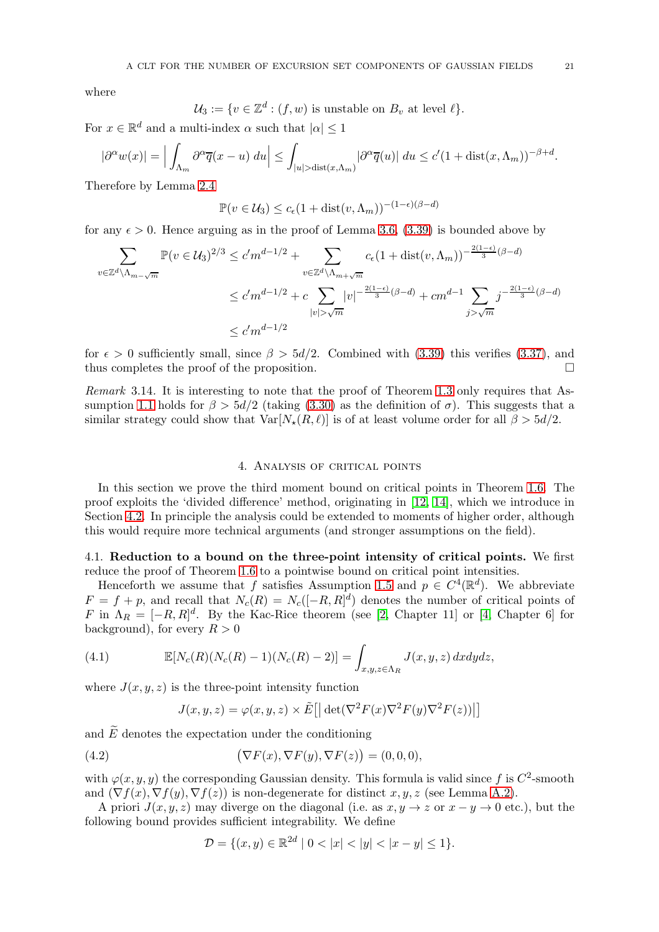where

$$
\mathcal{U}_3 := \{ v \in \mathbb{Z}^d : (f, w) \text{ is unstable on } B_v \text{ at level } \ell \}.
$$

For  $x \in \mathbb{R}^d$  and a multi-index  $\alpha$  such that  $|\alpha| \leq 1$ 

$$
|\partial^{\alpha}w(x)| = \Big| \int_{\Lambda_m} \partial^{\alpha}\overline{q}(x-u) \ du \Big| \leq \int_{|u| > \text{dist}(x,\Lambda_m)} |\partial^{\alpha}\overline{q}(u)| \ du \leq c'(1+\text{dist}(x,\Lambda_m))^{-\beta+d}.
$$

Therefore by Lemma [2.4](#page-6-3)

 $\mathbb{P}(v \in \mathcal{U}_3) \leq c_{\epsilon}(1 + \text{dist}(v, \Lambda_m))^{-(1-\epsilon)(\beta - d)}$ 

for any  $\epsilon > 0$ . Hence arguing as in the proof of Lemma [3.6,](#page-11-2) [\(3.39\)](#page-19-4) is bounded above by

$$
\sum_{v \in \mathbb{Z}^d \backslash \Lambda_{m-\sqrt{m}}} \mathbb{P}(v \in \mathcal{U}_3)^{2/3} \le c' m^{d-1/2} + \sum_{v \in \mathbb{Z}^d \backslash \Lambda_{m+\sqrt{m}}} c_{\epsilon} (1 + \text{dist}(v, \Lambda_m))^{-\frac{2(1-\epsilon)}{3}(\beta - d)}
$$
  

$$
\le c' m^{d-1/2} + c \sum_{|v| > \sqrt{m}} |v|^{-\frac{2(1-\epsilon)}{3}(\beta - d)} + cm^{d-1} \sum_{j > \sqrt{m}} j^{-\frac{2(1-\epsilon)}{3}(\beta - d)}
$$
  

$$
\le c' m^{d-1/2}
$$

for  $\epsilon > 0$  sufficiently small, since  $\beta > 5d/2$ . Combined with [\(3.39\)](#page-19-4) this verifies [\(3.37\)](#page-19-1), and thus completes the proof of the proposition.  $\Box$ 

Remark 3.14. It is interesting to note that the proof of Theorem [1.3](#page-3-1) only requires that As-sumption [1.1](#page-2-0) holds for  $\beta > 5d/2$  (taking [\(3.30\)](#page-16-1) as the definition of  $\sigma$ ). This suggests that a similar strategy could show that  $Var[N_{\star}(R, \ell)]$  is of at least volume order for all  $\beta > 5d/2$ .

## 4. Analysis of critical points

<span id="page-20-0"></span>In this section we prove the third moment bound on critical points in Theorem [1.6.](#page-3-0) The proof exploits the 'divided difference' method, originating in [\[12,](#page-31-10) [14\]](#page-31-11), which we introduce in Section [4.2.](#page-22-1) In principle the analysis could be extended to moments of higher order, although this would require more technical arguments (and stronger assumptions on the field).

4.1. Reduction to a bound on the three-point intensity of critical points. We first reduce the proof of Theorem [1.6](#page-3-0) to a pointwise bound on critical point intensities.

Henceforth we assume that f satisfies Assumption [1.5](#page-3-2) and  $p \in C^4(\mathbb{R}^d)$ . We abbreviate  $F = f + p$ , and recall that  $N_c(R) = N_c([-R, R]^d)$  denotes the number of critical points of  $F$  in  $\Lambda_R = [-R, R]^d$ . By the Kac-Rice theorem (see [\[2,](#page-31-13) Chapter 11] or [\[4,](#page-31-14) Chapter 6] for background), for every  $R > 0$ 

(4.1) 
$$
\mathbb{E}[N_c(R)(N_c(R) - 1)(N_c(R) - 2)] = \int_{x,y,z \in \Lambda_R} J(x,y,z) \, dxdydz,
$$

where  $J(x, y, z)$  is the three-point intensity function

<span id="page-20-1"></span>
$$
J(x, y, z) = \varphi(x, y, z) \times \tilde{E} \left[ \left| \det(\nabla^2 F(x) \nabla^2 F(y) \nabla^2 F(z)) \right| \right]
$$

and  $\tilde{E}$  denotes the expectation under the conditioning

(4.2) 
$$
(\nabla F(x), \nabla F(y), \nabla F(z)) = (0,0,0),
$$

with  $\varphi(x, y, y)$  the corresponding Gaussian density. This formula is valid since f is  $C^2$ -smooth and  $(\nabla f(x), \nabla f(y), \nabla f(z))$  is non-degenerate for distinct  $x, y, z$  (see Lemma [A.2\)](#page-29-1).

A priori  $J(x, y, z)$  may diverge on the diagonal (i.e. as  $x, y \to z$  or  $x - y \to 0$  etc.), but the following bound provides sufficient integrability. We define

$$
\mathcal{D} = \{(x, y) \in \mathbb{R}^{2d} \mid 0 < |x| < |y| < |x - y| \le 1\}.
$$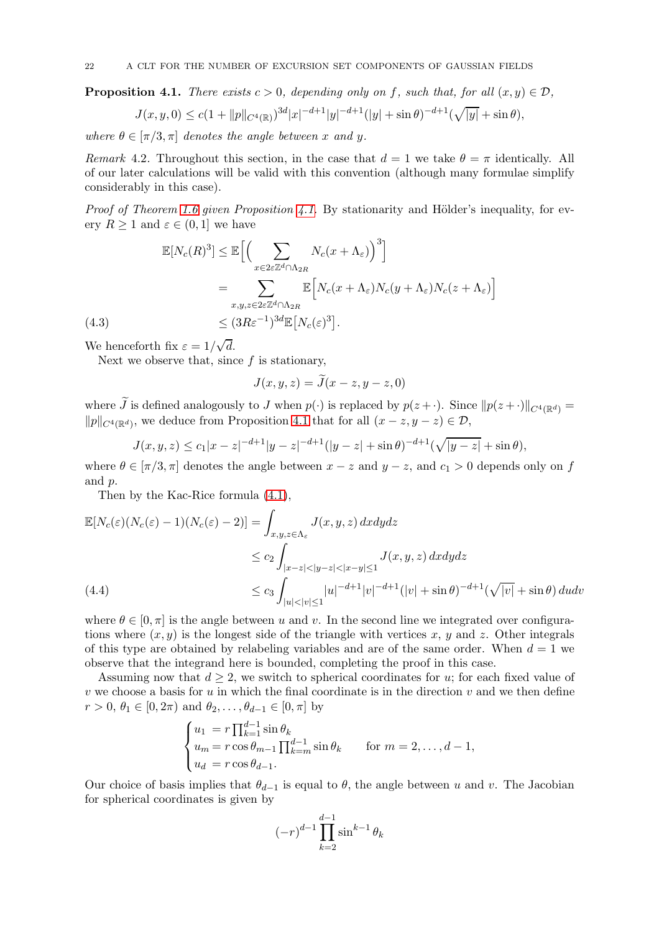<span id="page-21-0"></span>**Proposition 4.1.** There exists  $c > 0$ , depending only on f, such that, for all  $(x, y) \in \mathcal{D}$ ,

$$
J(x, y, 0) \le c(1 + ||p||_{C^{4}(\mathbb{R})})^{3d} |x|^{-d+1} |y|^{-d+1} (|y| + \sin \theta)^{-d+1} (\sqrt{|y|} + \sin \theta),
$$

where  $\theta \in [\pi/3, \pi]$  denotes the angle between x and y.

Remark 4.2. Throughout this section, in the case that  $d = 1$  we take  $\theta = \pi$  identically. All of our later calculations will be valid with this convention (although many formulae simplify considerably in this case).

Proof of Theorem [1.6](#page-3-0) given Proposition [4.1.](#page-21-0) By stationarity and Hölder's inequality, for every  $R \geq 1$  and  $\varepsilon \in (0, 1]$  we have

$$
\mathbb{E}[N_c(R)^3] \leq \mathbb{E}\Big[\Big(\sum_{x \in 2\varepsilon \mathbb{Z}^d \cap \Lambda_{2R}} N_c(x + \Lambda_{\varepsilon})\Big)^3\Big]
$$
  
= 
$$
\sum_{x,y,z \in 2\varepsilon \mathbb{Z}^d \cap \Lambda_{2R}} \mathbb{E}\Big[N_c(x + \Lambda_{\varepsilon})N_c(y + \Lambda_{\varepsilon})N_c(z + \Lambda_{\varepsilon})\Big]
$$
  
(4.3) 
$$
\leq (3R\varepsilon^{-1})^{3d} \mathbb{E}\big[N_c(\varepsilon)^3\big].
$$

<span id="page-21-2"></span>We henceforth fix  $\varepsilon = 1/\sqrt{d}$ .

Next we observe that, since  $f$  is stationary,

$$
J(x, y, z) = \widetilde{J}(x - z, y - z, 0)
$$

where  $\tilde{J}$  is defined analogously to J when  $p(\cdot)$  is replaced by  $p(z + \cdot)$ . Since  $||p(z + \cdot)||_{C^4(\mathbb{R}^d)} =$  $||p||_{C^{4}(\mathbb{R}^{d})}$ , we deduce from Proposition [4.1](#page-21-0) that for all  $(x - z, y - z) \in \mathcal{D}$ ,

$$
J(x, y, z) \le c_1 |x - z|^{-d+1} |y - z|^{-d+1} (|y - z| + \sin \theta)^{-d+1} (\sqrt{|y - z|} + \sin \theta),
$$

where  $\theta \in [\pi/3, \pi]$  denotes the angle between  $x - z$  and  $y - z$ , and  $c_1 > 0$  depends only on f and p.

Then by the Kac-Rice formula [\(4.1\)](#page-20-1),

$$
\mathbb{E}[N_c(\varepsilon)(N_c(\varepsilon)-1)(N_c(\varepsilon)-2)] = \int_{x,y,z \in \Lambda_{\varepsilon}} J(x,y,z) \, dxdydz
$$
  
\n
$$
\leq c_2 \int_{|x-z| < |y-z| < |x-y| \leq 1} J(x,y,z) \, dxdydz
$$
  
\n
$$
\leq c_3 \int_{|u| < |v| \leq 1} |u|^{-d+1} |v|^{-d+1} (|v| + \sin \theta)^{-d+1} (\sqrt{|v|} + \sin \theta) \, dudv
$$

<span id="page-21-1"></span>where  $\theta \in [0, \pi]$  is the angle between u and v. In the second line we integrated over configurations where  $(x, y)$  is the longest side of the triangle with vertices x, y and z. Other integrals of this type are obtained by relabeling variables and are of the same order. When  $d = 1$  we observe that the integrand here is bounded, completing the proof in this case.

Assuming now that  $d \geq 2$ , we switch to spherical coordinates for u; for each fixed value of  $v$  we choose a basis for u in which the final coordinate is in the direction  $v$  and we then define  $r > 0, \, \theta_1 \in [0, 2\pi) \text{ and } \theta_2, \ldots, \theta_{d-1} \in [0, \pi] \text{ by }$ 

$$
\begin{cases}\n u_1 = r \prod_{k=1}^{d-1} \sin \theta_k \\
 u_m = r \cos \theta_{m-1} \prod_{k=m}^{d-1} \sin \theta_k \\
 u_d = r \cos \theta_{d-1}.\n\end{cases} \quad \text{for } m = 2, \dots, d-1,
$$

Our choice of basis implies that  $\theta_{d-1}$  is equal to  $\theta$ , the angle between u and v. The Jacobian for spherical coordinates is given by

$$
(-r)^{d-1} \prod_{k=2}^{d-1} \sin^{k-1} \theta_k
$$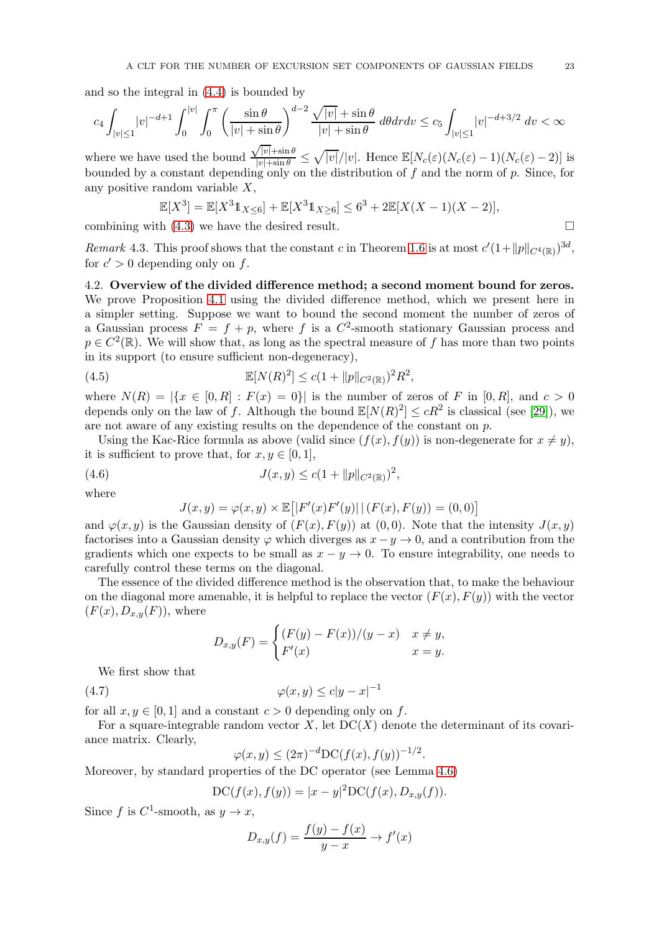and so the integral in [\(4.4\)](#page-21-1) is bounded by

$$
c_4\displaystyle\int_{|v|\leq 1}|v|^{-d+1}\displaystyle\int_{0}^{|v|}\displaystyle\int_{0}^{\pi}\left(\dfrac{\sin\theta}{|v|+\sin\theta}\right)^{d-2}\dfrac{\sqrt{|v|}+\sin\theta}{|v|+\sin\theta}\ d\theta dr d v\leq c_5\displaystyle\int_{|v|\leq 1}|v|^{-d+3/2}\ d v<\infty
$$

where we have used the bound  $\frac{\sqrt{|v|}+\sin\theta}{|v|+\sin\theta} \leq \sqrt{|v|}/|v|$ . Hence  $\mathbb{E}[N_c(\varepsilon)(N_c(\varepsilon)-1)(N_c(\varepsilon)-2)]$  is bounded by a constant depending only on the distribution of  $f$  and the norm of  $p$ . Since, for any positive random variable  $X$ ,

$$
\mathbb{E}[X^3] = \mathbb{E}[X^3 1_{X \le 6}] + \mathbb{E}[X^3 1_{X \ge 6}] \le 6^3 + 2\mathbb{E}[X(X-1)(X-2)],
$$

combining with  $(4.3)$  we have the desired result.

<span id="page-22-0"></span>Remark 4.3. This proof shows that the constant c in Theorem [1.6](#page-3-0) is at most  $c'(1+\|p\|_{C^4(\mathbb{R})})^{3d}$ , for  $c' > 0$  depending only on f.

<span id="page-22-1"></span>4.2. Overview of the divided difference method; a second moment bound for zeros. We prove Proposition [4.1](#page-21-0) using the divided difference method, which we present here in a simpler setting. Suppose we want to bound the second moment the number of zeros of a Gaussian process  $F = f + p$ , where f is a  $C^2$ -smooth stationary Gaussian process and  $p \in C^2(\mathbb{R})$ . We will show that, as long as the spectral measure of f has more than two points in its support (to ensure sufficient non-degeneracy),

(4.5) 
$$
\mathbb{E}[N(R)^{2}] \leq c(1 + ||p||_{C^{2}(\mathbb{R})})^{2}R^{2},
$$

where  $N(R) = |\{x \in [0, R] : F(x) = 0\}|$  is the number of zeros of F in [0, R], and  $c > 0$ depends only on the law of f. Although the bound  $\mathbb{E}[N(R)^2] \le cR^2$  is classical (see [\[29\]](#page-32-25)), we are not aware of any existing results on the dependence of the constant on  $p$ .

Using the Kac-Rice formula as above (valid since  $(f(x), f(y))$  is non-degenerate for  $x \neq y$ ), it is sufficient to prove that, for  $x, y \in [0, 1]$ ,

(4.6) 
$$
J(x,y) \le c(1 + ||p||_{C^{2}(\mathbb{R})})^{2},
$$

where

<span id="page-22-4"></span><span id="page-22-3"></span>
$$
J(x,y) = \varphi(x,y) \times \mathbb{E}[|F'(x)F'(y)| | (F(x), F(y)) = (0,0)]
$$

and  $\varphi(x, y)$  is the Gaussian density of  $(F(x), F(y))$  at  $(0, 0)$ . Note that the intensity  $J(x, y)$ factorises into a Gaussian density  $\varphi$  which diverges as  $x - y \to 0$ , and a contribution from the gradients which one expects to be small as  $x - y \rightarrow 0$ . To ensure integrability, one needs to carefully control these terms on the diagonal.

The essence of the divided difference method is the observation that, to make the behaviour on the diagonal more amenable, it is helpful to replace the vector  $(F(x), F(y))$  with the vector  $(F(x), D_{x,y}(F))$ , where

$$
D_{x,y}(F) = \begin{cases} (F(y) - F(x))/(y - x) & x \neq y, \\ F'(x) & x = y. \end{cases}
$$

We first show that

$$
(4.7) \qquad \qquad \varphi(x,y) \le c|y-x|^{-1}
$$

for all  $x, y \in [0, 1]$  and a constant  $c > 0$  depending only on f.

For a square-integrable random vector  $X$ , let  $DC(X)$  denote the determinant of its covariance matrix. Clearly,

<span id="page-22-2"></span>
$$
\varphi(x, y) \le (2\pi)^{-d} \text{DC}(f(x), f(y))^{-1/2}.
$$

Moreover, by standard properties of the DC operator (see Lemma [4.6\)](#page-24-0)

$$
DC(f(x), f(y)) = |x - y|^2 DC(f(x), D_{x,y}(f)).
$$

Since  $f$  is  $C^1$ -smooth, as  $y \to x$ ,

$$
D_{x,y}(f) = \frac{f(y) - f(x)}{y - x} \to f'(x)
$$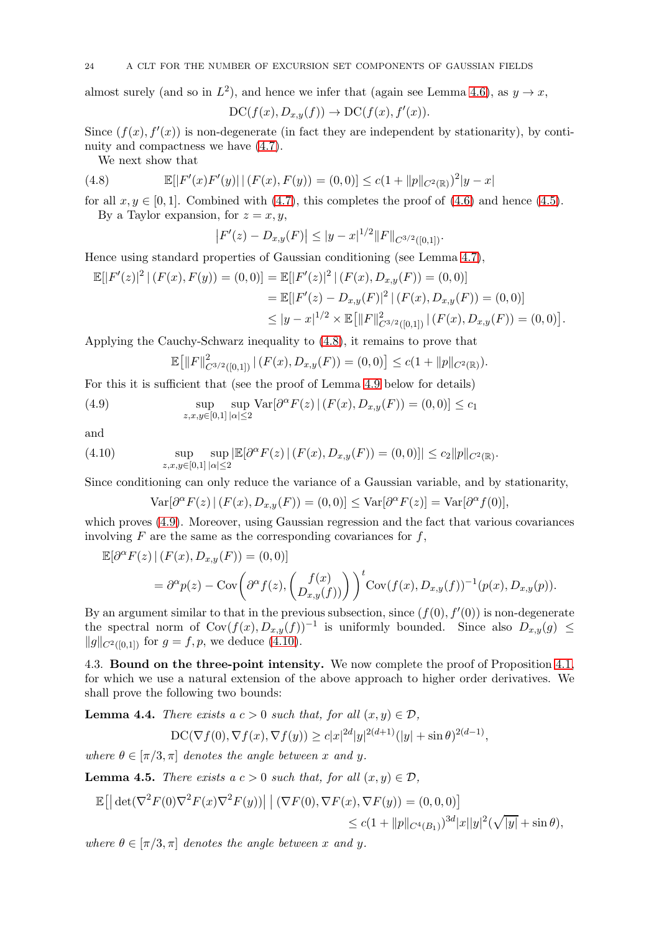## 24 A CLT FOR THE NUMBER OF EXCURSION SET COMPONENTS OF GAUSSIAN FIELDS

almost surely (and so in  $L^2$ ), and hence we infer that (again see Lemma [4.6\)](#page-24-0), as  $y \to x$ ,  $DC(f(x), D_{x,y}(f)) \rightarrow DC(f(x), f'(x)).$ 

Since  $(f(x), f'(x))$  is non-degenerate (in fact they are independent by stationarity), by continuity and compactness we have [\(4.7\)](#page-22-2).

<span id="page-23-0"></span>We next show that

(4.8) 
$$
\mathbb{E}[|F'(x)F'(y)| | (F(x), F(y)) = (0,0)] \leq c(1 + ||p||_{C^{2}(\mathbb{R})})^{2}|y - x|
$$

for all  $x, y \in [0, 1]$ . Combined with [\(4.7\)](#page-22-2), this completes the proof of [\(4.6\)](#page-22-3) and hence [\(4.5\)](#page-22-4). By a Taylor expansion, for  $z = x, y$ ,

$$
|F'(z) - D_{x,y}(F)| \le |y - x|^{1/2} ||F||_{C^{3/2}([0,1])}.
$$

Hence using standard properties of Gaussian conditioning (see Lemma [4.7\)](#page-24-1),

$$
\mathbb{E}[|F'(z)|^2 | (F(x), F(y)) = (0,0)] = \mathbb{E}[|F'(z)|^2 | (F(x), D_{x,y}(F)) = (0,0)]
$$
  
\n
$$
= \mathbb{E}[|F'(z) - D_{x,y}(F)|^2 | (F(x), D_{x,y}(F)) = (0,0)]
$$
  
\n
$$
\leq |y - x|^{1/2} \times \mathbb{E}[||F||^2_{C^{3/2}([0,1])} | (F(x), D_{x,y}(F)) = (0,0)].
$$

Applying the Cauchy-Schwarz inequality to [\(4.8\)](#page-23-0), it remains to prove that

<span id="page-23-1"></span>
$$
\mathbb{E}\big[\|F\|_{C^{3/2}([0,1])}^2 \,|\,(F(x),D_{x,y}(F))=(0,0)\big]\leq c(1+\|p\|_{C^2(\mathbb{R})}).
$$

For this it is sufficient that (see the proof of Lemma [4.9](#page-27-0) below for details)

(4.9) 
$$
\sup_{z,x,y\in[0,1]}\sup_{|\alpha|\leq 2} \text{Var}[\partial^{\alpha}F(z) | (F(x),D_{x,y}(F)) = (0,0)] \leq c_1
$$

and

(4.10) 
$$
\sup_{z,x,y\in[0,1]}\sup_{|\alpha|\leq 2}|\mathbb{E}[\partial^{\alpha}F(z)|\left(F(x),D_{x,y}(F)\right)=(0,0)]|\leq c_2\|p\|_{C^2(\mathbb{R})}.
$$

Since conditioning can only reduce the variance of a Gaussian variable, and by stationarity,

<span id="page-23-2"></span>
$$
\text{Var}[\partial^{\alpha} F(z) | (F(x), D_{x,y}(F)) = (0,0)] \leq \text{Var}[\partial^{\alpha} F(z)] = \text{Var}[\partial^{\alpha} f(0)],
$$

which proves [\(4.9\)](#page-23-1). Moreover, using Gaussian regression and the fact that various covariances involving  $F$  are the same as the corresponding covariances for  $f$ ,

$$
\mathbb{E}[\partial^{\alpha} F(z) | (F(x), D_{x,y}(F)) = (0,0)]
$$
  
=  $\partial^{\alpha} p(z) - \text{Cov}\left(\partial^{\alpha} f(z), \begin{pmatrix} f(x) \\ D_{x,y}(f) \end{pmatrix}\right)^{t} \text{Cov}(f(x), D_{x,y}(f))^{-1}(p(x), D_{x,y}(p)).$ 

By an argument similar to that in the previous subsection, since  $(f(0), f'(0))$  is non-degenerate the spectral norm of  $Cov(f(x), D_{x,y}(f))^{-1}$  is uniformly bounded. Since also  $D_{x,y}(g) \le$  $||g||_{C^{2}([0,1])}$  for  $g = f, p$ , we deduce [\(4.10\)](#page-23-2).

4.3. Bound on the three-point intensity. We now complete the proof of Proposition [4.1,](#page-21-0) for which we use a natural extension of the above approach to higher order derivatives. We shall prove the following two bounds:

<span id="page-23-3"></span>**Lemma 4.4.** There exists a  $c > 0$  such that, for all  $(x, y) \in \mathcal{D}$ ,

$$
\mathrm{DC}(\nabla f(0), \nabla f(x), \nabla f(y)) \ge c|x|^{2d}|y|^{2(d+1)}(|y| + \sin \theta)^{2(d-1)},
$$

where  $\theta \in [\pi/3, \pi]$  denotes the angle between x and y.

<span id="page-23-4"></span>**Lemma 4.5.** There exists a  $c > 0$  such that, for all  $(x, y) \in \mathcal{D}$ ,

$$
\mathbb{E}[\left| \det(\nabla^2 F(0) \nabla^2 F(x) \nabla^2 F(y)) \right| \left| (\nabla F(0), \nabla F(x), \nabla F(y)) = (0, 0, 0) \right] \le c(1 + ||p||_{C^4(B_1)})^{3d} |x||y|^2 (\sqrt{|y|} + \sin \theta),
$$

where  $\theta \in [\pi/3, \pi]$  denotes the angle between x and y.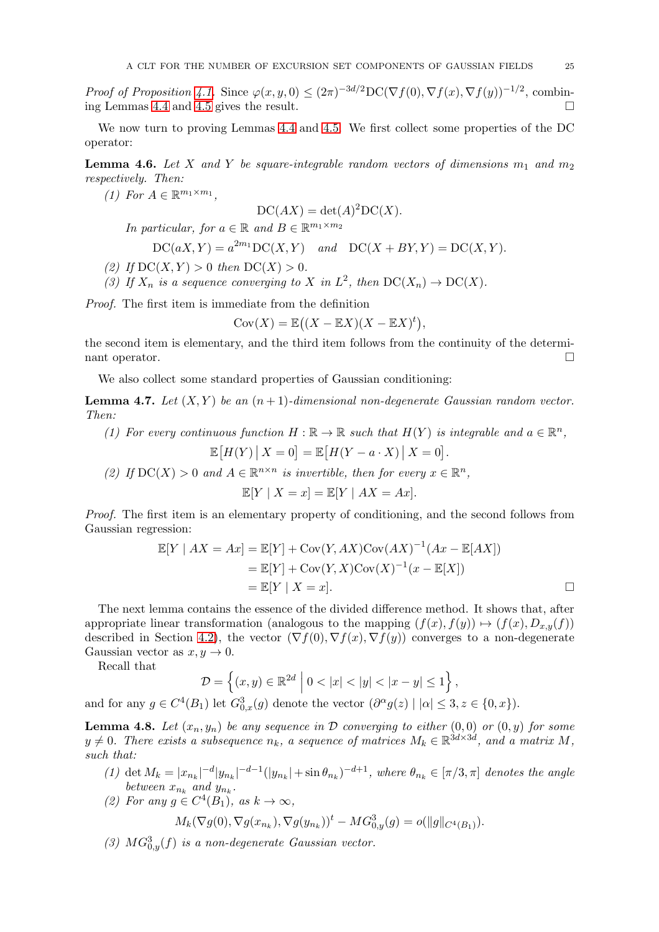Proof of Proposition [4.1.](#page-21-0) Since  $\varphi(x, y, 0) \leq (2\pi)^{-3d/2} \text{DC}(\nabla f(0), \nabla f(x), \nabla f(y))^{-1/2}$ , combining Lemmas [4.4](#page-23-3) and [4.5](#page-23-4) gives the result.

We now turn to proving Lemmas [4.4](#page-23-3) and [4.5.](#page-23-4) We first collect some properties of the DC operator:

<span id="page-24-0"></span>**Lemma 4.6.** Let X and Y be square-integrable random vectors of dimensions  $m_1$  and  $m_2$ respectively. Then:

(1) For  $A \in \mathbb{R}^{m_1 \times m_1}$ ,

 $DC(AX) = det(A)^{2}DC(X).$ In particular, for  $a \in \mathbb{R}$  and  $B \in \mathbb{R}^{m_1 \times m_2}$  $DC(aX, Y) = a^{2m_1}DC(X, Y)$  and  $DC(X + BY, Y) = DC(X, Y)$ .

- (2) If  $DC(X, Y) > 0$  then  $DC(X) > 0$ .
- (3) If  $X_n$  is a sequence converging to X in  $L^2$ , then  $DC(X_n) \to DC(X)$ .

Proof. The first item is immediate from the definition

$$
Cov(X) = \mathbb{E}\left((X - \mathbb{E}X)(X - \mathbb{E}X)^t\right),\,
$$

the second item is elementary, and the third item follows from the continuity of the determinant operator.

We also collect some standard properties of Gaussian conditioning:

<span id="page-24-1"></span>**Lemma 4.7.** Let  $(X, Y)$  be an  $(n + 1)$ -dimensional non-degenerate Gaussian random vector. Then:

(1) For every continuous function  $H : \mathbb{R} \to \mathbb{R}$  such that  $H(Y)$  is integrable and  $a \in \mathbb{R}^n$ ,  $\mathbb{E}[H(Y) | X = 0] = \mathbb{E}[H(Y - a \cdot X) | X = 0].$ 

(2) If  $DC(X) > 0$  and  $A \in \mathbb{R}^{n \times n}$  is invertible, then for every  $x \in \mathbb{R}^n$ ,

$$
\mathbb{E}[Y \mid X = x] = \mathbb{E}[Y \mid AX = Ax].
$$

Proof. The first item is an elementary property of conditioning, and the second follows from Gaussian regression:

$$
\mathbb{E}[Y \mid AX = Ax] = \mathbb{E}[Y] + \text{Cov}(Y, AX)\text{Cov}(AX)^{-1}(Ax - \mathbb{E}[AX])
$$
  
=  $\mathbb{E}[Y] + \text{Cov}(Y, X)\text{Cov}(X)^{-1}(x - \mathbb{E}[X])$   
=  $\mathbb{E}[Y \mid X = x].$ 

The next lemma contains the essence of the divided difference method. It shows that, after appropriate linear transformation (analogous to the mapping  $(f(x), f(y)) \mapsto (f(x), D_{x,y}(f))$ described in Section [4.2\)](#page-22-1), the vector  $(\nabla f(0), \nabla f(x), \nabla f(y))$  converges to a non-degenerate Gaussian vector as  $x, y \to 0$ .

Recall that

$$
\mathcal{D} = \left\{ (x, y) \in \mathbb{R}^{2d} \; \middle| \; 0 < |x| < |y| < |x - y| \le 1 \right\},\
$$

and for any  $g \in C^4(B_1)$  let  $G_{0,x}^3(g)$  denote the vector  $(\partial^{\alpha} g(z) \mid |\alpha| \leq 3, z \in \{0, x\})$ .

<span id="page-24-2"></span>**Lemma 4.8.** Let  $(x_n, y_n)$  be any sequence in  $D$  converging to either  $(0, 0)$  or  $(0, y)$  for some  $y \neq 0$ . There exists a subsequence  $n_k$ , a sequence of matrices  $M_k \in \mathbb{R}^{3d \times 3d}$ , and a matrix M, such that:

- (1) det  $M_k = |x_{n_k}|^{-d} |y_{n_k}|^{-d-1} (|y_{n_k}| + \sin \theta_{n_k})^{-d+1}$ , where  $\theta_{n_k} \in [\pi/3, \pi]$  denotes the angle between  $x_{n_k}$  and  $y_{n_k}$ .
- (2) For any  $g \in C^4(B_1)$ , as  $k \to \infty$ ,  $M_k(\nabla g(0), \nabla g(x_{n_k}), \nabla g(y_{n_k}))^t - MG_{0,y}^3(g) = o(||g||_{C^4(B_1)}).$
- (3)  $MG_{0,y}^3(f)$  is a non-degenerate Gaussian vector.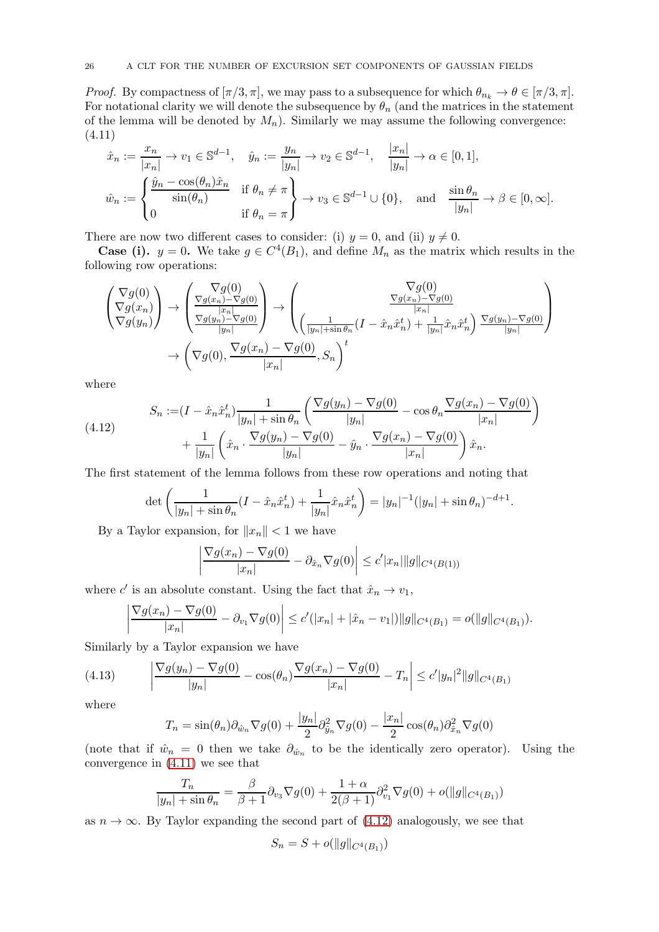*Proof.* By compactness of  $[\pi/3, \pi]$ , we may pass to a subsequence for which  $\theta_{n_k} \to \theta \in [\pi/3, \pi]$ . For notational clarity we will denote the subsequence by  $\theta_n$  (and the matrices in the statement of the lemma will be denoted by  $M_n$ ). Similarly we may assume the following convergence: (4.11)

<span id="page-25-0"></span>
$$
\hat{x}_n := \frac{x_n}{|x_n|} \to v_1 \in \mathbb{S}^{d-1}, \quad \hat{y}_n := \frac{y_n}{|y_n|} \to v_2 \in \mathbb{S}^{d-1}, \quad \frac{|x_n|}{|y_n|} \to \alpha \in [0, 1],
$$
  

$$
\hat{w}_n := \begin{cases} \frac{\hat{y}_n - \cos(\theta_n)\hat{x}_n}{\sin(\theta_n)} & \text{if } \theta_n \neq \pi \\ 0 & \text{if } \theta_n = \pi \end{cases} \to v_3 \in \mathbb{S}^{d-1} \cup \{0\}, \quad \text{and} \quad \frac{\sin \theta_n}{|y_n|} \to \beta \in [0, \infty].
$$

There are now two different cases to consider: (i)  $y = 0$ , and (ii)  $y \neq 0$ .

**Case (i).**  $y = 0$ . We take  $g \in C^4(B_1)$ , and define  $M_n$  as the matrix which results in the following row operations:

$$
\begin{pmatrix}\n\nabla g(0) \\
\nabla g(x_n) \\
\nabla g(y_n)\n\end{pmatrix} \rightarrow \begin{pmatrix}\n\nabla g(0) \\
\nabla g(x_n) - \nabla g(0) \\
\n\frac{|x_n|}{|y_n|} \\
\frac{\nabla g(y_n) - \nabla g(0)}{|y_n|}\n\end{pmatrix} \rightarrow \begin{pmatrix}\n\nabla g(0) \\
\n\frac{\nabla g(x_n) - \nabla g(0)}{|x_n|} \\
\frac{|\nabla g(x_n) - \nabla g(0)}{|x_n|} \\
\frac{|\nabla g(y_n) - \nabla g(0)}{|y_n|} \\
\frac{|\nabla g(y_n) - \nabla g(0)}{|x_n|}\n\end{pmatrix}
$$
\n
$$
\rightarrow \left(\nabla g(0), \frac{\nabla g(x_n) - \nabla g(0)}{|x_n|}, S_n\right)^t
$$

where

(4.12) 
$$
S_n := (I - \hat{x}_n \hat{x}_n^t) \frac{1}{|y_n| + \sin \theta_n} \left( \frac{\nabla g(y_n) - \nabla g(0)}{|y_n|} - \cos \theta_n \frac{\nabla g(x_n) - \nabla g(0)}{|x_n|} \right) + \frac{1}{|y_n|} \left( \hat{x}_n \cdot \frac{\nabla g(y_n) - \nabla g(0)}{|y_n|} - \hat{y}_n \cdot \frac{\nabla g(x_n) - \nabla g(0)}{|x_n|} \right) \hat{x}_n.
$$

The first statement of the lemma follows from these row operations and noting that

<span id="page-25-1"></span>
$$
\det\left(\frac{1}{|y_n| + \sin \theta_n} (I - \hat{x}_n \hat{x}_n^t) + \frac{1}{|y_n|} \hat{x}_n \hat{x}_n^t\right) = |y_n|^{-1} (|y_n| + \sin \theta_n)^{-d+1}.
$$

By a Taylor expansion, for  $||x_n|| < 1$  we have

$$
\left| \frac{\nabla g(x_n) - \nabla g(0)}{|x_n|} - \partial_{\hat{x}_n} \nabla g(0) \right| \le c' |x_n| \|g\|_{C^4(B(1))}
$$

where  $c'$  is an absolute constant. Using the fact that  $\hat{x}_n \to v_1$ ,

$$
\left|\frac{\nabla g(x_n) - \nabla g(0)}{|x_n|} - \partial_{v_1} \nabla g(0)\right| \le c'(|x_n| + |\hat{x}_n - v_1|) \|g\|_{C^4(B_1)} = o(\|g\|_{C^4(B_1)}).
$$

Similarly by a Taylor expansion we have

(4.13) 
$$
\left| \frac{\nabla g(y_n) - \nabla g(0)}{|y_n|} - \cos(\theta_n) \frac{\nabla g(x_n) - \nabla g(0)}{|x_n|} - T_n \right| \le c'|y_n|^2 ||g||_{C^4(B_1)}
$$

where

$$
T_n = \sin(\theta_n)\partial_{\hat{w}_n}\nabla g(0) + \frac{|y_n|}{2}\partial_{\hat{y}_n}^2\nabla g(0) - \frac{|x_n|}{2}\cos(\theta_n)\partial_{\hat{x}_n}^2\nabla g(0)
$$

(note that if  $\hat{w}_n = 0$  then we take  $\partial_{\hat{w}_n}$  to be the identically zero operator). Using the convergence in [\(4.11\)](#page-25-0) we see that

$$
\frac{T_n}{|y_n| + \sin \theta_n} = \frac{\beta}{\beta + 1} \partial_{v_3} \nabla g(0) + \frac{1 + \alpha}{2(\beta + 1)} \partial_{v_1}^2 \nabla g(0) + o(||g||_{C^4(B_1)})
$$

as  $n \to \infty$ . By Taylor expanding the second part of [\(4.12\)](#page-25-1) analogously, we see that

$$
S_n = S + o(||g||_{C^4(B_1)})
$$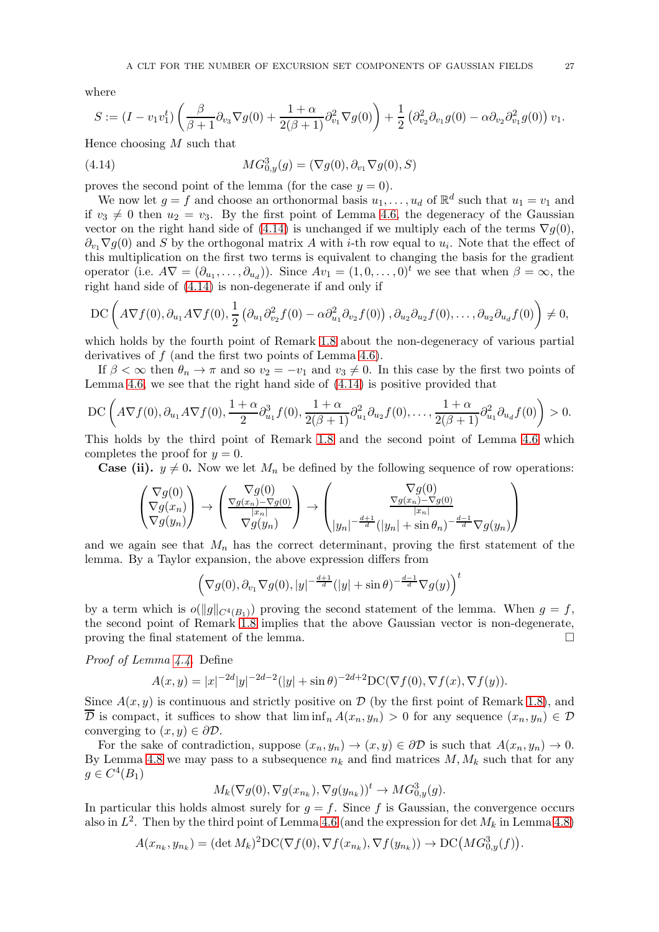where

<span id="page-26-0"></span>
$$
S := (I - v_1v_1^t)\left(\frac{\beta}{\beta+1}\partial_{v_3}\nabla g(0) + \frac{1+\alpha}{2(\beta+1)}\partial_{v_1}^2\nabla g(0)\right) + \frac{1}{2}\left(\partial_{v_2}^2\partial_{v_1}g(0) - \alpha\partial_{v_2}\partial_{v_1}^2g(0)\right)v_1.
$$

Hence choosing  $M$  such that

(4.14) 
$$
MG_{0,y}^3(g) = (\nabla g(0), \partial_{v_1} \nabla g(0), S)
$$

proves the second point of the lemma (for the case  $y = 0$ ).

We now let  $g = f$  and choose an orthonormal basis  $u_1, \ldots, u_d$  of  $\mathbb{R}^d$  such that  $u_1 = v_1$  and if  $v_3 \neq 0$  then  $u_2 = v_3$ . By the first point of Lemma [4.6,](#page-24-0) the degeneracy of the Gaussian vector on the right hand side of [\(4.14\)](#page-26-0) is unchanged if we multiply each of the terms  $\nabla g(0)$ ,  $\partial_{v_1} \nabla g(0)$  and S by the orthogonal matrix A with *i*-th row equal to  $u_i$ . Note that the effect of this multiplication on the first two terms is equivalent to changing the basis for the gradient operator (i.e.  $A\nabla = (\partial_{u_1}, \dots, \partial_{u_d})$ ). Since  $Av_1 = (1, 0, \dots, 0)^t$  we see that when  $\beta = \infty$ , the right hand side of [\(4.14\)](#page-26-0) is non-degenerate if and only if

$$
\mathrm{DC}\left(A\nabla f(0),\partial_{u_1}A\nabla f(0),\frac{1}{2}\left(\partial_{u_1}\partial_{v_2}^2f(0)-\alpha\partial_{u_1}^2\partial_{v_2}f(0)\right),\partial_{u_2}\partial_{u_2}f(0),\ldots,\partial_{u_2}\partial_{u_d}f(0)\right)\neq 0,
$$

which holds by the fourth point of Remark [1.8](#page-4-1) about the non-degeneracy of various partial derivatives of f (and the first two points of Lemma [4.6\)](#page-24-0).

If  $\beta < \infty$  then  $\theta_n \to \pi$  and so  $v_2 = -v_1$  and  $v_3 \neq 0$ . In this case by the first two points of Lemma [4.6,](#page-24-0) we see that the right hand side of [\(4.14\)](#page-26-0) is positive provided that

$$
\mathrm{DC}\left(A\nabla f(0),\partial_{u_1}A\nabla f(0),\frac{1+\alpha}{2}\partial_{u_1}^3f(0),\frac{1+\alpha}{2(\beta+1)}\partial_{u_1}^2\partial_{u_2}f(0),\ldots,\frac{1+\alpha}{2(\beta+1)}\partial_{u_1}^2\partial_{u_d}f(0)\right)>0.
$$

This holds by the third point of Remark [1.8](#page-4-1) and the second point of Lemma [4.6](#page-24-0) which completes the proof for  $y = 0$ .

**Case (ii).**  $y \neq 0$ . Now we let  $M_n$  be defined by the following sequence of row operations:

$$
\begin{pmatrix} \nabla g(0) \\ \nabla g(x_n) \\ \nabla g(y_n) \end{pmatrix} \rightarrow \begin{pmatrix} \nabla g(0) \\ \nabla g(x_n) - \nabla g(0) \\ \nabla g(y_n) \end{pmatrix} \rightarrow \begin{pmatrix} \nabla g(0) \\ \nabla g(x_n) - \nabla g(0) \\ \nabla g(x_n) - \nabla g(0) \\ \nabla g(y_n) + \sin \theta_n \end{pmatrix}
$$

and we again see that  $M_n$  has the correct determinant, proving the first statement of the lemma. By a Taylor expansion, the above expression differs from

$$
\Big(\nabla g(0),\partial_{v_1}\nabla g(0),|y|^{-\frac{d+1}{d}}(|y|+\sin\theta)^{-\frac{d-1}{d}}\nabla g(y)\Big)^t
$$

by a term which is  $o(||g||_{C^{4}(B_1)})$  proving the second statement of the lemma. When  $g = f$ , the second point of Remark [1.8](#page-4-1) implies that the above Gaussian vector is non-degenerate, proving the final statement of the lemma.  $\Box$ 

Proof of Lemma [4.4.](#page-23-3) Define

$$
A(x,y) = |x|^{-2d}|y|^{-2d-2}(|y| + \sin \theta)^{-2d+2} \mathcal{D}C(\nabla f(0), \nabla f(x), \nabla f(y)).
$$

Since  $A(x, y)$  is continuous and strictly positive on D (by the first point of Remark [1.8\)](#page-4-1), and  $\overline{\mathcal{D}}$  is compact, it suffices to show that  $\liminf_n A(x_n, y_n) > 0$  for any sequence  $(x_n, y_n) \in \mathcal{D}$ converging to  $(x, y) \in \partial \mathcal{D}$ .

For the sake of contradiction, suppose  $(x_n, y_n) \to (x, y) \in \partial \mathcal{D}$  is such that  $A(x_n, y_n) \to 0$ . By Lemma [4.8](#page-24-2) we may pass to a subsequence  $n_k$  and find matrices  $M, M_k$  such that for any  $g \in C^4(B_1)$ 

$$
M_k(\nabla g(0), \nabla g(x_{n_k}), \nabla g(y_{n_k}))^t \to MG_{0,y}^3(g).
$$

In particular this holds almost surely for  $g = f$ . Since f is Gaussian, the convergence occurs also in  $L^2$ . Then by the third point of Lemma [4.6](#page-24-0) (and the expression for det  $M_k$  in Lemma [4.8\)](#page-24-2)

$$
A(x_{n_k}, y_{n_k}) = (\det M_k)^2 \mathrm{DC}(\nabla f(0), \nabla f(x_{n_k}), \nabla f(y_{n_k})) \to \mathrm{DC}\big(MG_{0,y}^3(f)\big).
$$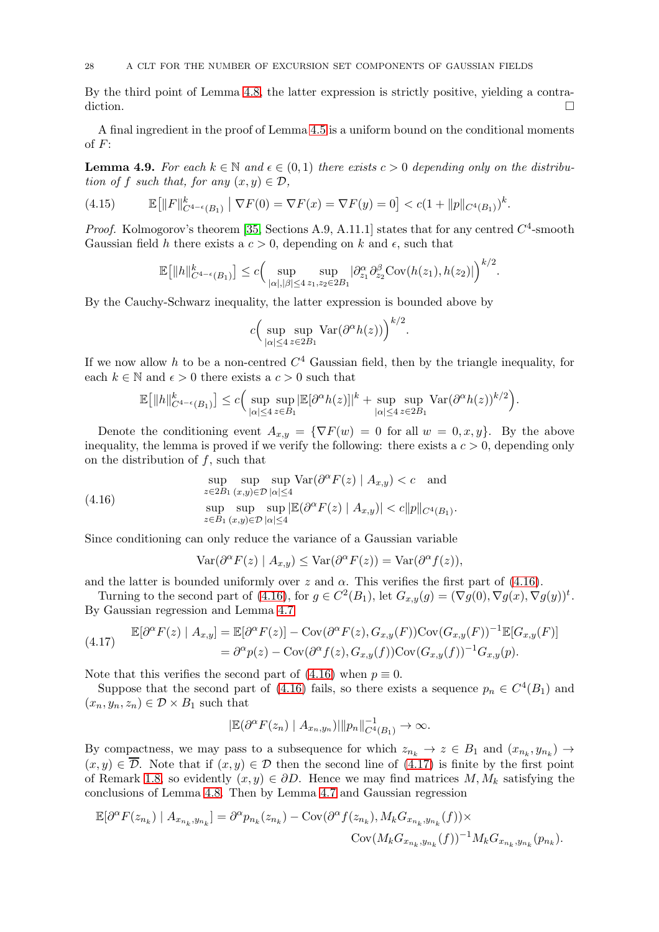By the third point of Lemma [4.8,](#page-24-2) the latter expression is strictly positive, yielding a contradiction.

A final ingredient in the proof of Lemma [4.5](#page-23-4) is a uniform bound on the conditional moments of  $F$ :

<span id="page-27-0"></span>**Lemma 4.9.** For each  $k \in \mathbb{N}$  and  $\epsilon \in (0,1)$  there exists  $c > 0$  depending only on the distribution of f such that, for any  $(x, y) \in \mathcal{D}$ ,

(4.15) 
$$
\mathbb{E}\big[\|F\|_{C^{4-\epsilon}(B_1)}^k \mid \nabla F(0) = \nabla F(x) = \nabla F(y) = 0\big] < c(1 + \|p\|_{C^4(B_1)})^k.
$$

*Proof.* Kolmogorov's theorem [\[35,](#page-32-8) Sections A.9, A.11.1] states that for any centred  $C^4$ -smooth Gaussian field h there exists a  $c > 0$ , depending on k and  $\epsilon$ , such that

<span id="page-27-3"></span>
$$
\mathbb{E}\big[\|h\|_{C^{4-\epsilon}(B_1)}^k\big] \leq c \Big(\sup_{|\alpha|,|\beta|\leq 4} \sup_{z_1,z_2\in 2B_1} |\partial_{z_1}^{\alpha}\partial_{z_2}^{\beta}\text{Cov}(h(z_1),h(z_2)|)\Big)^{k/2}.
$$

By the Cauchy-Schwarz inequality, the latter expression is bounded above by

$$
c\Big(\sup_{|\alpha|\leq 4}\sup_{z\in 2B_1}\text{Var}(\partial^{\alpha}h(z))\Big)^{k/2}.
$$

If we now allow h to be a non-centred  $C<sup>4</sup>$  Gaussian field, then by the triangle inequality, for each  $k \in \mathbb{N}$  and  $\epsilon > 0$  there exists a  $c > 0$  such that

$$
\mathbb{E}\big[\|h\|_{C^{4-\epsilon}(B_1)}^k\big]\leq c\Big(\sup_{|\alpha|\leq 4}\sup_{z\in B_1}|\mathbb{E}[\partial^{\alpha}h(z)]|^k+\sup_{|\alpha|\leq 4}\sup_{z\in 2B_1}\text{Var}(\partial^{\alpha}h(z))^{k/2}\Big).
$$

Denote the conditioning event  $A_{x,y} = \{ \nabla F(w) = 0 \text{ for all } w = 0, x, y \}.$  By the above inequality, the lemma is proved if we verify the following: there exists a  $c > 0$ , depending only on the distribution of  $f$ , such that

(4.16) 
$$
\sup_{z \in 2B_1} \sup_{(x,y) \in \mathcal{D}} \sup_{|\alpha| \le 4} \text{Var}(\partial^{\alpha} F(z) | A_{x,y}) < c \quad \text{and}
$$

$$
\sup_{z \in B_1} \sup_{(x,y) \in \mathcal{D}} \sup_{|\alpha| \le 4} |\mathbb{E}(\partial^{\alpha} F(z) | A_{x,y})| < c ||p||_{C^4(B_1)}.
$$

Since conditioning can only reduce the variance of a Gaussian variable

<span id="page-27-1"></span>
$$
Var(\partial^{\alpha} F(z) | A_{x,y}) \le Var(\partial^{\alpha} F(z)) = Var(\partial^{\alpha} f(z)),
$$

and the latter is bounded uniformly over  $z$  and  $\alpha$ . This verifies the first part of [\(4.16\)](#page-27-1).

Turning to the second part of [\(4.16\)](#page-27-1), for  $g \in C^2(B_1)$ , let  $G_{x,y}(g) = (\nabla g(0), \nabla g(x), \nabla g(y))^t$ . By Gaussian regression and Lemma [4.7](#page-24-1)

<span id="page-27-2"></span>
$$
\mathbb{E}[\partial^{\alpha} F(z) | A_{x,y}] = \mathbb{E}[\partial^{\alpha} F(z)] - \text{Cov}(\partial^{\alpha} F(z), G_{x,y}(F)) \text{Cov}(G_{x,y}(F))^{-1} \mathbb{E}[G_{x,y}(F)]
$$
  
=  $\partial^{\alpha} p(z) - \text{Cov}(\partial^{\alpha} f(z), G_{x,y}(f)) \text{Cov}(G_{x,y}(f))^{-1} G_{x,y}(p).$ 

Note that this verifies the second part of  $(4.16)$  when  $p \equiv 0$ .

Suppose that the second part of [\(4.16\)](#page-27-1) fails, so there exists a sequence  $p_n \in C^4(B_1)$  and  $(x_n, y_n, z_n) \in \mathcal{D} \times B_1$  such that

$$
|\mathbb{E}(\partial^{\alpha} F(z_n) | A_{x_n,y_n})|| |p_n||_{C^4(B_1)}^{-1} \to \infty.
$$

By compactness, we may pass to a subsequence for which  $z_{n_k} \to z \in B_1$  and  $(x_{n_k}, y_{n_k}) \to z$  $(x, y) \in \overline{\mathcal{D}}$ . Note that if  $(x, y) \in \mathcal{D}$  then the second line of  $(4.17)$  is finite by the first point of Remark [1.8,](#page-4-1) so evidently  $(x, y) \in \partial D$ . Hence we may find matrices  $M, M_k$  satisfying the conclusions of Lemma [4.8.](#page-24-2) Then by Lemma [4.7](#page-24-1) and Gaussian regression

$$
\begin{aligned} \mathbb{E}[\partial^{\alpha}F(z_{n_k})\mid A_{x_{n_k},y_{n_k}}] &= \partial^{\alpha}p_{n_k}(z_{n_k}) - \mathrm{Cov}(\partial^{\alpha}f(z_{n_k}),M_kG_{x_{n_k},y_{n_k}}(f)) \times \\ & \mathrm{Cov}(M_kG_{x_{n_k},y_{n_k}}(f))^{-1}M_kG_{x_{n_k},y_{n_k}}(p_{n_k}). \end{aligned}
$$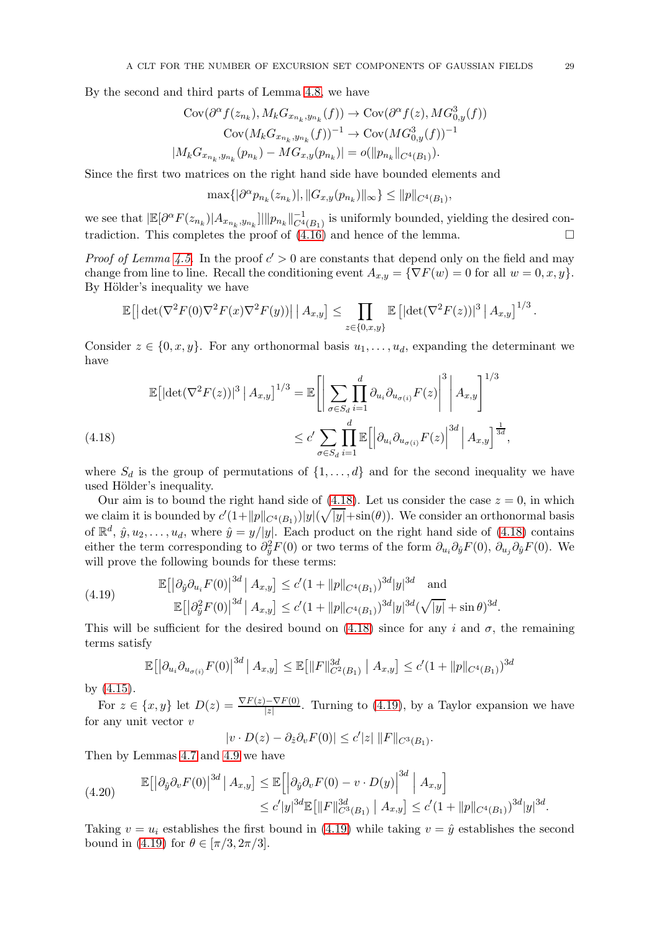By the second and third parts of Lemma [4.8,](#page-24-2) we have

$$
\text{Cov}(\partial^{\alpha} f(z_{n_k}), M_k G_{x_{n_k}, y_{n_k}}(f)) \to \text{Cov}(\partial^{\alpha} f(z), M G_{0,y}^3(f))
$$

$$
\text{Cov}(M_k G_{x_{n_k}, y_{n_k}}(f))^{-1} \to \text{Cov}(M G_{0,y}^3(f))^{-1}
$$

$$
|M_k G_{x_{n_k}, y_{n_k}}(p_{n_k}) - M G_{x,y}(p_{n_k})| = o(||p_{n_k}||_{C^4(B_1)}).
$$

Since the first two matrices on the right hand side have bounded elements and

$$
\max\{|\partial^{\alpha} p_{n_k}(z_{n_k})|, \|G_{x,y}(p_{n_k})\|_{\infty}\} \le \|p\|_{C^{4}(B_1)},
$$

we see that  $|\mathbb{E}[\partial^{\alpha}F(z_{n_k})|A_{x_{n_k},y_{n_k}}]|| |p_{n_k}||_{C^4(B_1)}^{-1}$  is uniformly bounded, yielding the desired contradiction. This completes the proof of  $(4.16)$  and hence of the lemma.

*Proof of Lemma [4.5.](#page-23-4)* In the proof  $c' > 0$  are constants that depend only on the field and may change from line to line. Recall the conditioning event  $A_{x,y} = {\nabla F(w) = 0$  for all  $w = 0, x, y}.$ By Hölder's inequality we have

$$
\mathbb{E}\big[\big|\det(\nabla^2 F(0)\nabla^2 F(x)\nabla^2 F(y))\big|\,\big|\,A_{x,y}\big]\leq \prod_{z\in\{0,x,y\}}\mathbb{E}\big[\big|\det(\nabla^2 F(z))\big|^3\,\big|\,A_{x,y}\big]^{1/3}\,.
$$

Consider  $z \in \{0, x, y\}$ . For any orthonormal basis  $u_1, \ldots, u_d$ , expanding the determinant we have

 $\sim$ 

$$
\mathbb{E}\left[\left|\det(\nabla^2 F(z))\right|^3 \mid A_{x,y}\right]^{1/3} = \mathbb{E}\left[\left|\sum_{\sigma \in S_d} \prod_{i=1}^d \partial_{u_i} \partial_{u_{\sigma(i)}} F(z)\right|^3 \mid A_{x,y}\right]^{1/3}
$$
\n
$$
\leq c' \sum_{\sigma \in S_d} \prod_{i=1}^d \mathbb{E}\left[\left|\partial_{u_i} \partial_{u_{\sigma(i)}} F(z)\right|^{3d} \mid A_{x,y}\right]^{\frac{1}{3d}},
$$

<span id="page-28-0"></span>where  $S_d$  is the group of permutations of  $\{1, \ldots, d\}$  and for the second inequality we have used Hölder's inequality.

Our aim is to bound the right hand side of  $(4.18)$ . Let us consider the case  $z = 0$ , in which we claim it is bounded by  $c'(1+\|p\|_{C^4(B_1)})|y|(\sqrt{|y|}+\sin(\theta))$ . We consider an orthonormal basis of  $\mathbb{R}^d$ ,  $\hat{y}, u_2, \dots, u_d$ , where  $\hat{y} = y/|y|$ . Each product on the right hand side of [\(4.18\)](#page-28-0) contains either the term corresponding to  $\partial_y^2 F(0)$  or two terms of the form  $\partial_{u_i}\partial_y F(0)$ ,  $\partial_{u_j}\partial_y F(0)$ . We will prove the following bounds for these terms:

(4.19) 
$$
\mathbb{E}\left[\left|\partial_{\hat{y}}\partial_{u_i}F(0)\right|^{3d}|A_{x,y}\right] \le c'(1+\|p\|_{C^4(B_1)})^{3d}|y|^{3d} \text{ and}
$$

$$
\mathbb{E}\left[\left|\partial_{\hat{y}}^2F(0)\right|^{3d}|A_{x,y}\right] \le c'(1+\|p\|_{C^4(B_1)})^{3d}|y|^{3d}(\sqrt{|y|}+\sin\theta)^{3d}.
$$

This will be sufficient for the desired bound on [\(4.18\)](#page-28-0) since for any i and  $\sigma$ , the remaining terms satisfy

<span id="page-28-1"></span>
$$
\mathbb{E}\big[\big|\partial_{u_i}\partial_{u_{\sigma(i)}}F(0)\big|^{3d} \, \big| \, A_{x,y}\big] \le \mathbb{E}\big[\|F\|_{C^2(B_1)}^{3d} \, \big| \, A_{x,y}\big] \le c'(1+\|p\|_{C^4(B_1)})^{3d}
$$

by [\(4.15\)](#page-27-3).

For  $z \in \{x, y\}$  let  $D(z) = \frac{\nabla F(z) - \nabla F(0)}{|z|}$ . Turning to [\(4.19\)](#page-28-1), by a Taylor expansion we have for any unit vector  $v$ 

$$
|v \cdot D(z) - \partial_{\hat{z}} \partial_v F(0)| \leq c' |z| \|F\|_{C^3(B_1)}.
$$

Then by Lemmas [4.7](#page-24-1) and [4.9](#page-27-0) we have

$$
(4.20) \t\t\t\t\mathbb{E}\left[\left|\partial_{\hat{y}}\partial_{v}F(0)\right|^{3d}|A_{x,y}\right] \leq \mathbb{E}\left[\left|\partial_{\hat{y}}\partial_{v}F(0) - v \cdot D(y)\right|^{3d}|A_{x,y}\right] \leq c'|y|^{3d}\mathbb{E}\left[\|F\|_{C^{3}(B_{1})}^{3d}|A_{x,y}\right] \leq c'(1+\|p\|_{C^{4}(B_{1})})^{3d}|y|^{3d}.
$$

Taking  $v = u_i$  establishes the first bound in [\(4.19\)](#page-28-1) while taking  $v = \hat{y}$  establishes the second bound in [\(4.19\)](#page-28-1) for  $\theta \in [\pi/3, 2\pi/3]$ .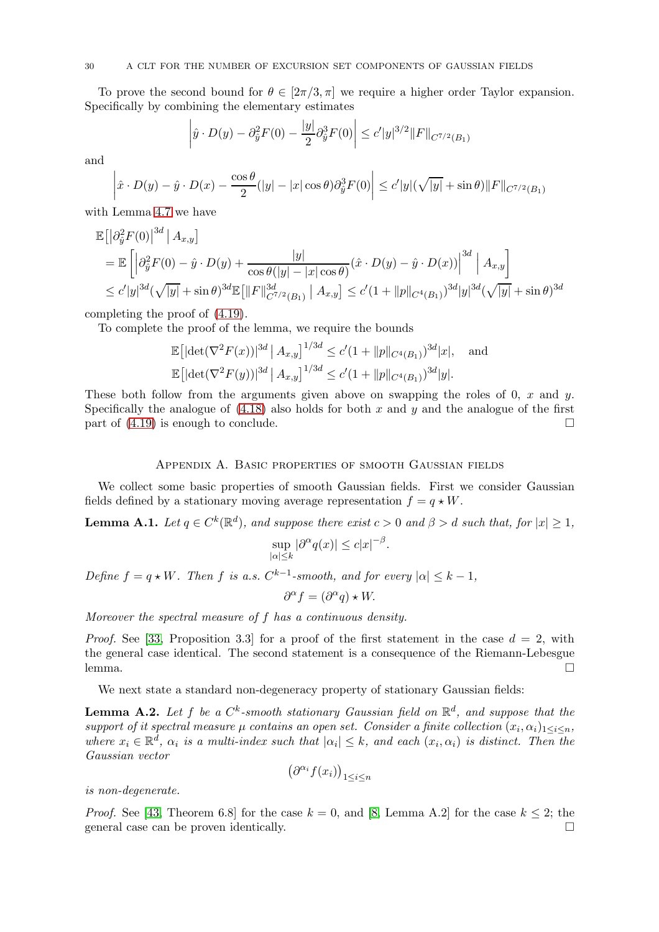To prove the second bound for  $\theta \in [2\pi/3, \pi]$  we require a higher order Taylor expansion. Specifically by combining the elementary estimates

$$
\left| \hat{y} \cdot D(y) - \partial_{\hat{y}}^2 F(0) - \frac{|y|}{2} \partial_{\hat{y}}^3 F(0) \right| \le c' |y|^{3/2} ||F||_{C^{7/2}(B_1)}
$$

and

$$
\left|\hat{x}\cdot D(y)-\hat{y}\cdot D(x)-\frac{\cos\theta}{2}(|y|-|x|\cos\theta)\partial_{\hat{y}}^3F(0)\right|\leq c'|y|(\sqrt{|y|}+\sin\theta)\|F\|_{C^{7/2}(B_1)}
$$

with Lemma [4.7](#page-24-1) we have

$$
\mathbb{E} \left[ \left| \partial_{\hat{y}}^2 F(0) \right|^{3d} \middle| A_{x,y} \right]
$$
\n
$$
= \mathbb{E} \left[ \left| \partial_{\hat{y}}^2 F(0) - \hat{y} \cdot D(y) + \frac{|y|}{\cos \theta(|y| - |x| \cos \theta)} (\hat{x} \cdot D(y) - \hat{y} \cdot D(x)) \right|^{3d} \middle| A_{x,y} \right]
$$
\n
$$
\leq c' |y|^{3d} (\sqrt{|y|} + \sin \theta)^{3d} \mathbb{E} \left[ \left\| F \right\|_{C^{7/2}(B_1)}^{3d} \middle| A_{x,y} \right] \leq c' (1 + ||p||_{C^4(B_1)})^{3d} |y|^{3d} (\sqrt{|y|} + \sin \theta)^{3d}
$$

completing the proof of [\(4.19\)](#page-28-1).

To complete the proof of the lemma, we require the bounds

$$
\mathbb{E}\left[|\det(\nabla^2 F(x))|^{3d} \mid A_{x,y}\right]^{1/3d} \le c'(1 + \|p\|_{C^4(B_1)})^{3d}|x|, \text{ and}
$$
  

$$
\mathbb{E}\left[|\det(\nabla^2 F(y))|^{3d} \mid A_{x,y}\right]^{1/3d} \le c'(1 + \|p\|_{C^4(B_1)})^{3d}|y|.
$$

These both follow from the arguments given above on swapping the roles of 0, x and y. Specifically the analogue of  $(4.18)$  also holds for both x and y and the analogue of the first part of  $(4.19)$  is enough to conclude.

# Appendix A. Basic properties of smooth Gaussian fields

We collect some basic properties of smooth Gaussian fields. First we consider Gaussian fields defined by a stationary moving average representation  $f = q \star W$ .

<span id="page-29-0"></span>**Lemma A.1.** Let  $q \in C^k(\mathbb{R}^d)$ , and suppose there exist  $c > 0$  and  $\beta > d$  such that, for  $|x| \geq 1$ ,

$$
\sup_{|\alpha| \le k} |\partial^{\alpha} q(x)| \le c |x|^{-\beta}.
$$

Define  $f = q \star W$ . Then f is a.s.  $C^{k-1}$ -smooth, and for every  $|\alpha| \leq k-1$ ,

$$
\partial^{\alpha} f = (\partial^{\alpha} q) \star W.
$$

Moreover the spectral measure of f has a continuous density.

*Proof.* See [\[33,](#page-32-4) Proposition 3.3] for a proof of the first statement in the case  $d = 2$ , with the general case identical. The second statement is a consequence of the Riemann-Lebesgue lemma. □

We next state a standard non-degeneracy property of stationary Gaussian fields:

<span id="page-29-1"></span>**Lemma A.2.** Let f be a  $C^k$ -smooth stationary Gaussian field on  $\mathbb{R}^d$ , and suppose that the support of it spectral measure  $\mu$  contains an open set. Consider a finite collection  $(x_i, \alpha_i)_{1 \leq i \leq n}$ , where  $x_i \in \mathbb{R}^d$ ,  $\alpha_i$  is a multi-index such that  $|\alpha_i| \leq k$ , and each  $(x_i, \alpha_i)$  is distinct. Then the Gaussian vector

$$
\big(\partial^{\alpha_i} f(x_i)\big)_{1\leq i\leq n}
$$

is non-degenerate.

*Proof.* See [\[43,](#page-32-28) Theorem 6.8] for the case  $k = 0$ , and [\[8,](#page-31-3) Lemma A.2] for the case  $k \leq 2$ ; the general case can be proven identically general case can be proven identically.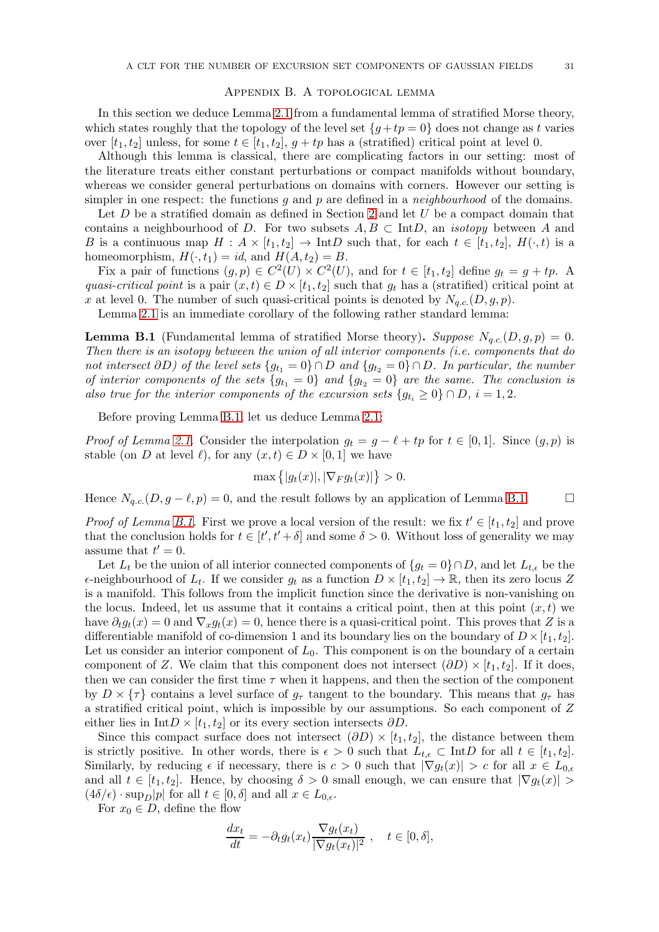#### Appendix B. A topological lemma

<span id="page-30-0"></span>In this section we deduce Lemma [2.1](#page-5-1) from a fundamental lemma of stratified Morse theory, which states roughly that the topology of the level set  ${g+tp = 0}$  does not change as t varies over  $[t_1, t_2]$  unless, for some  $t \in [t_1, t_2]$ ,  $g + tp$  has a (stratified) critical point at level 0.

Although this lemma is classical, there are complicating factors in our setting: most of the literature treats either constant perturbations or compact manifolds without boundary, whereas we consider general perturbations on domains with corners. However our setting is simpler in one respect: the functions  $q$  and  $p$  are defined in a *neighbourhood* of the domains.

Let  $D$  be a stratified domain as defined in Section [2](#page-4-0) and let  $U$  be a compact domain that contains a neighbourhood of D. For two subsets  $A, B \subset \text{Int}D$ , an *isotopy* between A and B is a continuous map  $H : A \times [t_1, t_2] \to \text{Int}D$  such that, for each  $t \in [t_1, t_2]$ ,  $H(\cdot, t)$  is a homeomorphism,  $H(\cdot, t_1) = id$ , and  $H(A, t_2) = B$ .

Fix a pair of functions  $(g, p) \in C^2(U) \times C^2(U)$ , and for  $t \in [t_1, t_2]$  define  $g_t = g + tp$ . A quasi-critical point is a pair  $(x, t) \in D \times [t_1, t_2]$  such that  $g_t$  has a (stratified) critical point at x at level 0. The number of such quasi-critical points is denoted by  $N_{q.c.}(D, g, p)$ .

Lemma [2.1](#page-5-1) is an immediate corollary of the following rather standard lemma:

<span id="page-30-1"></span>**Lemma B.1** (Fundamental lemma of stratified Morse theory). Suppose  $N_{a,c}(D,g,p) = 0$ . Then there is an isotopy between the union of all interior components (i.e. components that do not intersect  $\partial D$ ) of the level sets  $\{g_{t_1} = 0\} \cap D$  and  $\{g_{t_2} = 0\} \cap D$ . In particular, the number of interior components of the sets  ${g_{t_1} = 0}$  and  ${g_{t_2} = 0}$  are the same. The conclusion is also true for the interior components of the excursion sets  ${g_t}_i \geq 0$   $\cap D$ ,  $i = 1, 2$ .

Before proving Lemma [B.1,](#page-30-1) let us deduce Lemma [2.1:](#page-5-1)

*Proof of Lemma [2.1.](#page-5-1)* Consider the interpolation  $g_t = g - \ell + tp$  for  $t \in [0,1]$ . Since  $(g, p)$  is stable (on D at level  $\ell$ ), for any  $(x, t) \in D \times [0, 1]$  we have

$$
\max\left\{|g_t(x)|, |\nabla_F g_t(x)|\right\} > 0.
$$

Hence  $N_{a.c.}(D, g - \ell, p) = 0$ , and the result follows by an application of Lemma [B.1.](#page-30-1)

*Proof of Lemma [B.1.](#page-30-1)* First we prove a local version of the result: we fix  $t' \in [t_1, t_2]$  and prove that the conclusion holds for  $t \in [t', t' + \delta]$  and some  $\delta > 0$ . Without loss of generality we may assume that  $t'=0$ .

Let  $L_t$  be the union of all interior connected components of  $\{g_t = 0\} \cap D$ , and let  $L_{t,\epsilon}$  be the  $\epsilon$ -neighbourhood of  $L_t$ . If we consider  $g_t$  as a function  $D \times [t_1, t_2] \to \mathbb{R}$ , then its zero locus Z is a manifold. This follows from the implicit function since the derivative is non-vanishing on the locus. Indeed, let us assume that it contains a critical point, then at this point  $(x, t)$  we have  $\partial_t g_t(x) = 0$  and  $\nabla_x g_t(x) = 0$ , hence there is a quasi-critical point. This proves that Z is a differentiable manifold of co-dimension 1 and its boundary lies on the boundary of  $D \times [t_1, t_2]$ . Let us consider an interior component of  $L_0$ . This component is on the boundary of a certain component of Z. We claim that this component does not intersect  $(\partial D) \times [t_1, t_2]$ . If it does, then we can consider the first time  $\tau$  when it happens, and then the section of the component by  $D \times \{\tau\}$  contains a level surface of  $g_{\tau}$  tangent to the boundary. This means that  $g_{\tau}$  has a stratified critical point, which is impossible by our assumptions. So each component of Z either lies in Int $D \times [t_1, t_2]$  or its every section intersects  $\partial D$ .

Since this compact surface does not intersect  $(\partial D) \times [t_1, t_2]$ , the distance between them is strictly positive. In other words, there is  $\epsilon > 0$  such that  $L_{t,\epsilon} \subset \text{Int}D$  for all  $t \in [t_1, t_2]$ . Similarly, by reducing  $\epsilon$  if necessary, there is  $c > 0$  such that  $|\nabla g_t(x)| > c$  for all  $x \in L_{0,\epsilon}$ and all  $t \in [t_1, t_2]$ . Hence, by choosing  $\delta > 0$  small enough, we can ensure that  $|\nabla g_t(x)| >$  $(4\delta/\epsilon) \cdot \sup_D|p|$  for all  $t \in [0,\delta]$  and all  $x \in L_{0,\epsilon}$ .

For  $x_0 \in D$ , define the flow

$$
\frac{dx_t}{dt} = -\partial_t g_t(x_t) \frac{\nabla g_t(x_t)}{|\nabla g_t(x_t)|^2}, \quad t \in [0, \delta],
$$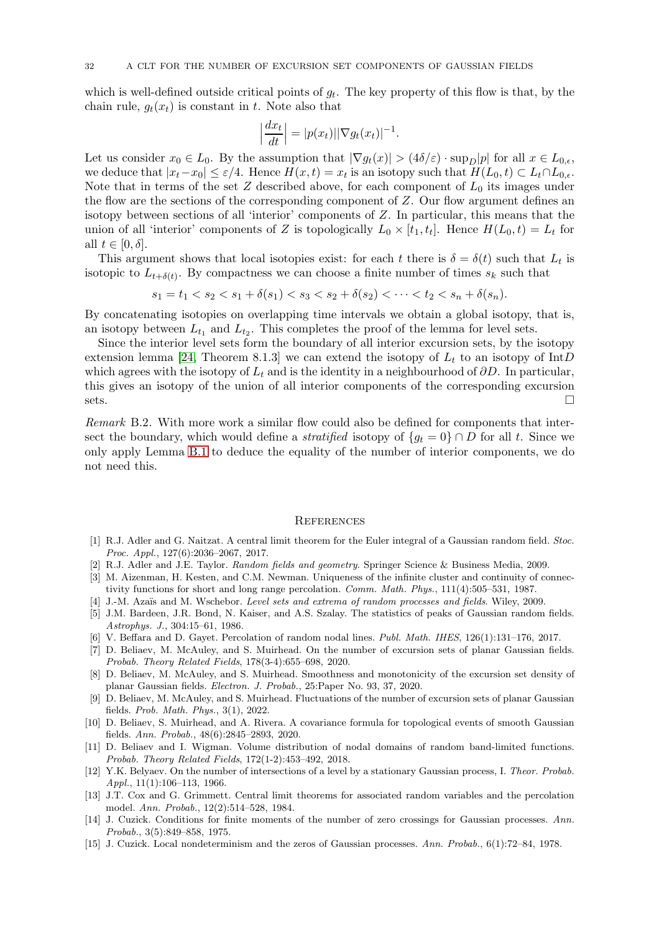which is well-defined outside critical points of  $g_t$ . The key property of this flow is that, by the chain rule,  $q_t(x_t)$  is constant in t. Note also that

$$
\left|\frac{dx_t}{dt}\right| = |p(x_t)||\nabla g_t(x_t)|^{-1}.
$$

Let us consider  $x_0 \in L_0$ . By the assumption that  $|\nabla g_t(x)| > (4\delta/\varepsilon) \cdot \sup_D |p|$  for all  $x \in L_{0,\varepsilon}$ , we deduce that  $|x_t-x_0| \leq \varepsilon/4$ . Hence  $H(x,t) = x_t$  is an isotopy such that  $H(L_0,t) \subset L_t \cap L_{0,\varepsilon}$ . Note that in terms of the set  $Z$  described above, for each component of  $L_0$  its images under the flow are the sections of the corresponding component of Z. Our flow argument defines an isotopy between sections of all 'interior' components of Z. In particular, this means that the union of all 'interior' components of Z is topologically  $L_0 \times [t_1, t_t]$ . Hence  $H(L_0, t) = L_t$  for all  $t \in [0, \delta]$ .

This argument shows that local isotopies exist: for each t there is  $\delta = \delta(t)$  such that  $L_t$  is isotopic to  $L_{t+\delta(t)}$ . By compactness we can choose a finite number of times  $s_k$  such that

$$
s_1 = t_1 < s_2 < s_1 + \delta(s_1) < s_3 < s_2 + \delta(s_2) < \cdots < t_2 < s_n + \delta(s_n).
$$

By concatenating isotopies on overlapping time intervals we obtain a global isotopy, that is, an isotopy between  $L_{t_1}$  and  $L_{t_2}$ . This completes the proof of the lemma for level sets.

Since the interior level sets form the boundary of all interior excursion sets, by the isotopy extension lemma [\[24,](#page-32-29) Theorem 8.1.3] we can extend the isotopy of  $L_t$  to an isotopy of IntD which agrees with the isotopy of  $L_t$  and is the identity in a neighbourhood of  $\partial D$ . In particular, this gives an isotopy of the union of all interior components of the corresponding excursion  $sets.$ 

Remark B.2. With more work a similar flow could also be defined for components that intersect the boundary, which would define a *stratified* isotopy of  ${g_t = 0} \cap D$  for all t. Since we only apply Lemma [B.1](#page-30-1) to deduce the equality of the number of interior components, we do not need this.

#### **REFERENCES**

- <span id="page-31-6"></span>[1] R.J. Adler and G. Naitzat. A central limit theorem for the Euler integral of a Gaussian random field. Stoc. Proc. Appl., 127(6):2036–2067, 2017.
- <span id="page-31-13"></span><span id="page-31-2"></span>[2] R.J. Adler and J.E. Taylor. Random fields and geometry. Springer Science & Business Media, 2009.
- [3] M. Aizenman, H. Kesten, and C.M. Newman. Uniqueness of the infinite cluster and continuity of connectivity functions for short and long range percolation. Comm. Math. Phys., 111(4):505–531, 1987.
- <span id="page-31-14"></span><span id="page-31-0"></span>[4] J.-M. Azaïs and M. Wschebor. Level sets and extrema of random processes and fields. Wiley, 2009.
- [5] J.M. Bardeen, J.R. Bond, N. Kaiser, and A.S. Szalay. The statistics of peaks of Gaussian random fields. Astrophys. J., 304:15–61, 1986.
- <span id="page-31-4"></span><span id="page-31-1"></span>[6] V. Beffara and D. Gayet. Percolation of random nodal lines. Publ. Math. IHES, 126(1):131–176, 2017.
- [7] D. Beliaev, M. McAuley, and S. Muirhead. On the number of excursion sets of planar Gaussian fields. Probab. Theory Related Fields, 178(3-4):655–698, 2020.
- <span id="page-31-3"></span>[8] D. Beliaev, M. McAuley, and S. Muirhead. Smoothness and monotonicity of the excursion set density of planar Gaussian fields. Electron. J. Probab., 25:Paper No. 93, 37, 2020.
- <span id="page-31-8"></span>[9] D. Beliaev, M. McAuley, and S. Muirhead. Fluctuations of the number of excursion sets of planar Gaussian fields. Prob. Math. Phys., 3(1), 2022.
- <span id="page-31-9"></span>[10] D. Beliaev, S. Muirhead, and A. Rivera. A covariance formula for topological events of smooth Gaussian fields. Ann. Probab., 48(6):2845–2893, 2020.
- <span id="page-31-5"></span>[11] D. Beliaev and I. Wigman. Volume distribution of nodal domains of random band-limited functions. Probab. Theory Related Fields, 172(1-2):453–492, 2018.
- <span id="page-31-10"></span>[12] Y.K. Belyaev. On the number of intersections of a level by a stationary Gaussian process, I. Theor. Probab.  $AnnL, 11(1): 106-113, 1966.$
- <span id="page-31-7"></span>[13] J.T. Cox and G. Grimmett. Central limit theorems for associated random variables and the percolation model. Ann. Probab., 12(2):514–528, 1984.
- <span id="page-31-11"></span>[14] J. Cuzick. Conditions for finite moments of the number of zero crossings for Gaussian processes. Ann. Probab., 3(5):849–858, 1975.
- <span id="page-31-12"></span>[15] J. Cuzick. Local nondeterminism and the zeros of Gaussian processes. Ann. Probab., 6(1):72–84, 1978.